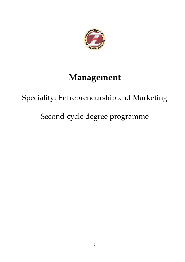

# Management

# Speciality: Entrepreneurship and Marketing

# Second-cycle degree programme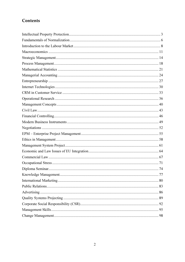# Contents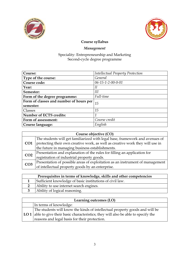



# Management

| Course:                                 | <b>Intellectual Property Protection</b> |
|-----------------------------------------|-----------------------------------------|
| Type of the course:                     | General                                 |
| Course code:                            | $06 - 15 - 1 - 2 - 00 - 0 - 01$         |
| Year:                                   | Н                                       |
| Semester:                               | Ш                                       |
| Form of the degree programme:           | Full-time                               |
| Form of classes and number of hours per | 15                                      |
| semester:                               |                                         |
| Classes                                 | 15                                      |
| <b>Number of ECTS credits:</b>          | 1                                       |
| Form of assessment:                     | Course credit                           |
| Course language:                        | English                                 |

| Course objective (CO) |                                                                               |
|-----------------------|-------------------------------------------------------------------------------|
| CO <sub>1</sub>       | The students will get familiarized with legal base, framework and avenues of  |
|                       | protecting their own creative work, as well as creative work they will use in |
|                       | the future in managing business establishments.                               |
| CO <sub>2</sub>       | Presentation and explanation of the rules for filling an application for      |
|                       | registration of industrial property goods.                                    |
| CO <sub>3</sub>       | Presentation of possible areas of exploitation as an instrument of management |
|                       | of intellectual property goods by an enterprise.                              |

| Prerequisites in terms of knowledge, skills and other competencies |                                                          |
|--------------------------------------------------------------------|----------------------------------------------------------|
|                                                                    | Sufficient knowledge of basic institutions of civil law. |
|                                                                    | Ability to use internet search engines.                  |
|                                                                    | Ability of logical reasoning.                            |

| Learning outcomes (LO) |                                                                                         |  |
|------------------------|-----------------------------------------------------------------------------------------|--|
|                        | In terms of knowledge:                                                                  |  |
|                        | The students will know the kinds of intellectual property goods and will be             |  |
|                        | $ LO1 $ able to give their basic characteristics; they will also be able to specify the |  |
|                        | reasons and legal basis for their protection.                                           |  |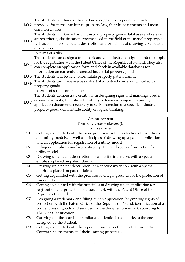|                 | The students will have sufficient knowledge of the types of contracts in             |  |  |
|-----------------|--------------------------------------------------------------------------------------|--|--|
| LO2             | provided for in the intellectual property law, their basic elements and most         |  |  |
|                 | common clauses.                                                                      |  |  |
|                 | The students will know basic industrial property goods databases and relevant        |  |  |
|                 | search criteria, classification systems used in the field of industrial property, as |  |  |
| LO <sub>3</sub> | well as elements of a patent description and principles of drawing up a patent       |  |  |
|                 | description.                                                                         |  |  |
|                 | In terms of skills:                                                                  |  |  |
|                 | The students can design a trademark and an industrial design in order to apply       |  |  |
| LO <sub>4</sub> | for the registration with the Patent Office of the Republic of Poland. They also     |  |  |
|                 | can complete an application form and check in available databases for                |  |  |
|                 | information on currently protected industrial property goods.                        |  |  |
|                 | LO $5$ The students will be able to formulate properly patent claims.                |  |  |
|                 | The students can prepare a basic draft of a contract concerning intellectual         |  |  |
| LO <sub>6</sub> | property goods.                                                                      |  |  |
|                 | In terms of social competence:                                                       |  |  |
|                 | The students demonstrate creativity in designing signs and markings used in          |  |  |
| LO7             | economic activity; they show the ability of team working in preparing                |  |  |
|                 | application documents necessary to seek protection of a specific industrial          |  |  |
|                 | property good; demonstrate ability of logical thinking.                              |  |  |

|                | <b>Course content</b>                                                            |
|----------------|----------------------------------------------------------------------------------|
|                | Form of classes $-$ classes $(C)$                                                |
|                | Course content                                                                   |
| C1             | Getting acquainted with the basic premises for the protection of inventions      |
|                | and utility models, as well as principles of drawing up a patent application     |
|                | and an application for registration of a utility model.                          |
| C <sub>2</sub> | Filling out applications for granting a patent and rights of protection for      |
|                | utility models.                                                                  |
| C <sub>3</sub> | Drawing up a patent description for a specific invention, with a special         |
|                | emphasis placed on patent claims.                                                |
| E4             | Drawing up a patent description for a specific invention, with a special         |
|                | emphasis placed on patent claims.                                                |
| C <sub>5</sub> | Getting acquainted with the premises and legal grounds for the protection of     |
|                | trademarks.                                                                      |
| C6             | Getting acquainted with the principles of drawing up an application for          |
|                | registration and protection of a trademark with the Patent Office of the         |
|                | Republic of Poland.                                                              |
| C7             | Designing a trademark and filling out an application for granting rights of      |
|                | protection with the Patent Office of the Republic of Poland, identification of a |
|                | proper class of goods and services for the designed trademark according to       |
|                | The Nice Classification.                                                         |
| C8             | Carrying out the search for similar and identical trademarks to the one          |
|                | designed by the student.                                                         |
| C9             | Getting acquainted with the types and samples of intellectual property           |
|                | Contracts/agreements and their drafting principles.                              |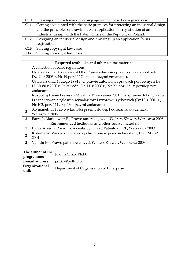| C10             | Drawing up a trademark licensing agreement based on a given case.              |  |
|-----------------|--------------------------------------------------------------------------------|--|
| C <sub>11</sub> | Getting acquainted with the basic premises for protecting an industrial design |  |
|                 | and the principles of drawing up an application for registration of an         |  |
|                 | industrial design with the Patent Office of the Republic of Poland.            |  |
| C12             | Designing an industrial design and drawing up an application for its           |  |
|                 | registration.                                                                  |  |
| C13             | Solving copyright law cases.                                                   |  |
| E14             | Solving copyright law cases.                                                   |  |

|                | Required textbooks and other course materials                                    |
|----------------|----------------------------------------------------------------------------------|
|                | A collection of basic regulations:                                               |
|                | Ustawa z dnia 30 czerwca 2000 r. Prawo własności przemysłowej (tekst jedn.:      |
|                | Dz. U. z 2003 r, Nr 19, poz.1117 z późniejszymi zmianami),                       |
|                | Ustawa z dnia 4 lutego 1994 r. O prawie autorskim i prawach pokrewnych Dz.       |
| $\mathbf{1}$   | U. Nr 80 z 2000 r. (tekst jedn. Dz. U. z 2006 r., Nr 90, poz. 631 z późniejszymi |
|                | zmianami),                                                                       |
|                | Rozporządzenie Prezesa RM z dnia 17 września 2001 r. w sprawie dokonywania       |
|                | i rozpatrywania zgłoszeń wynalazków i wzorów użytkowych (Dz.U. z 2001 r.,        |
|                | Nr 102, poz. 1119 z późniejszymi zmianami).                                      |
| $\overline{2}$ | Szymanek T., Prawo własności przemysłowej, Podręcznik akademicki,                |
|                | Warszawa 2008.                                                                   |
| 3              | Barta J., Markiewicz R., Prawo autorskie, wyd. Wolters Kluwer, Warszawa 2008.    |
|                | Recommended textbooks and other course materials                                 |
| $\mathbf{1}$   | Pyrża A. (ed.), Poradnik wynalazcy, Urząd Patentowy RP, Warszawa 2009.           |
| $\overline{2}$ | Kotarba W. Zarządzanie wiedzą chronioną w przedsiębiorstwie, ORGMASZ             |
|                | 2001.                                                                            |
| 3              | Vall du M., Prawo patentowe, wyd. Wolters Kluwer, Warszawa 2008.                 |
|                |                                                                                  |

| The author of the $\vert$ ,                                         | Joanna Sitko, Ph.D. |  |
|---------------------------------------------------------------------|---------------------|--|
| programme:                                                          |                     |  |
| <b>E-mail address:</b>                                              | i.sitko@pollub.pl   |  |
| Organizational<br>Department of Organisation of Enterprise<br>unit: |                     |  |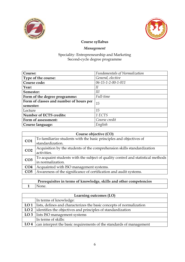



### Management

#### Speciality: Entrepreneurship and Marketing Second-cycle degree programme

| Course:                                    | <b>Fundamentals of Normalization</b> |
|--------------------------------------------|--------------------------------------|
| Type of the course:                        | General, elective                    |
| Course code:                               | 06-15-1-2-00-1-011                   |
| Year:                                      | Н                                    |
| Semester:                                  | Ш                                    |
| Full-time<br>Form of the degree programme: |                                      |
| Form of classes and number of hours per    | 15                                   |
| semester:                                  |                                      |
| Lecture                                    | 15                                   |
| <b>Number of ECTS credits:</b>             | 1 ECTS                               |
| Form of assessment:                        | Course credit                        |
| Course language:                           | English                              |

|                 | Course objective (CO)                                                            |  |
|-----------------|----------------------------------------------------------------------------------|--|
| CO <sub>1</sub> | To familiarize students with the basic principles and objectives of              |  |
|                 | standardization.                                                                 |  |
| CO <sub>2</sub> | Acquisition by the students of the comprehension skills standardization          |  |
|                 | activities.                                                                      |  |
| CO <sub>3</sub> | To acquaint students with the subject of quality control and statistical methods |  |
|                 | in normalization.                                                                |  |
| CO4             | Acquainted with ISO management systems.                                          |  |
| CO <sub>5</sub> | Awareness of the significance of certification and audit systems.                |  |

## Prerequisites in terms of knowledge, skills and other competencies 1 None.

| Learning outcomes (LO) |                                                                                  |
|------------------------|----------------------------------------------------------------------------------|
|                        | In terms of knowledge:                                                           |
|                        | <b>LO 1</b> lists, defines and characterizes the basic concepts of normalization |
|                        | LO 2 identifies the objectives and principles of standardization                 |
|                        | LO 3 lists ISO management systems                                                |
|                        | In terms of skills:                                                              |
|                        | LO 4 $\vert$ can interpret the basic requirements of the standards of management |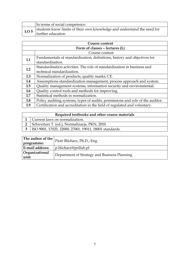|              | In terms of social competence:                                          |
|--------------|-------------------------------------------------------------------------|
| $\vert$ LO 5 | students know limits of their own knowledge and understand the need for |
|              | further education                                                       |

| Course content |                                                                                |  |
|----------------|--------------------------------------------------------------------------------|--|
|                | Form of classes - lectures (L)                                                 |  |
|                | Course content                                                                 |  |
| L1             | Fundamentals of standardization, definitions, history and objectives for       |  |
|                | standardisation.                                                               |  |
| L2             | Standardisation activities. The role of standardization in business and        |  |
|                | technical standardization.                                                     |  |
| L3             | Normalization of products, quality marks, CE.                                  |  |
| L4             | Assumptions standardization management, process approach and system.           |  |
| L5             | Quality management systems, information security and environmental.            |  |
| L6             | Quality control tools and methods for improving.                               |  |
| L7             | Statistical methods in normalization.                                          |  |
| L8             | Policy auditing systems, types of audits, permissions and role of the auditor. |  |
| L <sub>9</sub> | Certification and accreditation in the field of regulated and voluntary.       |  |

| Required textbooks and other course materials          |  |
|--------------------------------------------------------|--|
| Current laws on normalization.                         |  |
| Schweitzer T. (ed.), Normalizacja, PKN, 2010.          |  |
| ISO 9001, 17025, 22000, 27001, 19011, 18001 standards. |  |

| The author of the $\vert$ <sub>n</sub><br>programme: | Piotr Blicharz, Ph.D., Eng.                  |
|------------------------------------------------------|----------------------------------------------|
| <b>E-mail address:</b>                               | p.blicharz@pollub.pl                         |
| Organizational<br>unit:                              | Department of Strategy and Business Planning |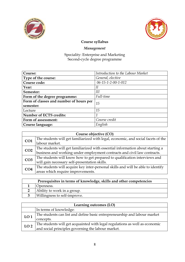



# Management

| Course:                                 | Introduction to the Labour Market |
|-----------------------------------------|-----------------------------------|
| Type of the course:                     | General, elective                 |
| Course code:                            | 06-15-1-2-00-1-012                |
| Year:                                   | II                                |
| Semester:                               | Ш                                 |
| Form of the degree programme:           | Full-time                         |
| Form of classes and number of hours per | 15                                |
| semester:                               |                                   |
| Lecture                                 | 15                                |
| <b>Number of ECTS credits:</b>          | 1                                 |
| Form of assessment:                     | Course credit                     |
| Course language:                        | English                           |

| Course objective (CO) |                                                                                   |
|-----------------------|-----------------------------------------------------------------------------------|
| CO <sub>1</sub>       | The students will get familiarized with legal, economic, and social facets of the |
|                       | labour market.                                                                    |
| CO <sub>2</sub>       | The students will get familiarized with essential information about starting a    |
|                       | business and working under employment contracts and civil law contracts.          |
| CO <sub>3</sub>       | The students will know how to get prepared to qualification interviews and        |
|                       | will gain necessary self-presentation skills.                                     |
| CO <sub>4</sub>       | The students will acquire key inter-personal skills and will be able to identify  |
|                       | areas which require improvements.                                                 |

| Prerequisites in terms of knowledge, skills and other competencies |                              |
|--------------------------------------------------------------------|------------------------------|
|                                                                    | <b>Openness.</b>             |
|                                                                    | Ability to work in a group.  |
|                                                                    | Willingness to self-improve. |

| Learning outcomes (LO) |                                                                             |
|------------------------|-----------------------------------------------------------------------------|
|                        | In terms of knowledge:                                                      |
| LO <sub>1</sub>        | The students can list and define basic entrepreneurship and labour market   |
|                        | concepts.                                                                   |
| LO <sub>2</sub>        | The students will get acquainted with legal regulations as well as economic |
|                        | and social principles governing the labour market.                          |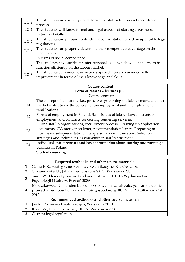| LO <sub>3</sub> | The students can correctly characterize the staff selection and recruitment  |  |
|-----------------|------------------------------------------------------------------------------|--|
|                 | process.                                                                     |  |
| LO <sub>4</sub> | The students will know formal and legal aspects of starting a business.      |  |
|                 | In terms of skills:                                                          |  |
| LO <sub>5</sub> | The students can prepare contractual documentation based on applicable legal |  |
|                 | regulations.                                                                 |  |
| LO <sub>6</sub> | The students can properly determine their competitive advantage on the       |  |
|                 | labour market                                                                |  |
|                 | In terms of social competence                                                |  |
| LO7             | The students have sufficient inter-personal skills which will enable them to |  |
|                 | function efficiently on the labour market.                                   |  |
|                 | The students demonstrate an active approach towards unaided self-            |  |
| LO <sub>8</sub> | improvement in terms of their knowledge and skills.                          |  |

| Course content |                                                                              |  |
|----------------|------------------------------------------------------------------------------|--|
|                | Form of classes - lectures (L)                                               |  |
|                | Course content                                                               |  |
|                | The concept of labour market, principles governing the labour market, labour |  |
| L1             | market institutions, the concept of unemployment and unemployment            |  |
|                | ramifications.                                                               |  |
| L2             | Forms of employment in Poland. Basic issues of labour law: contracts of      |  |
|                | employment and contracts concerning rendering services.                      |  |
|                | Hiring staff in organizations, recruitment process. Drawing up application   |  |
| L3             | documents: CV, motivation letter, recommendation letters. Preparing to       |  |
|                | interviews: self-presentation, inter-personal communication. Selection       |  |
|                | strategies and techniques. Savoir-vivre in staff recruitment                 |  |
| L <sub>4</sub> | Individual entrepreneurs and basic information about starting and running a  |  |
|                | business in Poland.                                                          |  |
| L5             | Students marking                                                             |  |

|                                                  | Required textbooks and other course materials                              |  |
|--------------------------------------------------|----------------------------------------------------------------------------|--|
|                                                  | Camp R.R., Strategiczne rozmowy kwalifikacyjne, Kraków 2006.               |  |
| $\overline{2}$                                   | Chrzanowska M., Jak napisać doskonałe CV, Warszawa 2003.                   |  |
| 3                                                | Siuda W., Elementy prawa dla ekonomistów, ETETEIA Wydawnictwo              |  |
|                                                  | Psychologii i Kultury, Poznań 2009.                                        |  |
| $\overline{\mathbf{4}}$                          | Młodzikowska D., Lunden B., Jednoosobowa firma. Jak założyć i samodzielnie |  |
|                                                  | prowadzić jednoosobową działalność gospodarczą, BL INFO POLSKA, Gdańsk     |  |
|                                                  | 2012.                                                                      |  |
| Recommended textbooks and other course materials |                                                                            |  |
|                                                  | Jay R., Rozmowa kwalifikacyjna, Warszawa 2010.                             |  |
| $\overline{2}$                                   | Kocot W., Elementy prawa, DIFIN, Warszawa 2008.                            |  |
| 3                                                | Current legal regulations                                                  |  |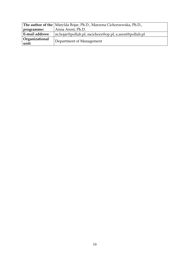| The author of the Matylda Bojar, Ph.D., Marzena Cichorzewska, Ph.D.,           |                   |
|--------------------------------------------------------------------------------|-------------------|
| programme:                                                                     | Anna Arent, Ph.D. |
| <b>E-mail address:</b><br>m.bojar@pollub.pl, mcichorz@op.pl, a.arent@pollub.pl |                   |
| Organizational<br>Department of Management<br>unit:                            |                   |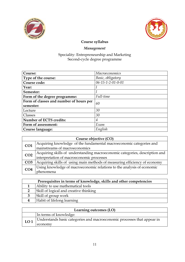



# Management

| Course:                                 | Macroeconomics    |
|-----------------------------------------|-------------------|
| Type of the course:                     | Basic, obligatory |
| Course code:                            | 06-15-1-2-01-0-01 |
| Year:                                   |                   |
| Semester:                               |                   |
| Form of the degree programme:           | Full-time         |
| Form of classes and number of hours per | 60                |
| semester:                               |                   |
| Lecture                                 | 30                |
| Classes                                 | 30                |
| <b>Number of ECTS credits:</b>          | 4                 |
| Form of assessment:                     | Exam              |
| Course language:                        | English           |

| Course objective (CO) |                                                                             |
|-----------------------|-----------------------------------------------------------------------------|
| CO <sub>1</sub>       | Acquiring knowledge of the fundamental macroeconomic categories and         |
|                       | mainstreams of macroeconomics                                               |
| CO <sub>2</sub>       | Acquiring skills of understanding macroeconomic categories, description and |
|                       | interpretation of macroeconomic processes                                   |
| CO <sub>3</sub>       | Acquiring skills of using main methods of measuring efficiency of economy   |
| CO <sub>4</sub>       | Using knowledge of macroeconomic relations to the analysis of economic      |
|                       | phenomena                                                                   |

| Prerequisites in terms of knowledge, skills and other competencies |  |
|--------------------------------------------------------------------|--|
| Ability to use mathematical tools                                  |  |
| Skill of logical and creative thinking                             |  |
| Skill of group work                                                |  |
| Habit of lifelong learning                                         |  |

| Learning outcomes (LO) |                                                                         |
|------------------------|-------------------------------------------------------------------------|
|                        | In terms of knowledge:                                                  |
| LO <sub>1</sub>        | Understands basic categories and macroeconomic processes that appear in |
|                        | economy                                                                 |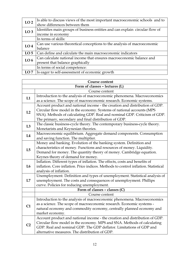| LO <sub>2</sub> | Is able to discuss views of the most important macroeconomic schools and to  |  |
|-----------------|------------------------------------------------------------------------------|--|
|                 | show differences between them                                                |  |
| LO <sub>3</sub> | Identifies main groups of business entities and can explain circular flow of |  |
|                 | income in economy                                                            |  |
|                 | In terms of skills:                                                          |  |
| LO <sub>4</sub> | Can use various theoretical conceptions to the analysis of macroeconomic     |  |
|                 | balance                                                                      |  |
| LO <sub>5</sub> | Can define and calculate the main macroeconomic indicators                   |  |
| LO <sub>6</sub> | Can calculate national income that ensures macroeconomic balance and         |  |
|                 | present that balance graphically                                             |  |
|                 | In terms of social competence:                                               |  |
| LO7             | Is eager to self-assessment of economic growth                               |  |

| <b>Course content</b> |                                                                                     |
|-----------------------|-------------------------------------------------------------------------------------|
|                       | Form of classes - lectures (L)                                                      |
|                       | Course content                                                                      |
| L1                    | Introduction to the analysis of macroeconomic phenomena. Macroeconomics             |
|                       | as a science. The scope of macroeconomic research. Economic systems.                |
|                       | Account product and national income - the creation and distribution of GDP.         |
| L2                    | Circular flow model in the economy. Systems of national accounts (MPS               |
|                       | SNA). Methods of calculating GDP. Real and nominal GDP. Criticism of GDP.           |
|                       | The primary, secondary and final distribution of GDP.                               |
| L3                    | The classic business-cycle theory. The contemporary business-cycle theory.          |
|                       | Monetarists and Keynesian theories.                                                 |
| L4                    | Macroeconomic equilibrium. Aggregate demand components. Consumption                 |
|                       | and saving function. The multiplier.                                                |
|                       | Money and banking. Evolution of the banking system. Definition and                  |
| L5                    | characteristics of money. Functions and resources of money. Liquidity.              |
|                       | Demand for money. The quantity theory of money. Cambridge equation.                 |
|                       | Keynes theory of demand for money.                                                  |
|                       | Inflation. Different types of inflation. The effects, costs and benefits of         |
| L6                    | inflation. Core inflation. Price indices. Methods to control inflation. Statistical |
|                       | analysis of inflation.                                                              |
|                       | Unemployment. Definition and types of unemployment. Statistical analysis of         |
| L7                    | unemployment. The costs and consequences of unemployment. Phillips                  |
|                       | curve. Policies for reducing unemployment.                                          |
|                       | Form of classes - classes (C)                                                       |
|                       | Course content                                                                      |
|                       | Introduction to the analysis of macroeconomic phenomena. Macroeconomics             |
| C1                    | as a science. The scope of macroeconomic research. Economic systems -               |
|                       | natural economy and commodity economy, centrally planned economy and                |
|                       | market economy.                                                                     |
|                       | Account product and national income - the creation and distribution of GDP.         |
| C <sub>2</sub>        | Circular flow model in the economy. MPS and SNA. Methods of calculating             |
|                       | GDP. Real and nominal GDP. The GDP deflator. Limitations of GDP and                 |
|                       | alternative measures. The distribution of GDP.                                      |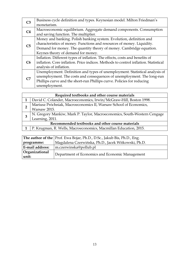| C <sub>3</sub> | Business cycle definition and types. Keynesian model. Milton Friedman's             |
|----------------|-------------------------------------------------------------------------------------|
|                | monetarism.                                                                         |
| C <sub>4</sub> | Macroeconomic equilibrium. Aggregate demand components. Consumption                 |
|                | and saving function. The multiplier.                                                |
|                | Money and banking. Polish banking system. Evolution, definition and                 |
| C <sub>5</sub> | characteristics of money. Functions and resources of money. Liquidity.              |
|                | Demand for money. The quantity theory of money. Cambridge equation.                 |
|                | Keynes theory of demand for money.                                                  |
|                | Inflation. Different types of inflation. The effects, costs and benefits of         |
| C6             | inflation. Core inflation. Price indices. Methods to control inflation. Statistical |
|                | analysis of inflation.                                                              |
|                | Unemployment. Definition and types of unemployment. Statistical analysis of         |
| C <sub>7</sub> | unemployment. The costs and consequences of unemployment. The long-run              |
|                | Phillips curve and the short-run Phillips curve. Policies for reducing              |
|                | unemployment.                                                                       |

|  | Required textbooks and other course materials                            |  |
|--|--------------------------------------------------------------------------|--|
|  | David C. Colander, Macroeconomics, Irwin/McGraw-Hill, Boston 1998.       |  |
|  | Mariusz Próchniak, Macroeconomics II, Warsaw School of Economics,        |  |
|  | Warsaw 2015.                                                             |  |
|  | N. Gregory Mankiw, Mark P. Taylor, Macroeconomics, South-Western Cengage |  |
|  | Learning, 2011.                                                          |  |
|  | Recommended textbooks and other course materials                         |  |
|  | P. Krugman, R. Wells, Macroeconomics, Macmillan Education, 2015.         |  |

|                         | The author of the   Prof. Ewa Bojar, Ph.D., D.Sc., Jakub Bis, Ph.D., Eng. |  |  |
|-------------------------|---------------------------------------------------------------------------|--|--|
| programme:              | Magdalena Czerwińska, Ph.D., Jacek Witkowski, Ph.D.                       |  |  |
| E-mail address:         | m.czerwinska@pollub.pl                                                    |  |  |
| Organizational<br>unit: | Department of Economics and Economic Management                           |  |  |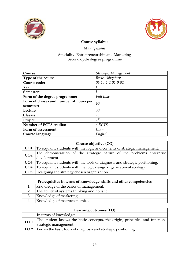



# Management

| Course:                                 | Strategic Management            |  |
|-----------------------------------------|---------------------------------|--|
| Type of the course:                     | Basic, obligatory               |  |
| Course code:                            | $06 - 15 - 1 - 2 - 01 - 0 - 02$ |  |
| Year:                                   |                                 |  |
| Semester:                               |                                 |  |
| Form of the degree programme:           | Full time                       |  |
| Form of classes and number of hours per | 60                              |  |
| semester:                               |                                 |  |
| Lecture                                 | 30                              |  |
| Classes                                 | 15                              |  |
| Project                                 | 15                              |  |
| Number of ECTS credits:                 | 4 ECTS                          |  |
| Form of assessment:                     | Exam                            |  |
| Course language:                        | English                         |  |

| Course objective (CO) |                                                                                        |  |
|-----------------------|----------------------------------------------------------------------------------------|--|
|                       | <b>CO1</b>   To acquaint students with the logic and contents of strategic management. |  |
| CO <sub>2</sub>       | The demonstration of the strategic nature of the problems enterprise                   |  |
|                       | development.                                                                           |  |
|                       | <b>CO3</b> To acquaint students with the tools of diagnosis and strategic positioning. |  |
| CO <sub>4</sub>       | To acquaint students with the logic design organizational strategy.                    |  |
|                       | <b>CO5</b> Designing the strategy chosen organization.                                 |  |

| Prerequisites in terms of knowledge, skills and other competencies |  |
|--------------------------------------------------------------------|--|
| Knowledge of the basics of management.                             |  |
| The ability of systems thinking and holistic.                      |  |
| Knowledge of marketing.                                            |  |
| Knowledge of macroeconomics.                                       |  |

| Learning outcomes (LO) |                                                                                                     |
|------------------------|-----------------------------------------------------------------------------------------------------|
|                        | In terms of knowledge:                                                                              |
| LO <sub>1</sub>        | The student knows the basic concepts, the origin, principles and functions<br>strategic management. |
|                        | LO 2   knows the basic tools of diagnosis and strategic positioning                                 |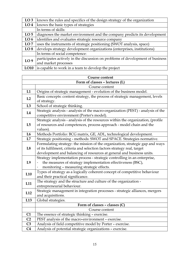| LO <sub>3</sub> | knows the rules and specifics of the design strategy of the organization       |  |
|-----------------|--------------------------------------------------------------------------------|--|
| LO <sub>4</sub> | knows the basic types of strategies                                            |  |
|                 | In terms of skills:                                                            |  |
| LO <sub>5</sub> | diagnoses the market environment and the company predicts its development      |  |
| LO <sub>6</sub> | identifies and evaluates strategic resource company                            |  |
| LO7             | uses the instruments of strategic positioning (SWOT analysis, space)           |  |
| LO <sub>8</sub> | develops strategy development organizations (enterprises, institutions)        |  |
|                 | In terms of social competence:                                                 |  |
| LO <sub>9</sub> | participates actively in the discussion on problems of development of business |  |
|                 | and market processes                                                           |  |
| LO10            | is capable to work in a team to develop the project                            |  |

| <b>Course content</b>          |                                                                                  |
|--------------------------------|----------------------------------------------------------------------------------|
| Form of classes - lectures (L) |                                                                                  |
|                                | Course content                                                                   |
| L1                             | Origins of strategic management - evolution of the business model.               |
| L2                             | Basic concepts: content strategy, the process of strategic management, levels    |
|                                | of strategy.                                                                     |
| L3                             | School of strategic thinking.                                                    |
| L4                             | Strategic analysis - analysis of the macro-organization (PEST) - analysis of the |
|                                | competitive environment (Porter's model).                                        |
|                                | Strategic analysis - analysis of the resources within the organization, (profile |
| L5                             | of resources and competences, process approach - model chain and the             |
|                                | values).                                                                         |
| L <sub>6</sub>                 | Methods Portfolio: BCG matrix, GE, ADL, technological development.               |
| L7                             | Strategic positioning - methods: SWOT and SPACE. Strategies normative.           |
|                                | Formulating strategy: the mission of the organization, strategic gap and ways    |
| L8                             | of its fulfilment, criteria and selection factors strategy real, target          |
|                                | development and balancing of resources at general and business units.            |
|                                | Strategy implementation process - strategic controlling in an enterprise,        |
| L9                             | the measures of strategy implementation effectiveness (BSC),                     |
|                                | monitoring - measuring strategic effects.                                        |
| L10                            | Types of strategy as a logically coherent concept of competitive behaviour       |
|                                | and their practical significance.                                                |
| L11                            | The strategy and the structure and culture of the organization -                 |
|                                | entrepreneurial behaviour.                                                       |
| L12                            | Strategic management in integration processes - strategic alliances, mergers     |
|                                | and acquisitions.                                                                |
| L13                            | Global strategies.                                                               |
|                                | Form of classes - classes (C)                                                    |
|                                | Course content                                                                   |
| C1                             | The essence of strategic thinking - exercise.                                    |
| C <sub>2</sub>                 | PEST analysis of the macro-environment - exercise.                               |
| C <sub>3</sub>                 | Analysis of field competitive model by Porter - exercise.                        |
| C <sub>4</sub>                 | Analysis of potential strategic organizations - exercise.                        |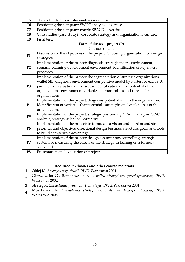| C <sub>5</sub> | The methods of portfolio analysis - exercise.                                                                                                                                                                                                                                                                                       |  |
|----------------|-------------------------------------------------------------------------------------------------------------------------------------------------------------------------------------------------------------------------------------------------------------------------------------------------------------------------------------|--|
| C6             | Positioning the company: SWOT analysis - exercise.                                                                                                                                                                                                                                                                                  |  |
| C7             | Positioning the company: matrix SPACE - exercise.                                                                                                                                                                                                                                                                                   |  |
| C8             | Case studies (case study) - corporate strategy and organizational culture.                                                                                                                                                                                                                                                          |  |
| C9             | Final test.                                                                                                                                                                                                                                                                                                                         |  |
|                | Form of classes – project $(P)$                                                                                                                                                                                                                                                                                                     |  |
|                | Course content                                                                                                                                                                                                                                                                                                                      |  |
| <b>P1</b>      | Discussion of the objectives of the project. Choosing organization for design<br>strategies.                                                                                                                                                                                                                                        |  |
| P <sub>2</sub> | Implementation of the project: diagnosis strategic macro-environment,<br>scenario planning development environment, identification of key macro-<br>processes.                                                                                                                                                                      |  |
| P <sub>3</sub> | Implementation of the project: the segmentation of strategic organizations,<br>wallet SJB, diagnosis environment competitive model by Porter for each SJB,<br>parametric evaluation of the sector. Identification of the potential of the<br>organization's environment variables - opportunities and threats for<br>organizations. |  |
| <b>P4</b>      | Implementation of the project: diagnosis potential within the organization.<br>Identification of variables that potential - strengths and weaknesses of the<br>organization.                                                                                                                                                        |  |
| P5             | Implementation of the project: strategic positioning, SPACE analysis, SWOT<br>analysis, strategy selection normative.                                                                                                                                                                                                               |  |
| <b>P6</b>      | Implementation of the project: to formulate a vision and mission and strategic<br>priorities and objectives directional design business structure, goals and tools<br>to build competitive advantage.                                                                                                                               |  |
| P7             | Implementation of the project: design assumptions controlling strategic<br>system for measuring the effects of the strategy in leaning on a formula<br>Scorecard.                                                                                                                                                                   |  |
| P <sub>8</sub> | Presentation and evaluation of projects.                                                                                                                                                                                                                                                                                            |  |

|  | Required textbooks and other course materials                              |  |  |
|--|----------------------------------------------------------------------------|--|--|
|  | Obłój K., Strategia organizacji, PWE, Warszawa 2001.                       |  |  |
|  | Gierszewska G., Romanowska A., Analiza strategiczna przedsiębiorstwa, PWE, |  |  |
|  | Warszawa 2002.                                                             |  |  |
|  | Strategor, Zarządzanie firmą. Cz. 1. Strategie, PWE, Warszawa 2001.        |  |  |
|  | Moszkowicz M, Zarządzanie strategiczne. Systemowa koncepcja biznesu, PWE,  |  |  |
|  | Warszawa 2005.                                                             |  |  |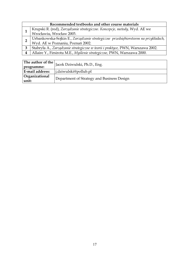|  | Recommended textbooks and other course materials                                                                      |  |
|--|-----------------------------------------------------------------------------------------------------------------------|--|
|  | Krupski R. (red), Zarządzanie strategiczne. Koncepcje, metody, Wyd. AE we                                             |  |
|  | Wrocławiu, Wrocław 2003.                                                                                              |  |
|  | Urbankowska-Sojkin E., Zarządzanie strategiczne przedsiębiorstwem na przykładach,<br>Wyd. AE w Poznaniu, Poznań 2002. |  |
|  |                                                                                                                       |  |
|  | Stabryła A., Zarządzanie strategiczne w teorii i praktyce, PWN, Warszawa 2002.                                        |  |
|  | Allaire Y., Firsirotu M.E., Myślenie strategiczne, PWN, Warszawa 2000.                                                |  |

| The author of the<br>programme: | Jacek Dziwulski, Ph.D., Eng.               |  |
|---------------------------------|--------------------------------------------|--|
| <b>E-mail address:</b>          | j.dziwulski@pollub.pl                      |  |
| Organizational<br>unit:         | Department of Strategy and Business Design |  |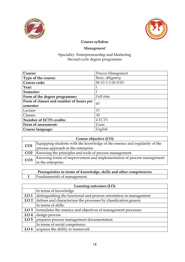



# Management

| Course:                                 | Process Management |  |
|-----------------------------------------|--------------------|--|
| Type of the course:                     | Basic, obligatory  |  |
| Course code:                            | 06-15-1-2-01-0-03  |  |
| Year:                                   |                    |  |
| Semester:                               |                    |  |
| Form of the degree programme:           | Full-time          |  |
| Form of classes and number of hours per | 45                 |  |
| semester:                               |                    |  |
| Lecture                                 | 15                 |  |
| Classes                                 | 30                 |  |
| <b>Number of ECTS credits:</b>          | 4 ECTS             |  |
| Form of assessment:                     | Exam               |  |
| Course language:                        | English            |  |

| Course objective (CO) |                                                                            |
|-----------------------|----------------------------------------------------------------------------|
| CO <sub>1</sub>       | Equipping students with the knowledge of the essence and regularity of the |
|                       | process approach in the enterprise.                                        |
|                       | <b>CO2</b>   Knowing the principles and tools of process management.       |
| CO <sub>3</sub>       | Knowing forms of improvement and implementation of process management      |
|                       | in the enterprise.                                                         |

| Prerequisites in terms of knowledge, skills and other competencies |                                    |
|--------------------------------------------------------------------|------------------------------------|
|                                                                    | <b>Fundamentals of management.</b> |

| Learning outcomes (LO) |                                                                     |
|------------------------|---------------------------------------------------------------------|
|                        | In terms of knowledge:                                              |
| LO <sub>1</sub>        | distinguishing the functional and process orientation in management |
| LO <sub>2</sub>        | defines and characterizes the processes by classification generic   |
|                        | In terms of skills:                                                 |
| LO <sub>3</sub>        | formulates the essence and objectives of management processes       |
| LO <sub>4</sub>        | design process                                                      |
| LO <sub>5</sub>        | prepares process management documentation                           |
|                        | In terms of social competence:                                      |
| LO <sub>6</sub>        | acquires the ability to teamwork                                    |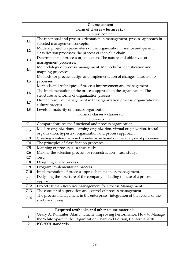| <b>Course content</b>          |                                                                              |  |
|--------------------------------|------------------------------------------------------------------------------|--|
| Form of classes - lectures (L) |                                                                              |  |
|                                | Course content                                                               |  |
| L1                             | The functional and process orientation in management, process approach in    |  |
|                                | selected management concepts.                                                |  |
| L2                             | Modern projection parameters of the organization. Essence and generic        |  |
|                                | classification processes, the process of the value chain.                    |  |
| L3                             | Determinants of process organization. The nature and objectives of           |  |
|                                | management processes.                                                        |  |
| L4                             | Methodology of process management. Methods for identification and            |  |
|                                | mapping processes.                                                           |  |
|                                | Methods for process design and implementation of changes. Leadership         |  |
| L <sub>5</sub>                 | processes.                                                                   |  |
|                                | Methods and techniques of process improvement and management.                |  |
| L <sub>6</sub>                 | The implementation of the process approach in the organization. The          |  |
|                                | structures and forms of organization process.                                |  |
| L7                             | Human resource management in the organization process, organizational        |  |
|                                | culture process.                                                             |  |
| L8                             | Levels of maturity of process organization.                                  |  |
|                                | Form of classes - classes (C)                                                |  |
|                                | Course content                                                               |  |
| C1                             | Compare features the functional and process organization.                    |  |
| C <sub>2</sub>                 | Modern organizations: learning organization, virtual organization, fractal   |  |
|                                | organization, hypertext organization and process approach.                   |  |
| C <sub>3</sub>                 | Creating a value chain in the enterprise based on the analysis of processes. |  |
| C <sub>4</sub>                 | The principles of classification processes.                                  |  |
| C5                             | Mapping of processes - a case study.                                         |  |
| C6                             | Making the selection process for reconstruction - case study.                |  |
| C7                             | Test.                                                                        |  |
| C8                             | Designing a new process.                                                     |  |
| C <sub>9</sub>                 | Program implementation process.                                              |  |
| C10                            | Implementation of process approach in business management.                   |  |
|                                | Designing the structure of the company including the use of a process        |  |
| C11                            | approach.                                                                    |  |
| C12                            | Project Human Resource Management for Process Management.                    |  |
| C13                            | The concept of supervision and control of process management.                |  |
| C14                            | The process management in the enterprise - integration of the results of the |  |
|                                | study and design.                                                            |  |

| Required textbooks and other course materials |                                                                         |  |
|-----------------------------------------------|-------------------------------------------------------------------------|--|
|                                               | Geary A. Rummler, Alan P. Brache, Improving Performance: How to Manage  |  |
|                                               | the White Space in the Organization Chart 2nd Edition, California 2010. |  |
|                                               | ISO 9001 standards.                                                     |  |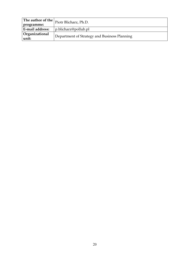| programme:              | $\sqrt{\frac{1}{2}}$ The author of the $\vert$ Piotr Blicharz, Ph.D. |
|-------------------------|----------------------------------------------------------------------|
| E-mail address:         | p.blicharz@pollub.pl                                                 |
| Organizational<br>unit: | Department of Strategy and Business Planning                         |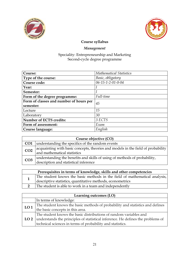



# Management

| <b>Mathematical Statistics</b><br>Course:  |                   |
|--------------------------------------------|-------------------|
| Type of the course:                        | Basic, obligatory |
| Course code:                               | 06-15-1-2-01-0-04 |
| Year:                                      |                   |
| Semester:                                  |                   |
| Full-time<br>Form of the degree programme: |                   |
| Form of classes and number of hours per    | 45                |
| semester:                                  |                   |
| Lecture                                    | 15                |
| 30<br>Laboratory                           |                   |
| <b>Number of ECTS credits:</b>             | 3 ECTS            |
| Form of assessment:<br>Exam                |                   |
| Course language:                           | English           |

| Course objective (CO) |                                                                                  |  |
|-----------------------|----------------------------------------------------------------------------------|--|
| CO <sub>1</sub>       | understanding the specifics of the random events                                 |  |
| CO <sub>2</sub>       | acquainting with basic concepts, theories and models in the field of probability |  |
|                       | and mathematical statistics                                                      |  |
| CO <sub>3</sub>       | understanding the benefits and skills of using of methods of probability,        |  |
|                       | description and statistical inference                                            |  |

| Prerequisites in terms of knowledge, skills and other competencies |                                                                                                                                       |
|--------------------------------------------------------------------|---------------------------------------------------------------------------------------------------------------------------------------|
|                                                                    | The student knows the basic methods in the field of mathematical analysis, descriptive statistics, quantitative methods, econometrics |
|                                                                    | The student is able to work in a team and independently                                                                               |

| Learning outcomes (LO) |                                                                                        |
|------------------------|----------------------------------------------------------------------------------------|
|                        | In terms of knowledge:                                                                 |
| LO <sub>1</sub>        | The student knows the basic methods of probability and statistics and defines          |
|                        | the basic concepts in this area.                                                       |
|                        | The student knows the basic distributions of random variables and                      |
|                        | LO 2   understands the principles of statistical inference. He defines the problems of |
|                        | technical sciences in terms of probability and statistics.                             |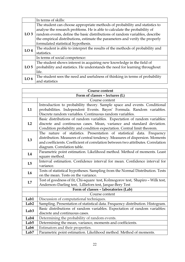|                 | In terms of skills:                                                            |
|-----------------|--------------------------------------------------------------------------------|
|                 | The student can choose appropriate methods of probability and statistics to    |
|                 | analyse the research problems. He is able to calculate the probability of      |
| LO <sub>3</sub> | random events, define the basic distributions of random variables, describe    |
|                 | the empirical distributions, estimate the parameters and verify the properly   |
|                 | formulated statistical hypothesis.                                             |
|                 | The student is able to interpret the results of the methods of probability and |
| LO <sub>4</sub> | statistics.                                                                    |
|                 | In terms of social competence:                                                 |
|                 | The student shows interest in acquiring new knowledge in the field of          |
| LO <sub>5</sub> | probability and statistics. He understands the need for learning throughout    |
|                 | life.                                                                          |
| LO <sub>6</sub> | The student sees the need and usefulness of thinking in terms of probability   |
|                 | and statistics                                                                 |

| Course content                 |                                                                                  |
|--------------------------------|----------------------------------------------------------------------------------|
| Form of classes - lectures (L) |                                                                                  |
|                                | Course content                                                                   |
|                                | Introduction to probability theory. Sample space and events. Conditional         |
| L1                             | probabilities. Independent Events. Bayes' Formula. Random variables.             |
|                                | Discrete random variables. Continuous random variables.                          |
|                                | Basic distributions of random variables. Expectation of random variables:        |
| L2                             | discrete and continuous cases. Mean, variance and standard deviation.            |
|                                | Condition probability and condition expectation. Central limit theorem.          |
|                                | The nature of statistics. Presentation of statistical data. Frequency            |
| L3                             | distribution. Measures of central tendency. Measures of dispersion. Moments      |
|                                | and coefficients. Coefficient of correlation between two attributes. Correlation |
|                                | diagram. Correlation table.                                                      |
| L4                             | Parametric point estimation. Likelihood method. Method of moments. Least         |
|                                | square method.                                                                   |
| L5                             | Interval estimation. Confidence interval for mean. Confidence interval for       |
|                                | variance.                                                                        |
| L <sub>6</sub>                 | Tests of statistical hypotheses. Sampling from the Normal Distribution. Tests    |
|                                | on the mean. Tests on the variance.                                              |
| L7                             | Test of goodness of fit, Chi-square test, Kolmogorov test, Shapiro - Wilk test,  |
|                                | Anderson-Darling test, Lilliefors test, Jarque-Bery Test                         |
|                                | Form of classes - laboratories (Lab)                                             |
|                                | Course content                                                                   |
| Lab1                           | Discussion of computational techniques.                                          |
| Lab <sub>2</sub>               | Sampling. Presentation of statistical data. Frequency distribution. Histogram.   |
| Lab <sub>3</sub>               | Basic distributions of random variables. Expectation of random variables:        |
|                                | discrete and continuous cases.                                                   |
| Lab4                           | Determining the probability of random events.                                    |
| Lab <sub>5</sub>               | Determining the mean, variance, moments and coefficients.                        |
| Lab6                           | Estimators and their properties.                                                 |
| Lab <sub>7</sub>               | Parametric point estimation. Likelihood method. Method of moments.               |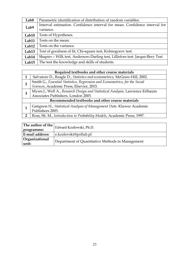| Lab <sub>8</sub>  | Parametric identification of distribution of random variables.                |  |
|-------------------|-------------------------------------------------------------------------------|--|
| Lab9              | Interval estimation. Confidence interval for mean. Confidence interval for    |  |
|                   | variance.                                                                     |  |
| Lab10             | Tests of Hypotheses.                                                          |  |
| Lab11             | Tests on the mean.                                                            |  |
| Lab12             | Tests on the variance.                                                        |  |
| Lab <sub>13</sub> | Test of goodness of fit, Chi-square test, Kolmogorov test.                    |  |
| Lab14             | Shapiro - Wilk test, Anderson-Darling test, Lilliefors test. Jarque-Bery Test |  |
| Lab15             | The test the knowledge and skills of students.                                |  |

|                                                  | Required textbooks and other course materials                                 |  |
|--------------------------------------------------|-------------------------------------------------------------------------------|--|
|                                                  | Salvatore D., Reagle D., Statistics and econometrics, McGraw-Hill, 2002.      |  |
| 2                                                | Smith G., Essential Statistics, Regression and Econometrics, for the Social   |  |
|                                                  | Sciences, Academic Press, Elsevier, 2015.                                     |  |
| З                                                | Myers J., Well A., Research Design and Statistical Analysis, Lawrence Erlbaum |  |
|                                                  | Associates Publishers, London 2003.                                           |  |
| Recommended textbooks and other course materials |                                                                               |  |
|                                                  | Gatignon H., Statistical Analysis of Management Data. Kluwer Academic         |  |
|                                                  | Publishers 2003.                                                              |  |
| 2                                                | Ross, Sh. M., Introduction to Probability Models, Academic Press, 1997.       |  |

|                         | The author of the $ $ Edward Kozłowski, Ph.D.    |
|-------------------------|--------------------------------------------------|
| programme:              |                                                  |
| E-mail address:         | e.kozlovski@pollub.pl                            |
| Organizational<br>unit: | Department of Quantitative Methods in Management |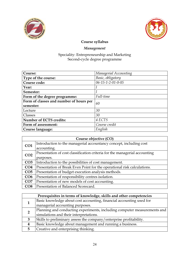



# Management

| Course:                                       | Managerial Accounting           |  |
|-----------------------------------------------|---------------------------------|--|
| Type of the course:                           | Basic, obligatory               |  |
| Course code:                                  | $06 - 15 - 1 - 2 - 01 - 0 - 05$ |  |
| Year:                                         |                                 |  |
| Semester:                                     |                                 |  |
| Form of the degree programme:                 | Full-time                       |  |
| Form of classes and number of hours per<br>60 |                                 |  |
| semester:                                     |                                 |  |
| Lecture                                       | 30                              |  |
| Classes                                       | 30                              |  |
| <b>Number of ECTS credits:</b><br>4 ECTS      |                                 |  |
| Form of assessment:                           | Course credit                   |  |
| Course language:                              | English                         |  |

| Course objective (CO) |                                                                            |
|-----------------------|----------------------------------------------------------------------------|
| CO1                   | Introduction to the managerial accountancy concept, including cost         |
|                       | accounting.                                                                |
| CO <sub>2</sub>       | Presentation of cost classification criteria for the managerial accounting |
|                       | purposes.                                                                  |
| CO <sub>3</sub>       | Introduction to the possibilities of cost management.                      |
| CO <sub>4</sub>       | Presentation of Break Even Point for the operational risk calculations.    |
| CO <sub>5</sub>       | Presentation of budget execution analysis methods.                         |
| CO6                   | Presentation of responsibility centres isolation.                          |
| CO7                   | Presentation of new models of cost accounting.                             |
| CO8                   | Presentation of Balanced Scorecard.                                        |

|                | Prerequisites in terms of knowledge, skills and other competencies       |  |
|----------------|--------------------------------------------------------------------------|--|
|                | Basic knowledge about cost accounting, financial accounting used for     |  |
|                | managerial accounting purposes.                                          |  |
| $\overline{2}$ | Planning and conducting experiments, including computer measurements and |  |
|                | simulations and their interpretations.                                   |  |
| 3              | Skills to preliminary assess the company/enterprise profitability.       |  |
|                | Basic knowledge about management and running a business.                 |  |
| 5              | Creative and enterprising thinking.                                      |  |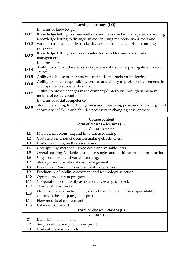|                 | Learning outcomes (LO)                                                           |  |
|-----------------|----------------------------------------------------------------------------------|--|
|                 | In terms of knowledge:                                                           |  |
| LO <sub>1</sub> | Knowledge letting to stress methods and tools used in managerial accounting      |  |
|                 | Knowledge letting to distinguish cost splitting methods (fixed costs and         |  |
| LO <sub>2</sub> | variable costs) and ability to classify costs for the managerial accounting      |  |
|                 | purposes.                                                                        |  |
| LO <sub>3</sub> | Knowledge letting to stress specialist tools and techniques of costs             |  |
|                 | management.                                                                      |  |
|                 | In terms of skills:                                                              |  |
| LO <sub>4</sub> | Ability to conduct the analysis of operational risk, interpreting its course and |  |
|                 | causes.                                                                          |  |
| LO <sub>5</sub> | Ability to choose proper analysis methods and tools for budgeting.               |  |
| LO <sub>6</sub> | Ability to isolate responsibility centres and ability to project enhancements in |  |
|                 | each specific responsibility centre.                                             |  |
| LO <sub>7</sub> | Ability to project changes in the company/enterprise through using new           |  |
|                 | models of cost accounting.                                                       |  |
|                 | In terms of social competence:                                                   |  |
| LO <sub>8</sub> | Student is willing to further gaining and improving possessed knowledge and      |  |
|                 | shows a set of skills and abilities necessary in changing environment.           |  |

| <b>Course content</b> |                                                                                |
|-----------------------|--------------------------------------------------------------------------------|
|                       | Form of classes - lectures (L)                                                 |
|                       | Course content                                                                 |
| L1                    | Managerial accounting and financial accounting.                                |
| L2                    | Costs as a criterion of decision making effectiveness.                         |
| L3                    | Costs calculating methods - revision.                                          |
| L4                    | Cost splitting methods - fixed costs and variable costs.                       |
| L5                    | Overall costing. Variable costing for single- and multi-assortment production. |
| L <sub>6</sub>        | Usage of overall and variable costing.                                         |
| L7                    | Strategic and operational cost management.                                     |
| L8                    | Break Even Point in investment risk calculation.                               |
| L <sub>9</sub>        | Products profitability assessment and technology selection.                    |
| L10                   | Optimal production program.                                                    |
| L11                   | Cooperation profitability assessment. Lower price level.                       |
| L12                   | Theory of constraints.                                                         |
| L13                   | Organizational structure analysis and criteria of isolating responsibility     |
|                       | centres in the company/enterprise.                                             |
| L14                   | New models of cost accounting.                                                 |
| L15                   | <b>Balanced Scorecard.</b>                                                     |
|                       | Form of classes - classes (C)                                                  |
|                       | Course content                                                                 |
| C1                    | Materials management.                                                          |
| C <sub>2</sub>        | Simple calculation pitch. Sales profit.                                        |
| C <sub>3</sub>        | Cost calculating methods.                                                      |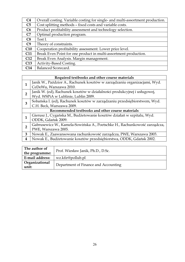| C <sub>4</sub> | Overall costing. Variable costing for single- and multi-assortment production. |
|----------------|--------------------------------------------------------------------------------|
| C5             | Cost splitting methods - fixed costs and variable costs.                       |
| C6             | Product profitability assessment and technology selection.                     |
| C7             | Optimal production program.                                                    |
| C8             | Test I.                                                                        |
| C <sub>9</sub> | Theory of constraints.                                                         |
| C10            | Cooperation profitability assessment. Lower price level.                       |
| <b>C11</b>     | Break Even Point for one product in multi-assortment production.               |
| C12            | Break Even Analysis. Margin management.                                        |
| C13            | Activity-Based Costing.                                                        |
| C14            | <b>Balanced Scorecard.</b>                                                     |

|                                                  | Required textbooks and other course materials                             |  |
|--------------------------------------------------|---------------------------------------------------------------------------|--|
|                                                  | Janik W., Paździor A., Rachunek kosztów w zarządzaniu organizacjami, Wyd. |  |
|                                                  | CeDeWu, Warszawa 2010.                                                    |  |
| 2                                                | Janik W. (ed), Rachunek kosztów w działalności produkcyjnej i usługowej,  |  |
|                                                  | Wyd. WSPiA w Lublinie, Lublin 2009.                                       |  |
| 3                                                | Sobańska I. (ed), Rachunek kosztów w zarządzaniu przedsiębiorstwem, Wyd.  |  |
|                                                  | C.H. Beck, Warszawa 2009.                                                 |  |
| Recommended textbooks and other course materials |                                                                           |  |
|                                                  | Gierusz J., Cygańska M., Budżetowanie kosztów działań w szpitalu, Wyd.    |  |
|                                                  | ODDK, Gdańsk 2009.                                                        |  |
| $\overline{2}$                                   | Gabrusewicz W., Kamela-Sowińska A., Poetschke H., Rachunkowość zarządcza, |  |
|                                                  | PWE, Warszawa 2005.                                                       |  |
| 3                                                | Nowak E., Zaawansowana rachunkowość zarządcza, PWE, Warszawa 2003.        |  |
| 4                                                | Nowak E., Budżetowanie kosztów przedsiębiorstwa, ODDK, Gdańsk 2002.       |  |

| The author of<br>the programme: | Prof. Wiesław Janik, Ph.D., D.Sc.    |  |
|---------------------------------|--------------------------------------|--|
| E-mail address:                 | wz.kfir@pollub.pl                    |  |
| Organizational<br>unit:         | Department of Finance and Accounting |  |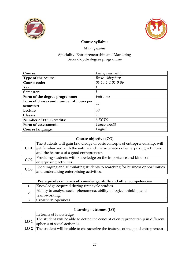



# Management

| Course:                                       | Entrepreneurship  |  |
|-----------------------------------------------|-------------------|--|
| Type of the course:                           | Basic, obligatory |  |
| Course code:                                  | 06-15-1-2-01-0-06 |  |
| Year:                                         |                   |  |
| Semester:                                     |                   |  |
| Form of the degree programme:                 | Full-time         |  |
| Form of classes and number of hours per<br>45 |                   |  |
| semester:                                     |                   |  |
| Lecture                                       | 30                |  |
| Classes                                       | 15                |  |
| <b>Number of ECTS credits:</b><br>3 ECTS      |                   |  |
| Form of assessment:                           | Course credit     |  |
| Course language:                              | English           |  |

| Course objective (CO) |                                                                                 |
|-----------------------|---------------------------------------------------------------------------------|
| CO <sub>1</sub>       | The students will gain knowledge of basic concepts of entrepreneurship, will    |
|                       | get familiarized with the nature and characteristics of enterprising activities |
|                       | and the features of a good entrepreneur.                                        |
| CO <sub>2</sub>       | Providing students with knowledge on the importance and kinds of                |
|                       | enterprising activities.                                                        |
| CO <sub>3</sub>       | Encouraging and stimulating students to searching for business opportunities    |
|                       | and undertaking enterprising activities.                                        |

|  | Prerequisites in terms of knowledge, skills and other competencies   |
|--|----------------------------------------------------------------------|
|  | Knowledge acquired during first-cycle studies.                       |
|  | Ability to analyse social phenomena, ability of logical thinking and |
|  | team-working.                                                        |
|  | Creativity, openness.                                                |

| Learning outcomes (LO) |                                                                                                      |
|------------------------|------------------------------------------------------------------------------------------------------|
|                        | In terms of knowledge:                                                                               |
| LO1                    | The student will be able to define the concept of entrepreneurship in different                      |
|                        | spheres of social activities.                                                                        |
|                        | $\vert$ LO 2 $\vert$ The student will be able to characterize the features of the good entrepreneur. |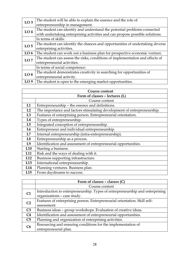| LO <sub>3</sub> | The student will be able to explain the essence and the role of               |
|-----------------|-------------------------------------------------------------------------------|
|                 | entrepreneurship in management.                                               |
|                 |                                                                               |
| LO <sub>4</sub> | The student can identify and understand the potential problems connected      |
|                 | with undertaking enterprising activities and can propose possible solutions.  |
|                 | In terms of skills:                                                           |
| LO <sub>5</sub> | The student can identify the chances and opportunities of undertaking diverse |
|                 | enterprising activities.                                                      |
| LO <sub>6</sub> | The student can work out a business plan for prospective economic venture.    |
| LO <sub>7</sub> | The student can assess the risks, conditions of implementation and effects of |
|                 | entrepreneurial activities.                                                   |
|                 | In terms of social competence:                                                |
| LO <sub>8</sub> | The student demonstrates creativity in searching for opportunities of         |
|                 | entrepreneurial activity.                                                     |
| LO <sub>9</sub> | The student is open to the emerging market opportunities.                     |

|                 | <b>Course content</b>                                                   |  |
|-----------------|-------------------------------------------------------------------------|--|
|                 | Form of classes - lectures (L)                                          |  |
|                 | Course content                                                          |  |
| L1              | Entrepreneurship - the essence and definitions.                         |  |
| L2              | The importance and factors stimulating development of entrepreneurship. |  |
| L3              | Features of enterprising person. Entrepreneurial orientation.           |  |
| L4              | Types of entrepreneurship.                                              |  |
| L5              | Integrated conception of entrepreneurship.                              |  |
| L <sub>6</sub>  | Entrepreneur and individual entrepreneurship.                           |  |
| L7              | Internal entrepreneurship (intra-entrepreneurship).                     |  |
| L <sub>8</sub>  | Entrepreneurship as a process.                                          |  |
| L9              | Identification and assessment of entrepreneurial opportunities.         |  |
| L10             | Starting a business.                                                    |  |
| L <sub>11</sub> | Risk and the ways of dealing with it.                                   |  |
| L12             | Business supporting infrastructure.                                     |  |
| L13             | International entrepreneurship.                                         |  |
| L14             | Planning ventures. Business plan.                                       |  |
| L15             | From daydreams to success.                                              |  |

|                | Form of classes $-$ classes $(C)$                                            |
|----------------|------------------------------------------------------------------------------|
|                | Course content                                                               |
| C <sub>1</sub> | Introduction to entrepreneurship. Types of entrepreneurship and enterprising |
|                | organizations - case study.                                                  |
| C <sub>2</sub> | Features of enterprising person. Entrepreneurial orientation. Skill self-    |
|                | assessment.                                                                  |
| C <sub>3</sub> | Business ideas - group workshops. Evaluation of creative ideas.              |
| C <sub>4</sub> | Identification and assessment of entrepreneurial opportunities.              |
| C5             | Planning and organization of enterprising activities.                        |
| C6             | Resourcing and ensuring conditions for the implementation of                 |
|                | entrepreneurial plan.                                                        |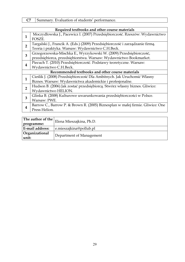C7 Summary. Evaluation of students' performance.

|                  | Required textbooks and other course materials                                  |  |  |
|------------------|--------------------------------------------------------------------------------|--|--|
| $\mathbf{1}$     | Moczydłowska J., Pacewicz I. (2007) Przedsiębiorczość. Rzeszów: Wydawnictwo    |  |  |
|                  | FOSZE.                                                                         |  |  |
| $\overline{2}$   | Targalski J., Francik A. (Eds.) (2009) Przedsiębiorczość i zarządzanie firmą.  |  |  |
|                  | Teoria i praktyka. Warsaw: Wydawnictwo C.H.Beck.                               |  |  |
| 3                | Grzegorzewska-Mischka E., Wyrzykowski W. (2009) Przedsiębiorczość,             |  |  |
|                  | przedsiębiorca, przedsiębiorstwa. Warsaw: Wydawnictwo Bookmarket.              |  |  |
|                  | Piecuch T. (2010) Przedsiębiorczość. Podstawy teoretyczne. Warsaw:             |  |  |
| $\boldsymbol{4}$ | Wydawnictwo C.H.Beck.                                                          |  |  |
|                  | Recommended textbooks and other course materials                               |  |  |
| $\mathbf{1}$     | Cieślik J. (2008) Przedsiębiorczość Dla Ambitnych. Jak Uruchomić Własny        |  |  |
|                  | Biznes. Warsaw: Wydawnictwa akademickie i profesjonalne.                       |  |  |
|                  | Hudson B. (2006) Jak zostać przedsiębiorcą. Stwórz własny biznes. Gliwice:     |  |  |
| $\overline{2}$   | Wydawnictwo HELION.                                                            |  |  |
| 3                | Glinka B. (2008) Kulturowe uwarunkowania przedsiębiorczości w Polsce.          |  |  |
|                  | Warsaw: PWE.                                                                   |  |  |
| 4                | Barrow C., Barrow P. & Brown R. (2005) Biznesplan w małej firmie. Gliwice: One |  |  |
|                  | Press Helion.                                                                  |  |  |

| The author of the $\vert$<br>programme: | Elena Mieszajkina, Ph.D.    |
|-----------------------------------------|-----------------------------|
| E-mail address:                         | $ $ e.mieszajkina@pollub.pl |
| Organizational<br>unit:                 | Department of Management    |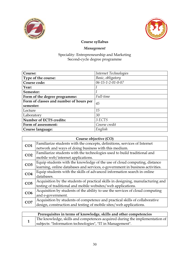



# Management

| Course:                                 | Internet Technologies |
|-----------------------------------------|-----------------------|
| Type of the course:                     | Basic, obligatory     |
| Course code:                            | 06-15-1-2-01-0-07     |
| Year:                                   |                       |
| Semester:                               |                       |
| Form of the degree programme:           | Full-time             |
| Form of classes and number of hours per | 45                    |
| semester:                               |                       |
| Lecture                                 | 15                    |
| Laboratory                              | 30                    |
| <b>Number of ECTS credits:</b>          | 3 ECTS                |
| Form of assessment:                     | Course credit         |
| Course language:                        | English               |

| Course objective (CO) |                                                                                 |
|-----------------------|---------------------------------------------------------------------------------|
| CO <sub>1</sub>       | Familiarize students with the concepts, definitions, services of Internet       |
|                       | network and ways of doing business with this medium.                            |
| CO <sub>2</sub>       | Familiarize students with the technologies used to build traditional and        |
|                       | mobile web/internet applications.                                               |
| CO <sub>3</sub>       | Equip students with the knowledge of the use of cloud computing, distance       |
|                       | learning, online databases and services, e-government in business activities.   |
| CO <sub>4</sub>       | Equip students with the skills of advanced information search in online         |
|                       | databases.                                                                      |
| CO <sub>5</sub>       | Acquisition by the students of practical skills in designing, manufacturing and |
|                       | testing of traditional and mobile websites/web applications.                    |
| CO6                   | Acquisition by students of the ability to use the services of cloud computing   |
|                       | and e-government.                                                               |
| CO7                   | Acquisition by students of competence and practical skills of collaborative     |
|                       | design, construction and testing of mobile sites/web applications.              |

| Prerequisites in terms of knowledge, skills and other competencies |                                                                             |
|--------------------------------------------------------------------|-----------------------------------------------------------------------------|
|                                                                    | The knowledge, skills and competences acquired during the implementation of |
|                                                                    | subjects: "Information technologies", "IT in Management".                   |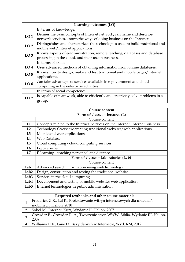| Learning outcomes (LO) |                                                                                |
|------------------------|--------------------------------------------------------------------------------|
|                        | In terms of knowledge:                                                         |
| LO <sub>1</sub>        | Defines the basic concepts of Internet network, can name and describe          |
|                        | network services, knows the ways of doing business on the Internet.            |
| LO <sub>2</sub>        | Distinguishes and characterizes the technologies used to build traditional and |
|                        | mobile web/internet applications.                                              |
| LO <sub>3</sub>        | Knows aspects of e-administration, remote teaching, databases and database     |
|                        | processing in the cloud, and their use in business.                            |
|                        | In terms of skills:                                                            |
| LO <sub>4</sub>        | Uses advanced methods of obtaining information from online databases.          |
| LO <sub>5</sub>        | Knows how to design, make and test traditional and mobile pages/Internet       |
|                        | applications.                                                                  |
| LO <sub>6</sub>        | Can take advantage of services available in e-government and cloud             |
|                        | computing in the enterprise activities.                                        |
|                        | In terms of social competence:                                                 |
| LO7                    | Is capable of teamwork, able to efficiently and creatively solve problems in a |
|                        | group.                                                                         |

| Course content   |                                                                                |  |
|------------------|--------------------------------------------------------------------------------|--|
|                  | Form of classes - lectures (L)                                                 |  |
|                  | Course content                                                                 |  |
| L1               | Concepts related to the Internet. Services on the Internet. Internet Business. |  |
| L2               | Technology Overview creating traditional websites/web applications.            |  |
| L3               | Mobile and web applications.                                                   |  |
| L4               | Web Database.                                                                  |  |
| L5               | Cloud computing - cloud computing services.                                    |  |
| L <sub>6</sub>   | E-government.                                                                  |  |
| L7               | E-learning - teaching personnel at a distance.                                 |  |
|                  | Form of classes - laboratories (Lab)                                           |  |
|                  | Course content                                                                 |  |
| Lab1             | Advanced search information using web technology.                              |  |
| Lab <sub>2</sub> | Design, construction and testing the traditional website.                      |  |
| Lab <sub>3</sub> | Services in the cloud computing.                                               |  |
| Lab4             | Development and testing of mobile website/web application.                     |  |
| Lab5             | Internet technologies in public administration.                                |  |

|              | Required textbooks and other course materials                                |  |
|--------------|------------------------------------------------------------------------------|--|
|              | Frederick G.R., Lal R., Projektowanie witryn internetowych dla urządzeń      |  |
|              | mobilnych, Helion, 2010                                                      |  |
| $\mathbf{2}$ | Sokół M., Internet. Kurs, Wydanie II, Helion, 2007                           |  |
|              | Crowder P., Crowder D. A., Tworzenie stron WWW. Biblia, Wydanie III, Helion, |  |
|              | 2009                                                                         |  |
|              | Williams H.E., Lane D., Bazy danych w Internecie, Wyd. RM, 2012              |  |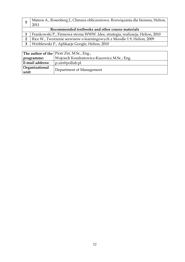|                                                  | Mateos A., Rosenberg J., Chmura obliczeniowa. Rozwiązania dla biznesu, Helion,<br>2011 |  |
|--------------------------------------------------|----------------------------------------------------------------------------------------|--|
| Recommended textbooks and other course materials |                                                                                        |  |
| 1 <sup>1</sup>                                   | Frankowski P., Firmowa strona WWW. Idee, strategia, realizacja, Helion, 2010           |  |
|                                                  | Rice W., Tworzenie serwisów e-learningowych z Moodle 1.9, Helion, 2009                 |  |
|                                                  |                                                                                        |  |

3 Wróblewski P., Aplikacje Google, Helion, 2010

|                         | The author of the Piotr Zin, M.Sc., Eng.,  |  |
|-------------------------|--------------------------------------------|--|
| programme:              | Wojciech Kondratowicz-Kucewicz M.Sc., Eng. |  |
| E-mail address:         | $p\cdot \sin\omega$ pollub.pl              |  |
| Organizational<br>unit: | Department of Management                   |  |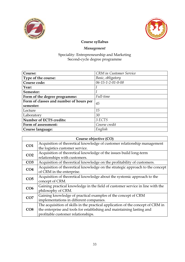



# Management

| Course:                                    | <b>CRM</b> in Customer Service |  |
|--------------------------------------------|--------------------------------|--|
| Type of the course:                        | Basic, obligatory              |  |
| Course code:                               | 06-15-1-2-01-0-08              |  |
| Year:                                      |                                |  |
| Semester:                                  |                                |  |
| Full-time<br>Form of the degree programme: |                                |  |
| Form of classes and number of hours per    | 45                             |  |
| semester:                                  |                                |  |
| Lecture                                    | 15                             |  |
| Laboratory                                 | 30                             |  |
| <b>Number of ECTS credits:</b>             | 3 ECTS                         |  |
| Form of assessment:                        | Course credit                  |  |
| Course language:                           | English                        |  |

| Course objective (CO) |                                                                                 |
|-----------------------|---------------------------------------------------------------------------------|
| CO1                   | Acquisition of theoretical knowledge of customer relationship management        |
|                       | the logistics customer service.                                                 |
| CO <sub>2</sub>       | Acquisition of theoretical knowledge of the issues build long-term              |
|                       | relationships with customers.                                                   |
| CO <sub>3</sub>       | Acquisition of theoretical knowledge on the profitability of customers.         |
| CO <sub>4</sub>       | Acquisition of theoretical knowledge on the strategic approach to the concept   |
|                       | of CRM in the enterprise.                                                       |
| CO <sub>5</sub>       | Acquisition of theoretical knowledge about the systemic approach to the         |
|                       | concept of CRM.                                                                 |
| CO6                   | Gaining practical knowledge in the field of customer service in line with the   |
|                       | philosophy of CRM.                                                              |
| CO <sub>7</sub>       | Gaining knowledge of practical examples of the concept of CRM                   |
|                       | implementations in different companies.                                         |
|                       | The acquisition of skills in the practical application of the concept of CRM in |
| CO8                   | the enterprise and tools for establishing and maintaining lasting and           |
|                       | profitable customer relationships.                                              |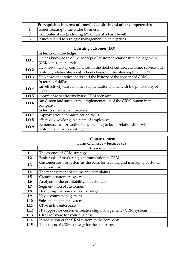| Prerequisites in terms of knowledge, skills and other competencies |                                                         |
|--------------------------------------------------------------------|---------------------------------------------------------|
|                                                                    | Issues relating to the wider business.                  |
|                                                                    | Computer skills (including MS Office at a basic level). |
|                                                                    | Issues related to strategic management in enterprises.  |

|                 | Learning outcomes (LO)                                                     |  |
|-----------------|----------------------------------------------------------------------------|--|
|                 | In terms of knowledge:                                                     |  |
| LO <sub>1</sub> | He has knowledge of the concept of customer relationship management        |  |
|                 | (CRM) customer service.                                                    |  |
| LO <sub>2</sub> | He knows the key competences in the field of culture, customer service and |  |
|                 | building relationships with clients based on the philosophy of CRM.        |  |
| LO <sub>3</sub> | He knows theoretical basis and the history of the concept of CRM.          |  |
|                 | In terms of skills:                                                        |  |
| LO <sub>4</sub> | can effectively use customer segmentation in line with the philosophy of   |  |
|                 | <b>CRM</b>                                                                 |  |
| LO <sub>5</sub> | knows how to effectively use CRM software.                                 |  |
| LO <sub>6</sub> | can design and support the implementation of the CRM system in the         |  |
|                 | company.                                                                   |  |
|                 | In terms of social competence:                                             |  |
| LO7             | improves your communication skills                                         |  |
| LO <sub>8</sub> | effectively working in a team of employees                                 |  |
| LO <sub>9</sub> | demonstrates a proactive stance willing to build relationships with        |  |
|                 | customers in the operating area                                            |  |

| Course content                 |                                                                         |
|--------------------------------|-------------------------------------------------------------------------|
| Form of classes - lectures (L) |                                                                         |
|                                | Course content                                                          |
| L1                             | The essence of CRM strategy.                                            |
| L2                             | Basic tools of marketing communication in CRM.                          |
| L3                             | Customer service system as the basis for creating and managing customer |
|                                | relationships.                                                          |
| L4                             | The management of claims and complaints.                                |
| L5                             | Creating customer loyalty.                                              |
| L <sub>6</sub>                 | Analysis of the profitability of customers.                             |
| L7                             | Segmentation of customers.                                              |
| L8                             | Designing customer service strategy.                                    |
| L9                             | Key account management.                                                 |
| L10                            | Sales management system.                                                |
| L <sub>11</sub>                | CRM in the enterprise.                                                  |
| L12                            | IT support for customer relationship management - CRM systems.          |
| L13                            | CRM software for your business.                                         |
| L14                            | Introduction of the CRM system to the company.                          |
| L15                            | The effects of CRM strategy for the company.                            |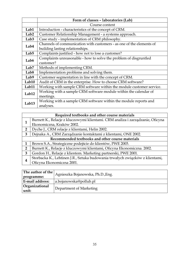|                   | Form of classes - laboratories (Lab)                                 |
|-------------------|----------------------------------------------------------------------|
|                   | Course content                                                       |
| Lab1              | Introduction - characteristics of the concept of CRM.                |
| Lab <sub>2</sub>  | Customer Relationship Management - a systems approach.               |
| Lab <sub>3</sub>  | Case study - implementation of CRM philosophy.                       |
| Lab4              | Channels of communication with customers - as one of the elements of |
|                   | building lasting relationships.                                      |
| Lab <sub>5</sub>  | Complaints justified - how not to lose a customer?                   |
| Lab6              | Complaints unreasonable - how to solve the problem of disgruntled    |
|                   | customer?                                                            |
| Lab <sub>7</sub>  | Methods of implementing CRM.                                         |
| Lab <sub>8</sub>  | Implementation problems and solving them.                            |
| Lab9              | Customer segmentation in line with the concept of CRM.               |
| Lab10             | Audit of CRM in the enterprise. How to choose CRM software?          |
| Lab11             | Working with sample CRM software within the module customer service. |
| Lab12             | Working with a sample CRM software module within the calendar of     |
|                   | meetings.                                                            |
| Lab <sub>13</sub> | Working with a sample CRM software within the module reports and     |
|                   | analyses.                                                            |

|                                                  | Required textbooks and other course materials                                  |  |
|--------------------------------------------------|--------------------------------------------------------------------------------|--|
|                                                  | Burnett K., Relacje z kluczowymi klientami. CRM analiza i zarządzanie, Oficyna |  |
|                                                  | Ekonomiczna, Kraków 2002.                                                      |  |
| 2                                                | Dyche J., CRM relacje z klientami, Helin 2002.                                 |  |
| 3                                                | Dejnaka A., CRM Zarządzanie kontaktami z klientami, ONE 2002.                  |  |
| Recommended textbooks and other course materials |                                                                                |  |
|                                                  | Brown S.A., Strategiczne podejście do klientów, PWE 2003.                      |  |
| $\mathbf{2}$                                     | Burnett K., Relacje z kluczowymi klientami, Oficyna Ekonomiczna. 2002.         |  |
| 3                                                | Gordon H., Relacje z klientem. Marketing partnerski, PWE 2001.                 |  |
|                                                  | Storbacka K., Lehtinen J.R., Sztuka budowania trwałych związków z klientami,   |  |
|                                                  | Oficyna Ekonomiczna 2001.                                                      |  |

| The author of the<br>programme: | Agnieszka Bojanowska, Ph.D., Eng. |
|---------------------------------|-----------------------------------|
| E-mail address:                 | a.bojanowska@pollub.pl            |
| Organizational<br>unit:         | Department of Marketing           |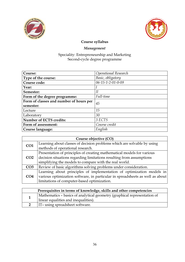



# Management

| Course:                                    | Operational Research |  |
|--------------------------------------------|----------------------|--|
| Type of the course:                        | Basic, obligatory    |  |
| Course code:                               | 06-15-1-2-01-0-09    |  |
| Year:                                      |                      |  |
| Semester:                                  | II                   |  |
| Full-time<br>Form of the degree programme: |                      |  |
| Form of classes and number of hours per    | 45                   |  |
| semester:                                  |                      |  |
| Lecture                                    | 15                   |  |
| Laboratory                                 | 30                   |  |
| <b>Number of ECTS credits:</b>             | 3 ECTS               |  |
| Form of assessment:                        | Course credit        |  |
| Course language:                           | English              |  |

| Course objective (CO) |                                                                               |
|-----------------------|-------------------------------------------------------------------------------|
| CO <sub>1</sub>       | Learning about classes of decision problems which are solvable by using       |
|                       | methods of operational research.                                              |
|                       | Presentation of principles of creating mathematical models for various        |
| CO <sub>2</sub>       | decision situations regarding limitations resulting from assumptions          |
|                       | simplifying the models to compare with the real world.                        |
| CO <sub>3</sub>       | Review of basic algorithms solving problems under consideration.              |
| CO <sub>4</sub>       | Learning about principles of implementation of optimization models in         |
|                       | various optimization software, in particular in spreadsheets as well as about |
|                       | limitations of computer-based optimization.                                   |

| Prerequisites in terms of knowledge, skills and other competencies |                                                                                                                  |
|--------------------------------------------------------------------|------------------------------------------------------------------------------------------------------------------|
|                                                                    | Mathematics - basics of analytical geometry (graphical representation of<br>linear equalities and inequalities). |
|                                                                    | IT-using spreadsheet software.                                                                                   |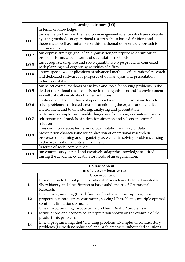|                 | Learning outcomes (LO)                                                                      |  |
|-----------------|---------------------------------------------------------------------------------------------|--|
|                 | In terms of knowledge:                                                                      |  |
|                 | can define problems in the field on management science which are solvable                   |  |
| LO <sub>1</sub> | by using methods of operational research about basic definitions and                        |  |
|                 | theorems as well as limitations of this mathematics-oriented approach to<br>decision making |  |
|                 | can express strategic goal of an organisation/enterprise as optimization                    |  |
| LO <sub>2</sub> | problems formulated in terms of quantitative methods                                        |  |
| LO <sub>3</sub> | can recognize, diagnose and solve quantitative type problems connected                      |  |
|                 | with planning and organizing activities of a firm                                           |  |
| LO <sub>4</sub> | knows specialized applications of advanced methods of operational research                  |  |
|                 | and dedicated software for purposes of data analysis and presentation                       |  |
|                 | In terms of skills:                                                                         |  |
|                 | can select correct methods of analysis and tools for solving problems in the                |  |
| LO <sub>5</sub> | field of operational research arising in the organisation and its environment               |  |
|                 | as well critically evaluate obtained solutions                                              |  |
|                 | applies dedicated methods of operational research and software tools to                     |  |
| LO <sub>6</sub> | solve problems in selected areas of functioning the organisation and its                    |  |
|                 | environment and to data storing, analysing and presentation                                 |  |
|                 | performs as complex as possible diagnosis of situation, evaluates critically                |  |
| LO7             | self-constructed models of a decision situation and selects an optimal                      |  |
|                 | solution                                                                                    |  |
|                 | Uses commonly accepted terminology, notation and way of data                                |  |
| LO <sub>8</sub> | presentation characteristic for application of operational research in                      |  |
|                 | processes of planning and organizing as well as in solving problems arising                 |  |
|                 | in the organisation and its environment                                                     |  |
|                 | In terms of social competence:                                                              |  |
| LO <sub>9</sub> | can continuously extend and creatively adapt the knowledge acquired                         |  |
|                 | during the academic education for needs of an organization.                                 |  |

| <b>Course content</b> |                                                                              |  |
|-----------------------|------------------------------------------------------------------------------|--|
|                       | Form of classes - lectures (L)                                               |  |
|                       | Course content                                                               |  |
|                       | Introduction to the subject. Operational Research as a field of knowledge.   |  |
| L1                    | Short history and classification of basic subdomains of Operational          |  |
|                       | Research.                                                                    |  |
|                       | Linear programming (LP): definition, feasible set, assumptions, basic        |  |
| L2                    | properties, contradictory constraints, solving LP problems, multiple optimal |  |
|                       | solutions, limitations of usage.                                             |  |
|                       | Linear programming: product-mix problem. Dual LP problems -                  |  |
| L3                    | formulations and economical interpretation shown on the example of the       |  |
|                       | product-mix problem.                                                         |  |
| L4                    | Linear programming: diet/blending problems. Examples of contradictory        |  |
|                       | problems (i.e. with no solutions) and problems with unbounded solutions.     |  |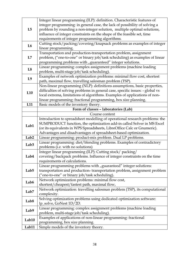| L5               | Integer linear programming (ILP): definition. Characteristic features of<br>integer programming: in general case, the lack of possibility of solving a |
|------------------|--------------------------------------------------------------------------------------------------------------------------------------------------------|
|                  | problem by rounding a non-integer solution, multiple optimal solutions,                                                                                |
|                  | influence of integer constraints on the shape of the feasible set, time                                                                                |
|                  | requirements of integer programming algorithms.                                                                                                        |
| L <sub>6</sub>   | Cutting stock/packing/covering/knapsack problems as examples of integer<br>linear programming.                                                         |
|                  | Transportation and production-transportation problem, assignment                                                                                       |
| L7               | problem, ("one-to-one" or binary job/task scheduling) as examples of linear                                                                            |
|                  | programming problems with "guaranteed" integer solutions.                                                                                              |
| L <sub>8</sub>   | Linear programming: complex assignment problems (machine loading                                                                                       |
|                  | problem, multi-stage job/task scheduling).                                                                                                             |
| L <sub>9</sub>   | Examples of network optimization problems: minimal flow cost, shortest                                                                                 |
|                  | path, maximal flow, travelling salesman problem (TSP).                                                                                                 |
|                  | Non-linear programming (NLP): definitions assumptions, basic properties,                                                                               |
| L10              | difficulties of solving problems in general case, specific issues: - global vs                                                                         |
|                  | local extrema, limitations of algorithms. Examples of applications of non-                                                                             |
|                  | linear programming: fractional programming, box size planning.                                                                                         |
| L11              | Basic models of the inventory theory.<br>Form of classes - laboratories (Lab)                                                                          |
|                  | Course content                                                                                                                                         |
|                  | Introduction to spreadsheet modelling of operational research problems: the                                                                            |
|                  | SUMPRODUCT function, the optimization add-in called Solver in MS Excel                                                                                 |
| Lab1             | (or its equivalents in WPS Spreadsheets, LibreOffice Calc or Gnumeric).                                                                                |
|                  | Advantages and disadvantages of spreadsheet-based optimization.                                                                                        |
| Lab <sub>2</sub> | Linear programming: product-mix problem. Dual LP problems.                                                                                             |
| Lab <sub>3</sub> | Linear programming: diet/blending problems. Examples of contradictory                                                                                  |
|                  | problems (i.e. with no solutions)                                                                                                                      |
|                  | Integer linear programming (ILP): Cutting stock/ packing/                                                                                              |
| Lab4             | covering/backpack problems. Influence of integer constraints on the time                                                                               |
|                  | requirements of calculations.                                                                                                                          |
|                  | Linear programming problems with "guaranteed" integer solutions:                                                                                       |
| Lab <sub>5</sub> | transportation and production-transportation problem, assignment problem                                                                               |
|                  | ("one-to-one" or binary job/task scheduling).<br>Network optimization problems: minimal flow cost,                                                     |
| Lab6             | shortest/cheapest/fastest path, maximal flow,                                                                                                          |
|                  | Network optimization: travelling salesman problem (TSP), its computational                                                                             |
| Lab <sub>7</sub> | complexity.                                                                                                                                            |
|                  | Solving optimization problems using dedicated optimization software:                                                                                   |
| Lab <sub>8</sub> | lp_solve, GoNest 1D/2D.                                                                                                                                |
| Lab9             | Linear programming: complex assignment problems (machine loading                                                                                       |
|                  | problem, multi-stage job/task scheduling).                                                                                                             |
| Lab10            | Examples of applications of non-linear programming: fractional                                                                                         |
|                  | programming, box size planning.                                                                                                                        |
| Lab11            | Simple models of the inventory theory.                                                                                                                 |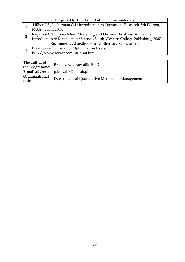|                                                  | Required textbooks and other course materials                                        |  |
|--------------------------------------------------|--------------------------------------------------------------------------------------|--|
|                                                  | Hillier F.S., Lieberman G.J.: Introduction to Operations Research, 8th Edition,      |  |
|                                                  | McGraw Hill 2005.                                                                    |  |
| $\overline{2}$                                   | Ragsdale C.T.: Spreadsheet Modelling and Decision Analysis: A Practical              |  |
|                                                  | Introduction to Management Science, South-Western College Publishing, 2007.          |  |
| Recommended textbooks and other course materials |                                                                                      |  |
|                                                  |                                                                                      |  |
|                                                  | Excel Solver Tutorial for Optimization Users,<br>http://www.solver.com/tutorial.htm. |  |

| The author of<br>the programme: | Przemysław Kowalik, Ph.D.                        |
|---------------------------------|--------------------------------------------------|
| E-mail address:                 | p.kowalik@pollub.pl                              |
| Organizational<br>unit:         | Department of Quantitative Methods in Management |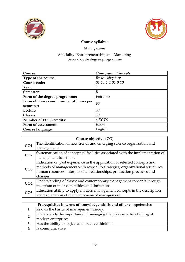



# Management

| Course:                                       | Management Concepts             |
|-----------------------------------------------|---------------------------------|
| Type of the course:                           | Basic, obligatory               |
| Course code:                                  | $06 - 15 - 1 - 2 - 01 - 0 - 10$ |
| Year:                                         | 1                               |
| Semester:                                     | Н                               |
| Full-time<br>Form of the degree programme:    |                                 |
| Form of classes and number of hours per<br>60 |                                 |
| semester:                                     |                                 |
| Lecture                                       | 30                              |
| Classes                                       | 30                              |
| <b>Number of ECTS credits:</b>                | 4 ECTS                          |
| Form of assessment:<br>Exam                   |                                 |
| Course language:                              | English                         |

|                 | Course objective (CO)                                                          |  |
|-----------------|--------------------------------------------------------------------------------|--|
| CO <sub>1</sub> | The identification of new trends and emerging science organization and         |  |
|                 | management.                                                                    |  |
| CO <sub>2</sub> | Systematization of conceptual facilities associated with the implementation of |  |
|                 | management functions.                                                          |  |
| CO <sub>3</sub> | Indication on past experience in the application of selected concepts and      |  |
|                 | methods of management with respect to strategies, organizational structures,   |  |
|                 | human resources, interpersonal relationships, production processes and         |  |
|                 | changes.                                                                       |  |
| CO <sub>4</sub> | Understanding of classic and contemporary management concepts through          |  |
|                 | the prism of their capabilities and limitations.                               |  |
| CO <sub>5</sub> | Education ability to apply modern management concepts in the description       |  |
|                 | and explanation of the phenomena of management.                                |  |

| Prerequisites in terms of knowledge, skills and other competencies                          |  |
|---------------------------------------------------------------------------------------------|--|
| Knows the basics of management theory.                                                      |  |
| Understands the importance of managing the process of functioning of<br>modern enterprises. |  |
| Has the ability to logical and creative thinking.                                           |  |
| Is communicative.                                                                           |  |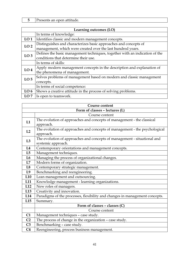## 5 Presents an open attitude.

| Learning outcomes (LO) |                                                                                                                                 |
|------------------------|---------------------------------------------------------------------------------------------------------------------------------|
|                        | In terms of knowledge:                                                                                                          |
| LO <sub>1</sub>        | Identifies classic and modern management concepts.                                                                              |
| LO <sub>2</sub>        | Distinguishes and characterizes basic approaches and concepts of<br>management, which were created over the last hundred years. |
| LO <sub>3</sub>        | Defines the basic management techniques, together with an indication of the<br>conditions that determine their use.             |
|                        | In terms of skills:                                                                                                             |
| LO <sub>4</sub>        | Apply modern management concepts in the description and explanation of<br>the phenomena of management.                          |
| LO <sub>5</sub>        | Solves problems of management based on modern and classic management<br>concepts.                                               |
|                        | In terms of social competence:                                                                                                  |
| LO <sub>6</sub>        | Shows a creative attitude in the process of solving problems.                                                                   |
| LO7                    | Is open to teamwork.                                                                                                            |

|                | Course content                                                              |  |
|----------------|-----------------------------------------------------------------------------|--|
|                | Form of classes - lectures (L)                                              |  |
|                | Course content                                                              |  |
| L1             | The evolution of approaches and concepts of management - the classical      |  |
|                | approach.                                                                   |  |
| L2             | The evolution of approaches and concepts of management - the psychological  |  |
|                | approach.                                                                   |  |
| L3             | The evolution of approaches and concepts of management - situational and    |  |
|                | systemic approach.                                                          |  |
| L4             | Contemporary orientations and management concepts.                          |  |
| L5             | Management techniques.                                                      |  |
| L6             | Managing the process of organizational changes.                             |  |
| L7             | Modern forms of organization.                                               |  |
| L8             | Contemporary strategic management.                                          |  |
| L <sub>9</sub> | Benchmarking and reengineering.                                             |  |
| L10            | Lean management and outsourcing.                                            |  |
| L11            | Knowledge management - learning organizations.                              |  |
| L12            | New roles of managers.                                                      |  |
| L13            | Creativity and innovation.                                                  |  |
| L14            | Paradigms of the processes, flexibility and changes in management concepts. |  |
| L15            | Summary.                                                                    |  |
|                | Form of classes - classes (C)                                               |  |
|                | Course content                                                              |  |
| C1             | Management techniques - case study.                                         |  |
| C <sub>2</sub> | The process of change in the organization - case study.                     |  |
| C <sub>3</sub> | Benchmarking - case study.                                                  |  |
| C <sub>4</sub> | Reengineering, process business management.                                 |  |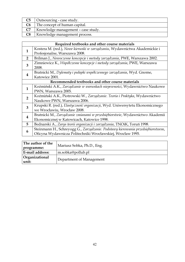| C5             | Outsourcing - case study.          |
|----------------|------------------------------------|
| C <sub>6</sub> | The concept of human capital.      |
| C7             | Knowledge management - case study. |
| C8             | Knowledge management process.      |

| Required textbooks and other course materials                                   |  |
|---------------------------------------------------------------------------------|--|
| Kostera M. (red.), Nowe kierunki w zarządzaniu, Wydawnictwa Akademickie i       |  |
| Profesjonalne, Warszawa 2008.                                                   |  |
| Brilman J., Nowoczesne koncepcje i metody zarządzania, PWE, Warszawa 2002.      |  |
| Zimniewicz K., Współczesne koncepcje i metody zarządzania, PWE, Warszawa        |  |
| 2008.                                                                           |  |
| Bratnicki M., Dylematy i pułapki współczesnego zarządzania, Wyd. Gnome,         |  |
| Katowice 2001.                                                                  |  |
| Recommended textbooks and other course materials                                |  |
| Koźmiński A.K., Zarządzanie w warunkach niepewności, Wydawnictwo Naukowe        |  |
| PWN, Warszawa 2005.                                                             |  |
| Koźmiński A.K., Piotrowski W., Zarządzanie. Teoria i Praktyka, Wydawnictwo      |  |
| Naukowe PWN, Warszawa 2006.                                                     |  |
| Krupski R. (red.), Elastyczność organizacji, Wyd. Uniwersytetu Ekonomicznego    |  |
| we Wrocławiu, Wrocław 2008.                                                     |  |
| Bratnicki M., Zarządzanie zmianami w przedsiębiorstwie, Wydawnictwo Akademii    |  |
| Ekonomicznej w Katowicach, Katowice 1998.                                       |  |
| Bednarski A., Zarys teorii organizacji i zarządzania, TNOiK, Toruń 1998.        |  |
| Steinmann H., Schreyogg G., Zarządzanie. Podstawy kierowania przedsiębiorstwem, |  |
| Oficyna Wydawnicza Politechniki Wrocławskiej, Wrocław 1995.                     |  |
|                                                                                 |  |

| The author of the       | Mariusz Sobka, Ph.D., Eng. |
|-------------------------|----------------------------|
| programme:              |                            |
| E-mail address:         | m.sobka@pollub.pl          |
| Organizational<br>unit: | Department of Management   |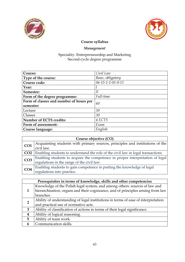



# Management

| Course:                                 | Civil Law         |
|-----------------------------------------|-------------------|
| Type of the course:                     | Basic, obligatory |
| Course code:                            | 06-15-1-2-01-0-11 |
| Year:                                   |                   |
| Semester:                               | II                |
| Form of the degree programme:           | Full-time         |
| Form of classes and number of hours per | 60                |
| semester:                               |                   |
| Lecture                                 | 30                |
| Classes                                 | 30                |
| <b>Number of ECTS credits:</b>          | 4 ECTS            |
| Form of assessment:                     | Exam              |
| Course language:                        | English           |

|                 | Course objective (CO)                                                            |  |
|-----------------|----------------------------------------------------------------------------------|--|
| CO <sub>1</sub> | Acquainting students with primary sources, principles and institutions of the    |  |
|                 | civil law.                                                                       |  |
| CO <sub>2</sub> | Enabling students to understand the role of the civil law in legal transactions. |  |
| CO <sub>3</sub> | Enabling students to acquire the competence in proper interpretation of legal    |  |
|                 | regulations in the range of the civil law.                                       |  |
| CO <sub>4</sub> | Enabling students to gain competence in putting the knowledge of legal           |  |
|                 | regulations into practice.                                                       |  |

|                  | Prerequisites in terms of knowledge, skills and other competencies                |  |
|------------------|-----------------------------------------------------------------------------------|--|
|                  | Knowledge of the Polish legal system, and among others: sources of law and        |  |
|                  | hierarchisation, organs and their cognizance, and of principles arising from law  |  |
|                  | branches.                                                                         |  |
| $\overline{2}$   | Ability of understanding of legal institutions in terms of ease of interpretation |  |
|                  | and practical use of normative acts.                                              |  |
| $\overline{3}$   | Ability of classification of actions in terms of their legal significance.        |  |
| $\boldsymbol{4}$ | Ability of logical reasoning.                                                     |  |
| 5                | Ability of team work.                                                             |  |
| 6                | Communication skills.                                                             |  |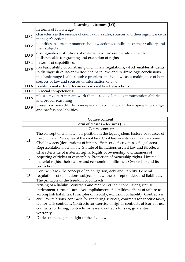|                 | Learning outcomes (LO)                                                               |  |
|-----------------|--------------------------------------------------------------------------------------|--|
|                 | In terms of knowledge:                                                               |  |
| LO <sub>1</sub> | characterizes the essence of civil law, its rules, sources and their significance in |  |
|                 | manager's actions                                                                    |  |
| LO <sub>2</sub> | identifies in a proper manner civil law actions, conditions of their validity and    |  |
|                 | their subjects                                                                       |  |
| LO <sub>3</sub> | distinguishes institutions of material law, can enumerate elements                   |  |
|                 | indispensable for granting and execution of rights                                   |  |
| LO <sub>4</sub> | In terms of capabilities:                                                            |  |
| LO <sub>5</sub> | has basic ability of construing of civil law regulations, which enables students     |  |
|                 | to distinguish cause-and-effect chains in law, and to draw logic conclusions         |  |
|                 | in a basic range is able to solve problems in civil law cases making use of both     |  |
|                 | sources of law and sources of information on law                                     |  |
| LO <sub>6</sub> | is able to make draft documents in civil law transactions                            |  |
| LO7             | In social competencies:                                                              |  |
| LO <sub>8</sub> | takes active part in team work thanks to developed communication abilities           |  |
|                 | and proper reasoning                                                                 |  |
| LO <sub>9</sub> | presents active attitude to independent acquiring and developing knowledge           |  |
|                 | and professional abilities.                                                          |  |

|    | Course content                                                                                                                                                                                                                                                                                                                                                                                                                                                                                                                  |  |
|----|---------------------------------------------------------------------------------------------------------------------------------------------------------------------------------------------------------------------------------------------------------------------------------------------------------------------------------------------------------------------------------------------------------------------------------------------------------------------------------------------------------------------------------|--|
|    | Form of classes - lectures (L)                                                                                                                                                                                                                                                                                                                                                                                                                                                                                                  |  |
|    | Course content                                                                                                                                                                                                                                                                                                                                                                                                                                                                                                                  |  |
| L1 | The concept of civil law - its position in the legal system, history of sources of<br>the civil law. Principles of the civil law. Civil law events, civil law relations.<br>Civil law acts (declarations of intent, effects of defectiveness of legal acts).<br>Representation in civil law. Statute of limitations in civil law and its effects.                                                                                                                                                                               |  |
| L2 | Characteristics of material rights. Rights of ownership and manners of<br>acquiring of rights of ownership. Protection of ownership rights. Limited<br>material rights, their nature and economic significance. Ownership and its<br>protection.                                                                                                                                                                                                                                                                                |  |
| L3 | Contract law - the concept of an obligation, debt and liability. General<br>regulations of obligations, subjects of law, the concept of debt and liabilities.<br>The principle of the freedom of contracts.                                                                                                                                                                                                                                                                                                                     |  |
| L4 | Arising of a liability: contracts and manner of their conclusions; unjust<br>enrichment; tortuous acts. Accomplishment of liabilities, effects of failure to<br>accomplish liabilities. Principles of liability, exclusion of liability. Contracts in<br>civil law relations: contracts for rendering services, contracts for specific tasks,<br>fee-for-task contracts. Contracts for exercise of rights, contracts of loan for use,<br>contracts for hiring, contracts for lease. Contracts for sale, guarantee,<br>warranty. |  |
| L5 | Duties of managers in light of the civil law.                                                                                                                                                                                                                                                                                                                                                                                                                                                                                   |  |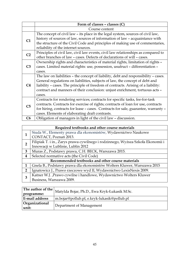|                | Form of classes - classes (C)                                                       |
|----------------|-------------------------------------------------------------------------------------|
|                | Course content                                                                      |
|                | The concept of civil law - its place in the legal system, sources of civil law,     |
| C1             | history of sources of law, sources of information of law - acquaintance with        |
|                | the structure of the Civil Code and principles of making use of commentaries,       |
|                | reliability of the internet sources.                                                |
| C <sub>2</sub> | Principles of civil law, civil law events, civil law relationships as compared to   |
|                | other branches of law - cases. Defects of declarations of will - cases.             |
|                | Ownership rights and characteristics of material rights, limitation of rights -     |
| C <sub>3</sub> | cases. Limited material rights: use, possession, usufruct - differentiation -       |
|                | cases.                                                                              |
|                | The law on liabilities - the concept of liability, debt and responsibility - cases. |
|                | General regulations on liabilities, subjects of law, the concept of debt and        |
| C4             | liability - cases. The principle of freedom of contracts. Arising of a liability:   |
|                | contract and manners of their conclusion: unjust enrichment, tortuous acts -        |
|                | cases.                                                                              |
|                | Contracts for rendering services; contracts for specific tasks, fee-for-task        |
| C <sub>5</sub> | contracts. Contracts for exercise of rights; contracts of loan for use, contracts   |
|                | for hiring, contracts for lease - cases. Contracts for sale, guarantee, warranty -  |
|                | cases. Elements of elaborating draft contrasts.                                     |
| C6             | Obligation of managers in light of the civil law - discussion.                      |

|               | Required textbooks and other course materials                                   |  |  |
|---------------|---------------------------------------------------------------------------------|--|--|
|               | Siuda W., Elementy prawa dla ekonomistów, Wydawnictwo Naukowe                   |  |  |
|               | CONTACT, Poznań 2013.                                                           |  |  |
| 2             | Filipiak T. i in., Zarys prawa cywilnego i rodzinnego, Wyższa Szkoła Ekonomii i |  |  |
|               | Innowacji w Lublinie, Lublin 2012                                               |  |  |
| 3             | Muras Z., Podstawy prawa, C.H. BECK, Warszawa 2015.                             |  |  |
| 4             | Selected normative acts (the Civil Code)                                        |  |  |
|               | Recommended textbooks and other course materials                                |  |  |
|               | Gnela B., Podstawy prawa dla ekonomistów Wolters Kluwer, Warszawa 2015          |  |  |
| $\mathcal{P}$ | Ignatowicz J., Prawo rzeczowe wyd II, Wydawnictwo LexisNexis 2009.              |  |  |
| 3             | Katner W.J. , Prawo cywilne i handlowe, Wydawnictwo Wolters Kluwer              |  |  |
|               | Business, Warszawa 2009.                                                        |  |  |

| The author of the $\vert_{\infty}$                  | Matylda Bojar, Ph.D., Ewa Kryk-Łukasik M.Sc. |
|-----------------------------------------------------|----------------------------------------------|
| programme:                                          |                                              |
| E-mail address                                      | m.bojar@pollub.pl, e.kryk-lukasik@pollub.pl  |
| Organizational<br>Department of Management<br>unit: |                                              |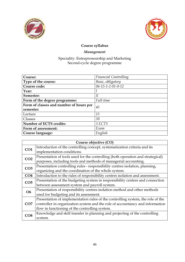



## Management

| Course:                                 | <b>Financial Controlling</b>    |
|-----------------------------------------|---------------------------------|
| Type of the course:                     | Basic, obligatory               |
| Course code:                            | $06 - 15 - 1 - 2 - 01 - 0 - 12$ |
| Year:                                   |                                 |
| Semester:                               | II                              |
| Form of the degree programme:           | Full-time                       |
| Form of classes and number of hours per | 45                              |
| semester:                               |                                 |
| Lecture                                 | 15                              |
| Classes                                 | 30                              |
| <b>Number of ECTS credits:</b>          | 3 ECTS                          |
| Form of assessment:                     | Exam                            |
| Course language:                        | English                         |

|                 | Course objective (CO)                                                           |  |
|-----------------|---------------------------------------------------------------------------------|--|
| CO1             | Introduction of the controlling concept, systematization criteria and its       |  |
|                 | implementation conditions.                                                      |  |
| CO <sub>2</sub> | Presentation of tools used for the controlling (both operation and strategical) |  |
|                 | purposes, including tools and methods of managerial accounting.                 |  |
| CO <sub>3</sub> | Presentation controlling rules - responsibility centres isolation, planning,    |  |
|                 | organizing and the coordination of the whole system.                            |  |
| CO <sub>4</sub> | Introduction to the rules of responsibility centres isolation and assessment.   |  |
| CO <sub>5</sub> | Presentation of the budgeting system in responsibility centres and connection   |  |
|                 | between assessment system and payroll system.                                   |  |
| <b>O6</b>       | Presentation of responsibility centres isolation method and other methods       |  |
|                 | used for budgeting and its assessment.                                          |  |
| CO7             | Presentation of implementation rules of the controlling system, the role of the |  |
|                 | controller in organization system and the role of accountancy and information   |  |
|                 | flow in functioning of the controlling system.                                  |  |
| CO8             | Knowledge and skill transfer in planning and projecting of the controlling      |  |
|                 | system.                                                                         |  |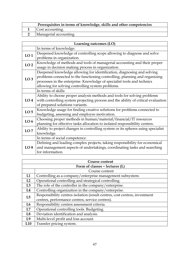| Prerequisites in terms of knowledge, skills and other competencies |                        |
|--------------------------------------------------------------------|------------------------|
|                                                                    | Cost accounting.       |
|                                                                    | Managerial accounting. |

| Learning outcomes (LO) |                                                                                                                                                                                                                                                                                      |
|------------------------|--------------------------------------------------------------------------------------------------------------------------------------------------------------------------------------------------------------------------------------------------------------------------------------|
|                        | In terms of knowledge:                                                                                                                                                                                                                                                               |
| LO <sub>1</sub>        | Deepened knowledge of controlling scope allowing to diagnose and solve<br>problems in organization.                                                                                                                                                                                  |
| LO <sub>2</sub>        | Knowledge of methods and tools of managerial accounting and their proper<br>usage in decision making process in organization.                                                                                                                                                        |
| LO <sub>3</sub>        | Deepened knowledge allowing for identification, diagnosing and solving<br>problems connected to the functioning controlling, planning and organizing<br>processes in the enterprise. Knowledge of specialist tools and technics<br>allowing for solving controlling system problems. |
|                        | In terms of skills:                                                                                                                                                                                                                                                                  |
| LO <sub>4</sub>        | Ability to choose proper analysis methods and tools for solving problems<br>with controlling system projecting process and the ability of critical evaluation<br>of prepared solutions variants.                                                                                     |
| LO <sub>5</sub>        | Knowledge usage for finding creative solutions for problems connected to<br>budgeting, assessing and employee motivation.                                                                                                                                                            |
| LO <sub>6</sub>        | Choosing proper methods in human/material/financial/IT resources<br>planning for effective tasks allocation to isolated responsibility centres.                                                                                                                                      |
| LO7                    | Ability to project changes in controlling system or its spheres using specialist<br>knowledge.                                                                                                                                                                                       |
|                        | In terms of social competence:                                                                                                                                                                                                                                                       |
| LO <sub>8</sub>        | Defining and leading complex projects, taking responsibility for economical<br>and management aspects of undertakings, coordinating tasks and searching<br>for information.                                                                                                          |

|                 | <b>Course content</b>                                                      |  |
|-----------------|----------------------------------------------------------------------------|--|
|                 | Form of classes - lectures (L)                                             |  |
|                 | Course content                                                             |  |
| L1              | Controlling as a company/enterprise management subsystem.                  |  |
| L2              | Operational controlling and strategical controlling.                       |  |
| L3              | The role of the controller in the company/enterprise.                      |  |
| L4              | Controlling organization in the company/enterprise.                        |  |
| L5              | Responsibility centres isolation (result centres, cost centres, investment |  |
|                 | centres, performance centres, service centres).                            |  |
| L6              | Responsibility centres assessment criteria.                                |  |
| L7              | Operational controlling tools. Budgeting.                                  |  |
| L8              | Deviation identification and analysis.                                     |  |
| L <sub>9</sub>  | Multi-level profit and loss account.                                       |  |
| L <sub>10</sub> | Transfer pricing system.                                                   |  |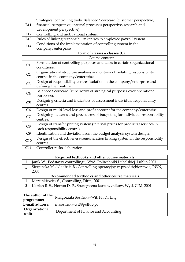|                | Strategical controlling tools. Balanced Scorecard (customer perspective,      |
|----------------|-------------------------------------------------------------------------------|
| L11            | financial perspective, internal processes perspective, research and           |
|                | development perspective).                                                     |
| L12            | Controlling and motivational system.                                          |
| L13            |                                                                               |
|                | Rules of linking responsibility centres to employee payroll system.           |
| L14            | Conditions of the implementation of controlling system in the                 |
|                | company/enterprise.                                                           |
|                | Form of classes - classes (C)                                                 |
|                | Course content                                                                |
| C1             | Formulation of controlling purposes and tasks in certain organizational       |
|                | conditions.                                                                   |
| C <sub>2</sub> | Organizational structure analysis and criteria of isolating responsibility    |
|                | centres in the company/enterprise.                                            |
|                | Design of responsibility centres isolation in the company/enterprise and      |
| C <sub>3</sub> | defining their nature.                                                        |
|                | Balanced Scorecard (superiority of strategical purposes over operational      |
| C <sub>4</sub> | purposes).                                                                    |
|                | Designing criteria and indicators of assessment individual responsibility     |
| C <sub>5</sub> | centres.                                                                      |
| C6             | Design of multi-level loss and profit account for the company/enterprise.     |
|                | Designing patterns and procedures of budgeting for individual responsibility  |
| C7             | centres.                                                                      |
|                | Design of transfer pricing system (internal prices for products/services in   |
| C8             | each responsibility centre).                                                  |
| C <sub>9</sub> | Identification and deviation from the budget analysis system design.          |
|                | Design of the effectiveness-remuneration linking system in the responsibility |
| C10            | centres.                                                                      |
| C11            | Controller tasks elaboration.                                                 |
|                |                                                                               |

### Required textbooks and other course materials

 $\Box$ 

|                                                  |       | Janik W., Podstawy controllingu, Wyd. Politechniki Lubelskiej, Lublin 2003.  |
|--------------------------------------------------|-------|------------------------------------------------------------------------------|
|                                                  | 2003. | Sierpińska M., Niedbała B., Controlling operacyjny w przedsiębiorstwie, PWN, |
| Recommended textbooks and other course materials |       |                                                                              |
|                                                  |       | Marcinkiewicz S., Controlling, Difin, 2001.                                  |
|                                                  |       |                                                                              |

|            | The author of the Małgorzata Sosińska-Wit, Ph.D., Eng.                             |
|------------|------------------------------------------------------------------------------------|
| programme: |                                                                                    |
|            | $\mathbf{F}\text{-mail}$ address: $\mathbf{F}\text{-mis}$ m sosinska-wit@pollub.pl |

|                         | <b>E-mail address:</b> $\vert$ m.sosinska-wit@pollub.pl |
|-------------------------|---------------------------------------------------------|
| Organizational<br>unit: | Department of Finance and Accounting                    |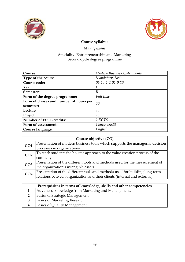



# Management

| Course:                                 | Modern Business Instruments     |
|-----------------------------------------|---------------------------------|
| Type of the course:                     | Mandatory, basic                |
| Course code:                            | $06 - 15 - 1 - 2 - 01 - 0 - 13$ |
| Year:                                   |                                 |
| Semester:                               | Н                               |
| Form of the degree programme:           | Full time                       |
| Form of classes and number of hours per | 30                              |
| semester:                               |                                 |
| Lecture                                 | 15                              |
| Project                                 | 15                              |
| <b>Number of ECTS credits:</b>          | 2 ECTS                          |
| Form of assessment:                     | Course credit                   |
| Course language:                        | English                         |

| Course objective (CO)                                                        |  |
|------------------------------------------------------------------------------|--|
| Presentation of modern business tools which supports the managerial decision |  |
| processes in organizations.                                                  |  |
| To teach students the holistic approach to the value creation process of the |  |
| company.                                                                     |  |
| Presentation of the different tools and methods used for the measurement of  |  |
| the organization's intangible assets.                                        |  |
| Presentation of the different tools and methods used for building long-term  |  |
| relations between organization and their clients (internal and external).    |  |
|                                                                              |  |

| Prerequisites in terms of knowledge, skills and other competencies |
|--------------------------------------------------------------------|
| Advanced knowledge from Marketing and Management.                  |
| Basics of Strategic Management.                                    |
| Basics of Marketing Research.                                      |
| Basics of Quality Management.                                      |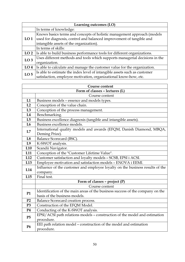| Learning outcomes (LO) |                                                                             |
|------------------------|-----------------------------------------------------------------------------|
|                        | In terms of knowledge:                                                      |
|                        | Knows basics terms and concepts of holistic management approach (models     |
| LO <sub>1</sub>        | used for diagnosis, control and balanced improvement of tangible and        |
|                        | intangible assets of the organization).                                     |
|                        | In terms of skills:                                                         |
| LO <sub>2</sub>        | Is able to build business performance tools for different organizations.    |
| LO <sub>3</sub>        | Uses different methods and tools which supports managerial decisions in the |
|                        | organization.                                                               |
| LO <sub>4</sub>        | Is able to calculate and manage the customer value for the organization.    |
| LO <sub>5</sub>        | Is able to estimate the index level of intangible assets such as customer   |
|                        | satisfaction, employee motivation, organizational know-how, etc.            |

|                                | Course content                                                                            |
|--------------------------------|-------------------------------------------------------------------------------------------|
| Form of classes - lectures (L) |                                                                                           |
|                                | Course content                                                                            |
| L1                             | Business models - essence and models types.                                               |
| L2                             | Conception of the value chain.                                                            |
| L3                             | Conception of the process management.                                                     |
| L4                             | Benchmarking.                                                                             |
| L5                             | Business excellence diagnosis (tangible and intangible assets).                           |
| L6                             | Business excellence models.                                                               |
| L7                             | International quality models and awards (EFQM, Danish Diamond, MBQA,                      |
|                                | Deming Prize).                                                                            |
| L8                             | Balance Scorecard (BSC).                                                                  |
| L <sub>9</sub>                 | K-SWOT analysis.                                                                          |
| L <sub>10</sub>                | Scandii Navigator.                                                                        |
| L11                            | Conception of the "Customer Lifetime Value".                                              |
| L12                            | Customer satisfaction and loyalty models - SCSB, EPSI i ACSI.                             |
| L13                            | Employee motivation and satisfaction models - ENOVA i EEMI.                               |
| L14                            | Influence of the customer and employee loyalty on the business results of the<br>company. |
| L15                            | Final test.                                                                               |
|                                | Form of classes - project $(P)$                                                           |
|                                | Course content                                                                            |
|                                | Identification of the main areas of the business success of the company on the            |
| <b>P1</b>                      | basis of the business models.                                                             |
| P2                             | Balance Scorecard creation process.                                                       |
| P <sub>3</sub>                 | Construction of the EFQM Model.                                                           |
| <b>P4</b>                      | Conducting of the K-SWOT analysis.                                                        |
| P5                             | EPSI/ACSI path relations models - construction of the model and estimation                |
|                                | procedure.                                                                                |
| <b>P6</b>                      | EEI path relation model - construction of the model and estimation                        |
|                                | procedure.                                                                                |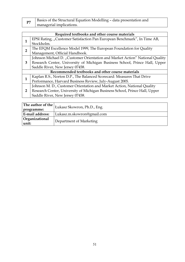| D7 | Basics of the Structural Equation Modelling - data presentation and |
|----|---------------------------------------------------------------------|
|    | managerial implications.                                            |

| Required textbooks and other course materials                            |                                                                              |  |
|--------------------------------------------------------------------------|------------------------------------------------------------------------------|--|
|                                                                          | EPSI Rating, "Customer Satisfaction Pan European Benchmark", In Time AB,     |  |
|                                                                          | Stockholm.                                                                   |  |
| The EFQM Excellence Model 1999, The European Foundation for Quality<br>2 |                                                                              |  |
|                                                                          | Management, Official Handbook.                                               |  |
|                                                                          | Johnson Michael D. "Customer Orientation and Market Action" National Quality |  |
| 3                                                                        | Research Center, University of Michigan Business School, Prince Hall, Upper  |  |
|                                                                          | Saddle River, New Jersey 07458.                                              |  |
| Recommended textbooks and other course materials                         |                                                                              |  |
|                                                                          | Kaplan R.S., Norton D.P., The Balanced Scorecard: Measures That Drive        |  |
|                                                                          | Performance, Harvard Business Review, July-August 2005.                      |  |
|                                                                          | Johnson M. D., Customer Orientation and Market Action, National Quality      |  |
| 2                                                                        | Research Center, University of Michigan Business School, Prince Hall, Upper  |  |
|                                                                          | Saddle River, New Jersey 07458.                                              |  |

| The author of the $\vert_{\rm L}$<br>programme: | Lukasz Skowron, Ph.D., Eng. |  |
|-------------------------------------------------|-----------------------------|--|
| <b>E-mail address:</b>                          | Lukasz.m.skowron@gmail.com  |  |
| Organizational<br>unit:                         | Department of Marketing     |  |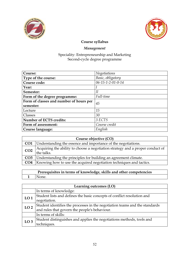



# Management

| Course:                                 | Negotiations      |
|-----------------------------------------|-------------------|
| Type of the course:                     | Basic, obligatory |
| Course code:                            | 06-15-1-2-01-0-14 |
| Year:                                   |                   |
| Semester:                               | II                |
| Form of the degree programme:           | Full-time         |
| Form of classes and number of hours per | 45                |
| semester:                               |                   |
| Lecture                                 | 15                |
| Classes                                 | 30                |
| Number of ECTS credits:                 | 3 ECTS            |
| Form of assessment:                     | Course credit     |
| Course language:                        | English           |

| Course objective (CO) |                                                                                              |  |
|-----------------------|----------------------------------------------------------------------------------------------|--|
|                       | <b>CO1</b> Understanding the essence and importance of the negotiations.                     |  |
| CO <sub>2</sub>       | Acquiring the ability to choose a negotiation strategy and a proper conduct of<br>the talks. |  |
|                       | <b>CO3</b> Understanding the principles for building an agreement climate.                   |  |
| CO <sub>4</sub>       | Knowing how to use the acquired negotiation techniques and tactics.                          |  |

| Prerequisites in terms of knowledge, skills and other competencies |             |  |
|--------------------------------------------------------------------|-------------|--|
|                                                                    | $1$   None. |  |

| Learning outcomes (LO) |                                                                             |  |
|------------------------|-----------------------------------------------------------------------------|--|
|                        | In terms of knowledge:                                                      |  |
| LO <sub>1</sub>        | Student lists and defines the basic concepts of conflict resolution and     |  |
|                        | negotiation.                                                                |  |
| LO <sub>2</sub>        | Student identifies the processes in the negotiation teams and the standards |  |
|                        | and rules that govern the people's behaviour.                               |  |
|                        | In terms of skills:                                                         |  |
| LO <sub>3</sub>        | Student distinguishes and applies the negotiations methods, tools and       |  |
|                        | techniques.                                                                 |  |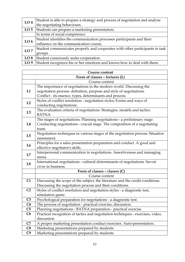| LO <sub>4</sub> | Student is able to prepare a strategy and process of negotiation and analyse |  |
|-----------------|------------------------------------------------------------------------------|--|
|                 | the negotiating behaviours.                                                  |  |
| LO <sub>5</sub> | Students can prepare a marketing presentation.                               |  |
|                 | In terms of social competence:                                               |  |
| LO <sub>6</sub> | Student identifies the communication processes participants and their        |  |
|                 | influence on the communication course.                                       |  |
| LO7             | Student communicates properly and cooperates with other participants in task |  |
|                 | groups.                                                                      |  |
| LO <sub>8</sub> | Student consciously seeks cooperation.                                       |  |
| LO <sub>9</sub> | Student recognizes his or her emotions and knows how to deal with them.      |  |

| Course content                 |                                                                                 |  |
|--------------------------------|---------------------------------------------------------------------------------|--|
| Form of classes - lectures (L) |                                                                                 |  |
|                                | Course content                                                                  |  |
|                                | The importance of negotiations in the modern world. Discussing the              |  |
| L1                             | negotiation process: definition, purpose and style of negotiations.             |  |
|                                | Conflict - its essence, types, determinants and process.                        |  |
| L2                             | Styles of conflict resolution - negotiation styles; Forms and ways of           |  |
|                                | conducting negotiations.                                                        |  |
| L3                             | The evaluation criteria of negotiations. Strategies, models and tactics.        |  |
|                                | BATNA.                                                                          |  |
|                                | The stages of negotiations. Planning negotiations - a preliminary stage.        |  |
| L4                             | Conducting negotiations - crucial stage. The composition of a negotiating       |  |
|                                | team.                                                                           |  |
| L5                             | Negotiation techniques in various stages of the negotiation process. Situation  |  |
|                                | assessment.                                                                     |  |
| L6                             | Principles for a sales presentation preparation and conduct. A good and         |  |
|                                | effective negotiator's skills.                                                  |  |
| L7                             | Interpersonal communication in negotiations. Assertiveness and managing         |  |
|                                | stress.                                                                         |  |
| L8                             | International negotiations - cultural determinants of negotiations. Savoir      |  |
|                                | vivre in business.                                                              |  |
|                                | Form of classes - classes (C)                                                   |  |
|                                | Course content                                                                  |  |
| C1                             | Discussing the scope of the subject, the literature and the credit conditions.  |  |
|                                | Discussing the negotiation process and their conditions.                        |  |
| C <sub>2</sub>                 | Styles of conflict resolution and negotiation styles - a diagnostic test,       |  |
|                                | simulation game.                                                                |  |
| C <sub>3</sub>                 | Psychological preparation for negotiations - a diagnostic test.                 |  |
| C <sub>4</sub>                 | The process of negotiation - practical exercise, discussion.                    |  |
| C <sub>5</sub>                 | Planning negotiations - BATNA preparation - practical exercise.                 |  |
| C6                             | Practical recognition of tactics and negotiation techniques - exercises, video, |  |
|                                | discussion.                                                                     |  |
| C7                             | A proper marketing presentation conduct exercises. Auto-presentation.           |  |
| C8                             | Marketing presentations prepared by students.                                   |  |
| C9                             | Marketing presentations prepared by students.                                   |  |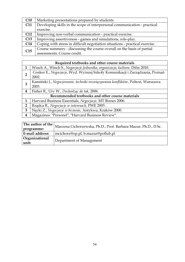| C10        | Marketing presentations prepared by students.                                |
|------------|------------------------------------------------------------------------------|
| <b>C11</b> | Developing skills in the scope of interpersonal communication - practical    |
|            | exercise.                                                                    |
| C12        | Improving non-verbal communication - practical exercise.                     |
| C13        | Improving assertiveness - games and simulations, role-play.                  |
| C14        | Coping with stress in difficult negotiation situations - practical exercise. |
| C15        | Course summary - discussing the course overall on the basis of partial       |
|            | assessments. Course credit.                                                  |

| Required textbooks and other course materials    |                                                                                 |  |
|--------------------------------------------------|---------------------------------------------------------------------------------|--|
| 1                                                | Winch A., Winch S., Negocjacje. Jednostka, organizacja, kultura. Difin 2010.    |  |
| $\overline{2}$                                   | Cenker E., Negocjacje, Wyd. Wyższej Szkoły Komunikacji i Zarządzania, Poznań    |  |
|                                                  | 2002.                                                                           |  |
| 3                                                | Kamiński J., Negocjowanie, techniki rozwiązywania konfliktów, Poltext, Warszawa |  |
|                                                  | 2003.                                                                           |  |
| 4                                                | Fisher R., Ury W., Dochodząc do tak, 2006.                                      |  |
| Recommended textbooks and other course materials |                                                                                 |  |
| 1                                                | Harvard Business Essentials, Negocjacje, MT Biznes 2006.                        |  |
| 2                                                | Rządca R., Negocjacje w interesach, PWE 2003.                                   |  |
| 3                                                | Nęcki Z., Negocjacje w biznesie, Antykwa, Kraków 2000.                          |  |
| 4                                                | Magazines: "Personel", "Harvard Business Review".                               |  |

| The author of the $\vert$<br>programme: | Marzena Cichorzewska, Ph.D., Prof. Barbara Mazur, Ph.D., D.Sc. |
|-----------------------------------------|----------------------------------------------------------------|
| <b>E-mail address:</b>                  | mcichorz@op.pl, b.mazur@pollub.pl                              |
| Organizational<br>  unit:               | Department of Management                                       |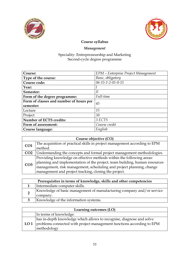



# Management

| Course:                                 | EPM - Enterprise Project Management |
|-----------------------------------------|-------------------------------------|
| Type of the course:                     | Basic, obligatory                   |
| Course code:                            | $06 - 15 - 1 - 2 - 01 - 0 - 15$     |
| Year:                                   |                                     |
| Semester:                               | II                                  |
| Form of the degree programme:           | Full-time                           |
| Form of classes and number of hours per | 45                                  |
| semester:                               |                                     |
| Lecture                                 | 15                                  |
| Project                                 | 30                                  |
| <b>Number of ECTS credits:</b>          | 3 ECTS                              |
| Form of assessment:                     | Course credit                       |
| Course language:                        | English                             |

| Course objective (CO) |                                                                            |
|-----------------------|----------------------------------------------------------------------------|
| CO <sub>1</sub>       | The acquisition of practical skills in project management according to EPM |
|                       | method.                                                                    |
| CO <sub>2</sub>       | Understanding the concepts and formal project management methodologies.    |
| CO <sub>3</sub>       | Providing knowledge on effective methods within the following areas:       |
|                       | planning and implementation of the project, team building, human resources |
|                       | management, risk management, scheduling and project planning, change       |
|                       | management and project tracking, closing the project.                      |

|  | Prerequisites in terms of knowledge, skills and other competencies    |
|--|-----------------------------------------------------------------------|
|  | Intermediate computer skills.                                         |
|  | Knowledge of basic management of manufacturing company and/or service |
|  | company.                                                              |
|  | Knowledge of the information systems.                                 |

| Learning outcomes (LO) |                                                                                                                                                                          |
|------------------------|--------------------------------------------------------------------------------------------------------------------------------------------------------------------------|
|                        | In terms of knowledge:                                                                                                                                                   |
|                        | has in-depth knowledge which allows to recognise, diagnose and solve<br><b>LO 1</b> problems connected with project management functions according to EPM<br>methodology |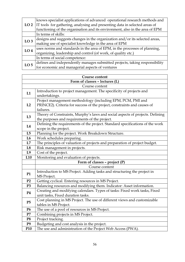|                 | knows specialist applications of advanced operational research methods and        |
|-----------------|-----------------------------------------------------------------------------------|
|                 | LO 2   IT tools for gathering, analysing and presenting data in selected areas of |
|                 | functioning of the organisation and its environment, also in the area of EPM      |
|                 | In terms of skills:                                                               |
| LO <sub>3</sub> | designs and suggests changes in the organization and/or its selected areas,       |
|                 | making use of specialist knowledge in the area of EPM                             |
| LO <sub>4</sub> | uses norms and standards in the area of EPM, in the processes of planning,        |
|                 | organizing, leadership and control (of work, of quality etc.)                     |
|                 | In terms of social competence:                                                    |
| LO <sub>5</sub> | defines and independently manages submitted projects, taking responsibility       |
|                 | for economic and managerial aspects of ventures                                   |

| Course content                 |                                                                               |  |
|--------------------------------|-------------------------------------------------------------------------------|--|
| Form of classes - lectures (L) |                                                                               |  |
|                                | Course content                                                                |  |
| L1                             | Introduction to project management. The specificity of projects and           |  |
|                                | undertakings.                                                                 |  |
|                                | Project management methodology (including EPM, PCM, PMI and                   |  |
| L2                             | PRINCE2). Criteria for success of the project, constraints and causes of      |  |
|                                | failures.                                                                     |  |
| L3                             | Theory of Constraints, Murphy's laws and social aspects of projects. Defining |  |
|                                | the purposes and requirements of the project.                                 |  |
| L4                             | Defining the requirements of the project. Standard specifications of the work |  |
|                                | scope in the project.                                                         |  |
| L5                             | Planning for the project. Work Breakdown Structure.                           |  |
| L <sub>6</sub>                 | Work schedules preparing.                                                     |  |
| L7                             | The principles of valuation of projects and preparation of project budget.    |  |
| $\mathbf{L8}$                  | Risk management in projects.                                                  |  |
| L9                             | Cost of the project.                                                          |  |
| L10                            | Monitoring and evaluation of projects.                                        |  |
|                                | Form of classes - project $(P)$                                               |  |
|                                | Course content                                                                |  |
| <b>P1</b>                      | Introduction to MS Project. Adding tasks and structuring the project in       |  |
|                                | MS Project.                                                                   |  |
| P2                             | Getting cyclical. Entering resources in MS Project.                           |  |
| P <sub>3</sub>                 | Balancing resources and modifying them. Indicator: Asset information.         |  |
|                                | Creating and modifying calendars. Types of tasks: Fixed work tasks, Fixed     |  |
| <b>P4</b>                      | unit tasks, Fixed duration tasks.                                             |  |
| P5                             | Cost planning in MS Project. The use of different views and customizable      |  |
|                                | tables in MS Project.                                                         |  |
| <b>P6</b>                      | The use of a pool of resources in MS Project.                                 |  |
| ${\bf P}7$                     | Combining projects in MS Project.                                             |  |
| P <sub>8</sub>                 | Project tracking.                                                             |  |
| P <sub>9</sub>                 | Budgeting and cost analysis in the project.                                   |  |
| P10                            | The use and administration of the Project Web Access (PWA).                   |  |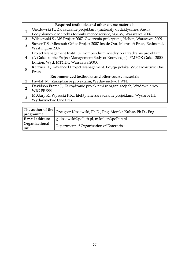|                | Required textbooks and other course materials                                    |  |  |
|----------------|----------------------------------------------------------------------------------|--|--|
| 1              | Giełdowski P., Zarządzanie projektami (materiały dydaktyczne), Studia            |  |  |
|                | Podyplomowe Metody i techniki menedżerskie, SGGW, Warszawa 2006.                 |  |  |
| $\overline{2}$ | Wilczewski S., MS Project 2007. Ćwiczenia praktyczne, Helion, Warszawa 2009.     |  |  |
| 3              | Stover T.S., Microsoft Office Project 2007 Inside Out, Microsoft Press, Redmond, |  |  |
|                | Washington 2007.                                                                 |  |  |
|                | Project Management Institute, Kompendium wiedzy o zarządzanie projektami         |  |  |
| 4              | (A Guide to the Project Management Body of Knowledge). PMBOK Guide 2000          |  |  |
|                | Edition, Wyd. MT&DC Warszawa 2003.                                               |  |  |
| 5              | Kerzner H., Advanced Project Management. Edycja polska, Wydawnictwo: One         |  |  |
|                | Press.                                                                           |  |  |
|                | Recommended textbooks and other course materials                                 |  |  |
| $\mathbf{1}$   | Pawlak M., Zarządzanie projektami, Wydawnictwo PWN.                              |  |  |
|                | Davidson Frame J., Zarządzanie projektami w organizacjach, Wydawnictwo           |  |  |
| $\overline{2}$ | WIG PRESS.                                                                       |  |  |
| 3              | McGary R., Wysocki R.K., Efektywne zarządzanie projektami, Wydanie III;          |  |  |
|                | Wydawnictwo One Pres.                                                            |  |  |
|                |                                                                                  |  |  |

|                         | The author of the $\big _\mathrm{Grzegorz}$ Kłosowski, Ph.D., Eng. Monika Kulisz, Ph.D., Eng. |
|-------------------------|-----------------------------------------------------------------------------------------------|
| programme:              |                                                                                               |
| <b>E-mail address:</b>  | g.klosowski@pollub.pl, m.kulisz@pollub.pl                                                     |
| Organizational<br>unit: | Department of Organisation of Enterprise                                                      |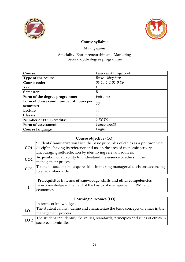



# Management

| Course:                                       | Ethics in Management            |  |
|-----------------------------------------------|---------------------------------|--|
| Type of the course:                           | Basic, obligatory               |  |
| Course code:                                  | $06 - 15 - 1 - 2 - 01 - 0 - 16$ |  |
| Year:                                         |                                 |  |
| Semester:                                     | Н                               |  |
| Form of the degree programme:                 | Full-time                       |  |
| Form of classes and number of hours per<br>30 |                                 |  |
| semester:                                     |                                 |  |
| Lecture                                       | 15                              |  |
| Classes                                       | 15                              |  |
| Number of ECTS credits:                       | 2 ECTS                          |  |
| Form of assessment:                           | Course credit                   |  |
| Course language:                              | English                         |  |

| Course objective (CO) |                                                                                  |
|-----------------------|----------------------------------------------------------------------------------|
|                       | Students' familiarization with the basic principles of ethics as a philosophical |
| CO <sub>1</sub>       | discipline having its reference and use in the area of economic activity.        |
|                       | Encouraging self-reflection by identifying relevant sources.                     |
| CO <sub>2</sub>       | Acquisition of an ability to understand the essence of ethics in the             |
|                       | management process.                                                              |
| CO <sub>3</sub>       | To enable students to acquire skills in making managerial decisions according    |
|                       | to ethical standards.                                                            |

| Prerequisites in terms of knowledge, skills and other competencies |                                                                    |
|--------------------------------------------------------------------|--------------------------------------------------------------------|
|                                                                    | Basic knowledge in the field of the basics of management, HRM, and |
|                                                                    | economics.                                                         |

| Learning outcomes (LO) |                                                                                   |
|------------------------|-----------------------------------------------------------------------------------|
|                        | In terms of knowledge:                                                            |
| LO <sub>1</sub>        | The student can list, define and characterize the basic concepts of ethics in the |
|                        | management process.                                                               |
| LO <sub>2</sub>        | The student can identify the values, standards, principles and rules of ethics in |
|                        | socio-economic life.                                                              |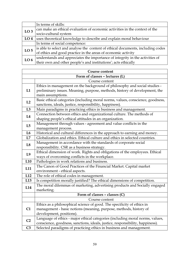|                 | In terms of skills:                                                             |
|-----------------|---------------------------------------------------------------------------------|
| LO <sub>3</sub> | can make an ethical evaluation of economic activities in the context of the     |
|                 | socio-cultural system                                                           |
| LO <sub>4</sub> | uses theoretical knowledge to describe and explain moral behaviour              |
|                 | In terms of social competence:                                                  |
| LO <sub>5</sub> | is able to select and analyse the content of ethical documents, including codes |
|                 | of ethics and good practice in the areas of economic activity                   |
| LO <sub>6</sub> | understands and appreciates the importance of integrity in the activities of    |
|                 | their own and other people's and institutions'; acts ethically                  |

| Course content |                                                                                |  |
|----------------|--------------------------------------------------------------------------------|--|
|                | Form of classes - lectures (L)                                                 |  |
|                | Course content                                                                 |  |
|                | Ethics in management on the background of philosophy and social studies -      |  |
| L1             | preliminary issues. Meaning, purpose, methods, history of development, the     |  |
|                | main assumptions.                                                              |  |
| L2             | Basic ethical categories (including moral norms, values, conscience, goodness, |  |
|                | sanctions, ideals, justice, responsibility, happiness).                        |  |
| L3             | Main paradigms in practicing ethics in business and management.                |  |
| L4             | Connection between ethics and organizational culture. The methods of           |  |
|                | shaping people's ethical attitudes in an organization.                         |  |
| L5             | Management through values - agreement and value conflicts in the               |  |
|                | management process.                                                            |  |
| L <sub>6</sub> | Historical and cultural differences in the approach to earning and money.      |  |
| L7             | Globalization and ethics. Ethical culture and ethics in selected countries.    |  |
| L8             | Management in accordance with the standards of corporate social                |  |
|                | responsibility. CSR as a business strategy.                                    |  |
| L <sub>9</sub> | Ethical dimension of work. Rights and obligations of the employees. Ethical    |  |
|                | ways of overcoming conflicts in the workplace.                                 |  |
| L10            | Pathologies in work relations and business.                                    |  |
|                | The Canon of Good Practices of the Financial Market. Capital market            |  |
| L11            | environment - ethical aspects.                                                 |  |
| L12            | The role of ethical codes in management.                                       |  |
| L13            | Is competition morally justified? The ethical dimensions of competition.       |  |
| L14            | The moral dilemmas of marketing, advertising products and Socially engaged     |  |
|                | marketing.                                                                     |  |
|                | Form of classes - classes (C)                                                  |  |
|                | Course content                                                                 |  |
|                | Ethics as a philosophical science of good. The specificity of ethics in        |  |
| C1             | management - basic notions (meaning, purpose, methods, history of              |  |
|                | development, positions).                                                       |  |
| C <sub>2</sub> | Language of ethics - major ethical categories (including moral norms, values,  |  |
|                | conscience, goodness, sanctions, ideals, justice, responsibility, happiness).  |  |
| C <sub>3</sub> | Selected paradigms of practicing ethics in business and management.            |  |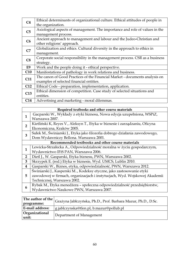| C <sub>4</sub> | Ethical determinants of organizational culture. Ethical attitudes of people in |  |
|----------------|--------------------------------------------------------------------------------|--|
|                | the organization.                                                              |  |
| C <sub>5</sub> | Axiological aspects of management. The importance and role of values in the    |  |
| C6             | management process.                                                            |  |
|                | Ancient approach to management and labour and the Judeo-Christian and          |  |
|                | other religions' approach.                                                     |  |
| C7             | Globalization and ethics. Cultural diversity in the approach to ethics in      |  |
|                | management.                                                                    |  |
| C8             | Corporate social responsibility in the management process. CSR as a business   |  |
|                | strategy.                                                                      |  |
| E <sub>9</sub> | Work and the people doing it - ethical perspective.                            |  |
| C10            | Manifestations of pathology in work relations and business.                    |  |
| C11            | The canon of Good Practices of the Financial Market - documents analysis on    |  |
|                | examples of selected financial entities.                                       |  |
| C12            | Ethical Code - preparation, implementation, application.                       |  |
| C13            | Ethical dimension of competition. Case study of selected situations and        |  |
|                | entities.                                                                      |  |
| C14            | Advertising and marketing - moral dilemmas.                                    |  |

|                | Required textbooks and other course materials                               |  |  |
|----------------|-----------------------------------------------------------------------------|--|--|
| $\mathbf{1}$   | Gacparski W., Wykłady z etyki biznesu, Nowa edycja uzupełniona, WSPiZ,      |  |  |
|                | Warszawa 2007.                                                              |  |  |
| $\overline{2}$ | Kietliński K, Reyes V., Aleksyn T., Etyka w biznesie i zarządzaniu, Oficyna |  |  |
|                | Ekonomiczna, Kraków 2005.                                                   |  |  |
| 3              | Sułek M., Świniarski J., Etyka jako filozofia dobrego działania zawodowego, |  |  |
|                | Dom Wydawniczy Bellona. Warszawa 2001.                                      |  |  |
|                | Recommended textbooks and other course materials                            |  |  |
| $\mathbf{1}$   | Lewicka-Strzałecka A., Odpowiedzialność moralna w życiu gospodarczym,       |  |  |
|                | Wydawnictwo IFiS PAN, Warszawa 2006.                                        |  |  |
| $\overline{2}$ | Dietl J., W. Gasparski, Etyka biznesu, PWN, Warszawa 2002.                  |  |  |
| 3              | Skrzypek E. (red.) Etyka w biznesie, Wyd. UMCS, Lublin 2010.                |  |  |
| 4              | Gasparski W., Biznes, etyka, odpowiedzialność, PWN, Warszawa 2012.          |  |  |
|                | Świniarski J., Kasperski M, Kodeksy etyczne, jako zastosowanie etyki        |  |  |
| 5              | zawodowej w firmach, organizacjach i instytucjach, Wyd. Wojskowej Akademii  |  |  |
|                | Technicznej, Warszawa 2002.                                                 |  |  |
| 6              | Rybak M., Etyka menedżera - społeczna odpowiedzialność przedsiębiorstw,     |  |  |
|                | Wydawnictwo Naukowe PWN, Warszawa 2007.                                     |  |  |
|                |                                                                             |  |  |

|                         | $\vert$ The author of the $\vert$ Grażyna Jabłczyńska, Ph.D., Prof. Barbara Mazur, Ph.D., D.Sc. |
|-------------------------|-------------------------------------------------------------------------------------------------|
| programme:              |                                                                                                 |
| E-mail address:         | g.jablczynska@tlen.pl, b.mazur@pollub.pl                                                        |
| Organizational<br>unit: | Department of Management                                                                        |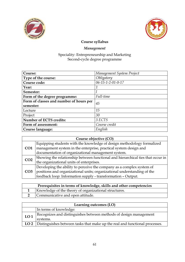



# Management

| Course:                                 | Management System Project |  |
|-----------------------------------------|---------------------------|--|
| Type of the course:                     | Obligatory                |  |
| Course code:                            | 06-15-1-2-01-0-17         |  |
| Year:                                   | 1                         |  |
| Semester:                               |                           |  |
| Form of the degree programme:           | Full-time                 |  |
| Form of classes and number of hours per | 45                        |  |
| semester:                               |                           |  |
| Lecture                                 | 15                        |  |
| Project                                 | 30                        |  |
| <b>Number of ECTS credits:</b>          | 3 ECTS                    |  |
| Form of assessment:                     | Course credit             |  |
| Course language:                        | English                   |  |

| Course objective (CO) |                                                                                 |  |
|-----------------------|---------------------------------------------------------------------------------|--|
| CO <sub>1</sub>       | Equipping students with the knowledge of design methodology formalized          |  |
|                       | management system in the enterprise, practical system design and                |  |
|                       | documentation of organizational management system.                              |  |
| CO <sub>2</sub>       | Showing the relationship between functional and hierarchical ties that occur in |  |
|                       | the organizational units of enterprises.                                        |  |
| CO <sub>3</sub>       | Developing the ability to perceive the company as a complex system of           |  |
|                       | positions and organizational units; organizational understanding of the         |  |
|                       | feedback loop: Information supply - transformation - Output.                    |  |

| Prerequisites in terms of knowledge, skills and other competencies |                                                       |
|--------------------------------------------------------------------|-------------------------------------------------------|
|                                                                    | Knowledge of the theory of organizational structures. |
|                                                                    | Communicative and open attitude.                      |

| Learning outcomes (LO) |                                                                             |  |
|------------------------|-----------------------------------------------------------------------------|--|
|                        | In terms of knowledge:                                                      |  |
| LO <sub>1</sub>        | Recognizes and distinguishes between methods of design management           |  |
|                        | systems.                                                                    |  |
| LO <sub>2</sub>        | Distinguishes between tasks that make up the real and functional processes. |  |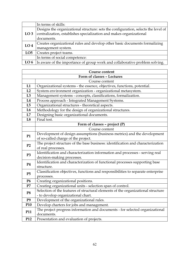|                 | In terms of skills:                                                                |  |
|-----------------|------------------------------------------------------------------------------------|--|
|                 | Designs the organizational structure: sets the configuration, selects the level of |  |
| LO <sub>3</sub> | centralization, establishes specialization and makes organizational                |  |
|                 | documents.                                                                         |  |
| LO <sub>4</sub> | Creates organizational rules and develop other basic documents formalizing         |  |
|                 | management system.                                                                 |  |
| LO <sub>5</sub> | Creates project teams.                                                             |  |
|                 | In terms of social competence:                                                     |  |
| LO <sub>6</sub> | Is aware of the importance of group work and collaborative problem solving.        |  |

| <b>Course content</b>      |                                                                                  |  |
|----------------------------|----------------------------------------------------------------------------------|--|
| Form of classes - Lectures |                                                                                  |  |
|                            | Course content                                                                   |  |
| L1                         | Organizational systems - the essence, objectives, functions, potential.          |  |
| L2                         | System environment organization - organizational metasystem.                     |  |
| L3                         | Management systems - concepts, classifications, formalization.                   |  |
| L4                         | Process approach - Integrated Management Systems.                                |  |
| L5                         | Organizational structures - theoretical aspects.                                 |  |
| L6                         | Methodology for the design of organizational structures.                         |  |
| L7                         | Designing basic organizational documents.                                        |  |
| L8                         | Final test.                                                                      |  |
|                            | Form of classes - project (P)                                                    |  |
|                            | Course content                                                                   |  |
| <b>P1</b>                  | Development of design assumptions (business metrics) and the development         |  |
|                            | of so-called charge of the project.                                              |  |
| P <sub>2</sub>             | The project structure of the base business: identification and characterization  |  |
|                            | of real processes.                                                               |  |
| P <sub>3</sub>             | Identification and characterization information and processes - serving real     |  |
|                            | decision-making processes.                                                       |  |
| <b>P4</b>                  | Identification and characterization of functional processes supporting base      |  |
|                            | structure.                                                                       |  |
| P5                         | Classification objectives, functions and responsibilities to separate enterprise |  |
|                            | processes.                                                                       |  |
| <b>P6</b>                  | Creating organizational positions.                                               |  |
| P7                         | Creating organizational units - selection span of control.                       |  |
| P <sub>8</sub>             | Selection of the features of structural elements of the organizational structure |  |
|                            | - to develop organizational chart.                                               |  |
| P <sub>9</sub>             | Development of the organizational rules.                                         |  |
| P <sub>10</sub>            | Develop charters for jobs and management.                                        |  |
| P11                        | The project progress information and documents - for selected organizational     |  |
|                            | documents.                                                                       |  |
| P12                        | Presentation and evaluation of projects.                                         |  |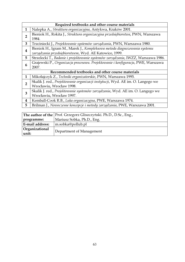|                | Required textbooks and other course materials                                     |  |
|----------------|-----------------------------------------------------------------------------------|--|
| 1              | Nalepka A., Struktura organizacyjna, Antykwa, Kraków 2001.                        |  |
| 2              | Bieniok H., Rokita J., Struktura organizacyjna przedsiębiorstwa, PWN, Warszawa    |  |
|                | 1984.                                                                             |  |
| 3              | Trzciniecki J., Projektowanie systemów zarządzania, PWN, Warszawa 1980.           |  |
| 4              | Bieniok H., Igram M., Marek J., Kompleksowa metoda diagnozowania systemu          |  |
|                | zarządzania przedsiębiorstwem, Wyd. AE Katowice, 1999.                            |  |
| 5              | Strzelecki T., Badanie i projektowanie systemów zarządzania, IWZZ, Warszawa 1986. |  |
| 6              | Grajewski P., Organizacja procesowa. Projektowanie i konfiguracja, PWE, Warszawa  |  |
|                | 2007.                                                                             |  |
|                | Recommended textbooks and other course materials                                  |  |
| $\mathbf{1}$   | Mikołajczyk Z., Techniki organizatorskie, PWN, Warszawa 1995.                     |  |
| $\overline{2}$ | Skalik J. red., Projektowanie organizacji instytucji, Wyd. AE im. O. Langego we   |  |
|                | Wrocławiu, Wrocław 1998.                                                          |  |
| 3              | Skalik J. red., Projektowanie systemów zarządzania, Wyd. AE im. O. Langego we     |  |
|                | Wrocławiu, Wrocław 1997.                                                          |  |
| 4              | Kemball-Cook R.B., Luka organizacyjna, PWE, Warszawa 1974.                        |  |
| 5              | Brilman J., Nowoczesne koncepcje i metody zarządzania, PWE, Warszawa 2001.        |  |
|                |                                                                                   |  |

|                         | The author of the Prof. Grzegorz Gliszczyński. Ph.D., D.Sc., Eng., |
|-------------------------|--------------------------------------------------------------------|
| programme:              | Mariusz Sobka, Ph.D., Eng.                                         |
| <b>E-mail address:</b>  | m.sobka@pollub.pl                                                  |
| Organizational<br>unit: | Department of Management                                           |
|                         |                                                                    |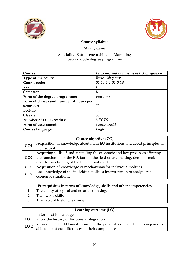



## Management

| Course:                                       | Economic and Law Issues of EU Integration |  |
|-----------------------------------------------|-------------------------------------------|--|
| Type of the course:                           | Basic, obligatory                         |  |
| Course code:                                  | $06 - 15 - 1 - 2 - 01 - 0 - 18$           |  |
| Year:                                         |                                           |  |
| Semester:                                     | Н                                         |  |
| Full-time<br>Form of the degree programme:    |                                           |  |
| Form of classes and number of hours per<br>45 |                                           |  |
| semester:                                     |                                           |  |
| Lecture                                       | 15                                        |  |
| Classes                                       | 30                                        |  |
| <b>Number of ECTS credits:</b><br>3 ECTS      |                                           |  |
| Form of assessment:                           | Course credit                             |  |
| Course language:                              | English                                   |  |

| Course objective (CO) |                                                                             |
|-----------------------|-----------------------------------------------------------------------------|
| CO <sub>1</sub>       | Acquisition of knowledge about main EU institutions and about principles of |
|                       | their activity.                                                             |
| CO <sub>2</sub>       | Acquiring skills of understanding the economic and law processes affecting  |
|                       | the functioning of the EU, both in the field of law-making, decision-making |
|                       | and the functioning of the EU internal market.                              |
| CO <sub>3</sub>       | Acquisition of knowledge of mechanisms for individual policies.             |
| CO <sub>4</sub>       | Use knowledge of the individual policies interpretation to analyse real     |
|                       | economic situations.                                                        |

| Prerequisites in terms of knowledge, skills and other competencies |                                               |
|--------------------------------------------------------------------|-----------------------------------------------|
|                                                                    | The ability of logical and creative thinking. |
|                                                                    | Teamwork skills.                              |
|                                                                    | The habit of lifelong learning.               |

| Learning outcome (LO) |                                                                               |
|-----------------------|-------------------------------------------------------------------------------|
|                       | In terms of knowledge:                                                        |
|                       | LO 1   know the history of European integration                               |
| LO <sub>2</sub>       | knows the main EU institutions and the principles of their functioning and is |
|                       | able to point out differences in their competence                             |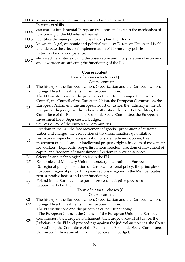| LO <sub>3</sub> | knows sources of Community law and is able to use them                       |  |
|-----------------|------------------------------------------------------------------------------|--|
|                 | In terms of skills:                                                          |  |
| LO <sub>4</sub> | can discuss fundamental European freedoms and explain the mechanism of       |  |
|                 | functioning of the EU internal market                                        |  |
| LO <sub>5</sub> | identifies the main policies and is able explain their tools                 |  |
| LO <sub>6</sub> | knows the legal, economic and political issues of European Union and is able |  |
|                 | to anticipate the effects of implementation of Community policies            |  |
|                 | In terms of social competence:                                               |  |
| LO7             | shows active attitude during the observation and interpretation of economic  |  |
|                 | and law processes affecting the functioning of the EU                        |  |

| <b>Course content</b> |                                                                                                                                                                                                                                                                                                                                                                                                                                                                   |
|-----------------------|-------------------------------------------------------------------------------------------------------------------------------------------------------------------------------------------------------------------------------------------------------------------------------------------------------------------------------------------------------------------------------------------------------------------------------------------------------------------|
|                       | Form of classes - lectures (L)                                                                                                                                                                                                                                                                                                                                                                                                                                    |
|                       | Course content                                                                                                                                                                                                                                                                                                                                                                                                                                                    |
| L1                    | The history of the European Union. Globalization and the European Union.                                                                                                                                                                                                                                                                                                                                                                                          |
| L2                    | Foreign Direct Investments in the European Union.                                                                                                                                                                                                                                                                                                                                                                                                                 |
| L3                    | The EU institutions and the principles of their functioning - The European<br>Council, the Council of the European Union, the European Commission, the<br>European Parliament, the European Court of Justice, the Judiciary in the EU<br>and proceedings against the judicial authorities, the Court of Auditors, the<br>Committee of the Regions, the Economic-Social Committee, the European<br>Investment Bank, Agencies EU budget.                            |
| L4                    | Sources of law of the European Communities.                                                                                                                                                                                                                                                                                                                                                                                                                       |
| L5                    | Freedom in the EU: the free movement of goods - prohibition of customs<br>duties and charges, the prohibition of tax discrimination, quantitative<br>restrictions, injunction reorganization of state trade monopolies, free<br>movement of goods and of intellectual property rights, freedom of movement<br>for workers - legal basis, scope, limitations freedom, freedom of movement of<br>capital and freedom of establishment, freedom to provide services. |
| L6                    | Scientific and technological policy in the EU.                                                                                                                                                                                                                                                                                                                                                                                                                    |
| L7                    | Economic and Monetary Union - monetary integration in Europe.                                                                                                                                                                                                                                                                                                                                                                                                     |
| L8                    | EU regional policy - evolution of European regional policy, the principles of<br>European regional policy. European regions - regions in the Member States,<br>representative bodies and their functioning.                                                                                                                                                                                                                                                       |
| L <sub>9</sub>        | Poland in the European integration process - adaptive processes.<br>Labour market in the EU.                                                                                                                                                                                                                                                                                                                                                                      |
|                       | Form of classes - classes (C)                                                                                                                                                                                                                                                                                                                                                                                                                                     |
|                       | Course content                                                                                                                                                                                                                                                                                                                                                                                                                                                    |
| C1                    | The history of the European Union. Globalization and the European Union.                                                                                                                                                                                                                                                                                                                                                                                          |
| C <sub>2</sub>        | Foreign Direct Investments in the European Union.                                                                                                                                                                                                                                                                                                                                                                                                                 |
| C <sub>3</sub>        | The EU institutions and the principles of their functioning<br>- The European Council, the Council of the European Union, the European<br>Commission, the European Parliament, the European Court of Justice, the<br>Judiciary in the EU and proceedings against the judicial authorities, the Court<br>of Auditors, the Committee of the Regions, the Economic-Social Committee,<br>the European Investment Bank, EU agencies, EU budget.                        |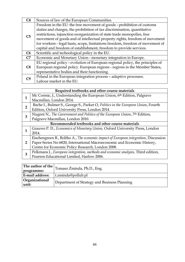| C <sub>4</sub> | Sources of law of the European Communities.                                   |
|----------------|-------------------------------------------------------------------------------|
|                | Freedom in the EU: the free movement of goods - prohibition of customs        |
|                | duties and charges, the prohibition of tax discrimination, quantitative       |
| C <sub>5</sub> | restrictions, injunction reorganization of state trade monopolies, free       |
|                | movement of goods and of intellectual property rights, freedom of movement    |
|                | for workers - legal basis, scope, limitations freedom, freedom of movement of |
|                | capital and freedom of establishment, freedom to provide services.            |
| C6             | Scientific and technological policy in the EU.                                |
| C7             | Economic and Monetary Union - monetary integration in Europe.                 |
| C8             | EU regional policy - evolution of European regional policy, the principles of |
|                | European regional policy. European regions - regions in the Member States,    |
|                | representative bodies and their functioning.                                  |
|                | Poland in the European integration process - adaptive processes.              |
|                | Labour market in the EU.                                                      |

|                                                  | Required textbooks and other course materials                                          |
|--------------------------------------------------|----------------------------------------------------------------------------------------|
|                                                  | Mc Cormic, J., Understanding the European Union, 6th Edition, Palgrave                 |
|                                                  | Macmillan, London 2014.                                                                |
| $\overline{2}$                                   | Bache I., Bulmer S., George S., Parker O, Politics in the European Union, Fourth       |
|                                                  | Edition, Oxford University Press, London 2014.                                         |
| 3                                                | Nugent N., The Government and Politics of the European Union, 7 <sup>th</sup> Edition, |
|                                                  | Palgrave Macmillan, London 2010.                                                       |
| Recommended textbooks and other course materials |                                                                                        |
| 1                                                | Grauwe P. D., Economics of Monetary Union, Oxford University Press, London             |
|                                                  | 2014.                                                                                  |
|                                                  | Eischengreen B., Boltho A., The economic impact of European integration, Discussion    |
| $\overline{2}$                                   | Paper Series No 6820, International Macroeconomic and Economic History,                |
|                                                  | Centre for Economic Policy Research, London 2008.                                      |
| 3                                                | Pelkmans J., European integration, methods and economic analysis, Third edition,       |
|                                                  | Pearson Educational Limited, Harlow 2006.                                              |
|                                                  |                                                                                        |

| programme:              | The author of the $\vert$ Tomasz Żminda, Ph.D., Eng. |
|-------------------------|------------------------------------------------------|
| E-mail address:         | t.zminda@pollub.pl                                   |
| Organizational<br>unit: | Department of Strategy and Business Planning         |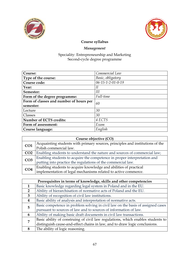



# Management

| Course:                                       | Commercial Law                  |
|-----------------------------------------------|---------------------------------|
| Type of the course:                           | Basic, obligatory               |
| Course code:                                  | $06 - 15 - 1 - 2 - 01 - 0 - 19$ |
| Year:                                         | Н                               |
| Semester:                                     | Ш                               |
| Form of the degree programme:                 | Full-time                       |
| Form of classes and number of hours per<br>60 |                                 |
| semester:                                     |                                 |
| Lecture                                       | 30                              |
| Classes                                       | 30                              |
| <b>Number of ECTS credits:</b><br>4 ECTS      |                                 |
| Form of assessment:                           | Exam                            |
| Course language:                              | English                         |

| Course objective (CO) |                                                                               |
|-----------------------|-------------------------------------------------------------------------------|
| CO <sub>1</sub>       | Acquainting students with primary sources, principles and institutions of the |
|                       | Polish commercial law.                                                        |
| CO <sub>2</sub>       | Enabling students to understand the nature and sources of commercial law;     |
| CO <sub>3</sub>       | Enabling students to acquire the competence in proper interpretation and      |
|                       | putting into practice the regulations of the commercial law.                  |
| CO <sub>4</sub>       | Enabling students to acquire knowledge and abilities of practical             |
|                       | implementation of legal mechanisms related to active commerce.                |

|                | Prerequisites in terms of knowledge, skills and other competencies              |
|----------------|---------------------------------------------------------------------------------|
| 1              | Basic knowledge regarding legal system in Poland and in the EU.                 |
| $\overline{2}$ | Ability of hierarchisation of normative acts of Poland and the EU.              |
| 3              | Ability of recognition of civil law institutions.                               |
| 4              | Basic ability of analysis and interpretation of normative acts.                 |
| 5              | Basic competence in problem solving in civil law on the basis of assigned cases |
|                | pursuant to sources of law and to sources of information of law.                |
| 6              | Ability of making basic draft documents in civil law transactions.              |
| $\overline{7}$ | Basic ability of construing of civil law regulations, which enables students to |
|                | distinguish cause-and-effect chains in law, and to draw logic conclusions.      |
| 8              | The ability of logic reasoning.                                                 |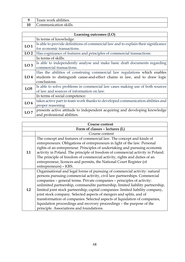| Team work abilities.  |
|-----------------------|
| Communication skills. |

| Learning outcomes (LO) |                                                                                    |
|------------------------|------------------------------------------------------------------------------------|
|                        | In terms of knowledge:                                                             |
| LO <sub>1</sub>        | Is able to provide definitions of commercial law and to explain their significance |
|                        | for economic transactions.                                                         |
| LO <sub>2</sub>        | Has cognizance of features and principles of commercial transactions.              |
|                        | In terms of skills:                                                                |
| LO <sub>3</sub>        | Is able to independently analyse and make basic draft documents regarding          |
|                        | commercial transactions.                                                           |
|                        | Has the abilities of construing commercial law regulations which enables           |
| LO <sub>4</sub>        | students to distinguish cause-and-effect chains in law, and to draw logic          |
|                        | conclusions.                                                                       |
| LO <sub>5</sub>        | Is able to solve problems in commercial law cases making use of both sources       |
|                        | of law and sources of information on law.                                          |
|                        | In terms of social competence:                                                     |
| LO <sub>6</sub>        | takes active part in team work thanks to developed communication abilities and     |
|                        | proper reasoning                                                                   |
| LO7                    | presents active attitude to independent acquiring and developing knowledge         |
|                        | and professional abilities.                                                        |

| Course content |                                                                                                                                                                                                                                                                                                                                                                                                                                                                                                                                                                                                                                                                               |  |
|----------------|-------------------------------------------------------------------------------------------------------------------------------------------------------------------------------------------------------------------------------------------------------------------------------------------------------------------------------------------------------------------------------------------------------------------------------------------------------------------------------------------------------------------------------------------------------------------------------------------------------------------------------------------------------------------------------|--|
|                | Form of classes - lectures (L)                                                                                                                                                                                                                                                                                                                                                                                                                                                                                                                                                                                                                                                |  |
|                | Course content                                                                                                                                                                                                                                                                                                                                                                                                                                                                                                                                                                                                                                                                |  |
| L1             | The concept and features of commercial law. The concept and kinds of<br>entrepreneurs. Obligations of entrepreneurs in light of the law. Personal<br>rights of an entrepreneur. Principles of undertaking and pursuing economic<br>activity in Poland. The principle of freedom of commercial activity in Poland.<br>The principle of freedom of commercial activity, rights and duties of an<br>entrepreneur, licences and permits, the National Court Register (of<br>entrepreneurs) - KRS.                                                                                                                                                                                 |  |
| L2             | Organisational and legal forms of pursuing of commercial activity: natural<br>persons pursuing commercial activity, civil law partnerships. Commercial<br>companies - general terms. Private companies - principles of activity:<br>unlimited partnership, commandite partnership, limited liability partnership,<br>limited joint stock partnership; capital companies: limited liability company,<br>joint stock company. Selected aspects of mergers and splits, and of<br>transformation of companies. Selected aspects of liquidation of companies,<br>liquidation proceedings and recovery proceedings - the purpose of the<br>principle. Associations and foundations. |  |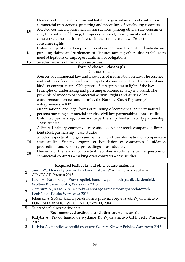| L3             | Elements of the law of contractual liabilities: general aspects of contracts in<br>commercial transactions, preparing and procedure of concluding contracts.<br>Selected contracts in commercial transactions (among others: sale, consumer<br>sale, the contract of leasing, the agency contract, consignment contract,<br>contract with no specific reference in the commercial law. Protection of<br>consumer rights.                                                                   |
|----------------|--------------------------------------------------------------------------------------------------------------------------------------------------------------------------------------------------------------------------------------------------------------------------------------------------------------------------------------------------------------------------------------------------------------------------------------------------------------------------------------------|
|                | Unfair competition acts - protection of competition. In-court and out-of-court                                                                                                                                                                                                                                                                                                                                                                                                             |
| L4             | pursuing claims and settlement of disputes (among others due to failure to<br>meet obligations or improper fulfilment of obligations).                                                                                                                                                                                                                                                                                                                                                     |
| L5             | Selected aspects of the law on securities.                                                                                                                                                                                                                                                                                                                                                                                                                                                 |
|                | Form of classes - classes (C)                                                                                                                                                                                                                                                                                                                                                                                                                                                              |
|                | Course content                                                                                                                                                                                                                                                                                                                                                                                                                                                                             |
| C1             | Sources of commercial law and if sources of information on law. The essence<br>and features of commercial law. Subjects of commercial law. The concept and<br>kinds of entrepreneurs. Obligations of entrepreneurs in light of the law.<br>Principles of undertaking and pursuing economic activity in Poland. The<br>principle of freedom of commercial activity, rights and duties of an<br>entrepreneur, licences and permits, the National Court Register (of<br>entrepreneurs) - KRS. |
| C <sub>2</sub> | Organisational and legal forms of pursuing of commercial activity: natural<br>persons pursuing commercial activity, civil law partnerships - case studies.<br>Unlimited partnership, commandite partnership, limited liability partnership<br>- case studies.                                                                                                                                                                                                                              |
| C <sub>3</sub> | A limited liability company - case studies. A joint stock company, a limited<br>joint stock partnership - case studies.                                                                                                                                                                                                                                                                                                                                                                    |
| C <sub>4</sub> | Selected aspects of mergers and splits, and of transformation of companies -<br>case studies. Selected aspects of liquidation of companies, liquidation<br>proceedings and recovery proceedings - case studies.                                                                                                                                                                                                                                                                            |
| C <sub>5</sub> | Elements of the law on contractual liabilities - rudiments to the question of<br>commercial contracts - making draft contracts - case studies.                                                                                                                                                                                                                                                                                                                                             |

|                                                  | Required textbooks and other course materials                            |  |
|--------------------------------------------------|--------------------------------------------------------------------------|--|
|                                                  | Siuda W., Elementy prawa dla ekonomistów, Wydawnictwo Naukowe            |  |
|                                                  | CONTACT, Poznań 2013.                                                    |  |
| $\overline{2}$                                   | Koch A., Napierała J., Prawo spółek handlowych : podręcznik akademicki,  |  |
|                                                  | Wolters Kluwer Polska, Warszawa 2013.                                    |  |
| 3                                                | Cempura A., Kasolik A. Metodyka sporządzania umów gospodarczych          |  |
|                                                  | LexisNexis Polska Warszawa 2013.                                         |  |
|                                                  | Jeleńska A. Spółki- jaką wybrać? Forma prawna i organizacja Wydawnictwo: |  |
|                                                  | FORUM DORADCÓW PODATKOWYCH, 2014.                                        |  |
| 5                                                | Selected valid normative acts.                                           |  |
| Recommended textbooks and other course materials |                                                                          |  |
|                                                  | Kidyba A., Prawo handlowe wydanie 17, Wydawnictwo C.H. Beck, Warszawa    |  |
|                                                  | 2015.                                                                    |  |
| $\overline{2}$                                   | Kidyba A., Handlowe spółki osobowe Wolters Kluwer Polska, Warszawa 2013. |  |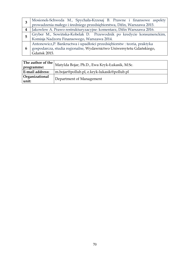|   | Mosionek-Schweda M., Spychała-Krzesaj B. Prawne i finansowe aspekty     |
|---|-------------------------------------------------------------------------|
|   | prowadzenia małego i średniego przedsiębiorstwa, Difin, Warszawa 2015.  |
|   | Jakowlew A. Prawo restrukturyzacyjne: komentarz, Difin Warszawa 2016.   |
| 5 | Gryber M., Sowińska-Kobelak D. Przewodnik po kredycie konsumenckim,     |
|   | Komisja Nadzoru Finansowego, Warszawa 2014.                             |
| 6 | Antonowicz, P. Bankructwa i upadłości przedsiębiorstw: teoria, praktyka |
|   | gospodarcza, studia regionalne, Wydawnictwo Uniwersytetu Gdańskiego,    |
|   | Gdańsk 2015.                                                            |

| The author of the<br>programme: | Matylda Bojar, Ph.D., Ewa Kryk-Łukasik, M.Sc. |
|---------------------------------|-----------------------------------------------|
| E-mail address:                 | m.bojar@pollub.pl, e.kryk-lukasik@pollub.pl   |
| Organizational<br>unit:         | Department of Management                      |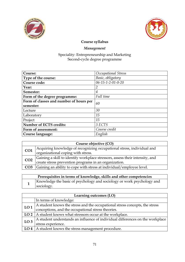



# Management

| Course:                                 | Occupational Stress             |
|-----------------------------------------|---------------------------------|
| Type of the course:                     | Basic, obligatory               |
| Course code:                            | $06 - 15 - 1 - 2 - 01 - 0 - 20$ |
| Year:                                   | 2                               |
| Semester:                               | 4                               |
| Form of the degree programme:           | Full time                       |
| Form of classes and number of hours per | 60                              |
| semester:                               |                                 |
| Lecture                                 | 30                              |
| Laboratory                              | 15                              |
| Project                                 | 15                              |
| <b>Number of ECTS credits:</b>          | 3 ECTS                          |
| Form of assessment:                     | Course credit                   |
| Course language:                        | English                         |

| Course objective (CO) |                                                                              |
|-----------------------|------------------------------------------------------------------------------|
| CO <sub>1</sub>       | Acquiring knowledge of recognizing occupational stress, individual and       |
|                       | organizational coping with stress.                                           |
| CO <sub>2</sub>       | Gaining a skill to identify workplace stressors, assess their intensity, and |
|                       | create stress prevention programs in an organization.                        |
| CO <sub>3</sub>       | Gaining an ability to cope with stress at individual/employee level.         |

| Prerequisites in terms of knowledge, skills and other competencies                   |
|--------------------------------------------------------------------------------------|
| Knowledge the basic of psychology and sociology or work psychology and<br>sociology. |
|                                                                                      |

| Learning outcomes (LO) |                                                                               |
|------------------------|-------------------------------------------------------------------------------|
|                        | In terms of knowledge:                                                        |
| LO <sub>1</sub>        | A student knows the stress and the occupational stress concepts, the stress   |
|                        | conceptions, and the occupational stress theories.                            |
|                        | LO 2   A student knows what stressors occur at the workplace.                 |
| LO <sub>3</sub>        | A student understands an influence of individual differences on the workplace |
|                        | stress experience.                                                            |
| LO <sub>4</sub>        | A student knows the stress management procedure.                              |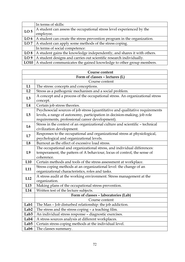|                 | In terms of skills:                                                        |
|-----------------|----------------------------------------------------------------------------|
| LO <sub>5</sub> | A student can assess the occupational stress level experienced by the      |
|                 | employee.                                                                  |
| LO <sub>6</sub> | A student can create the stress prevention program in the organization.    |
| LO7             | A student can apply some methods of the stress coping.                     |
|                 | In terms of social competence:                                             |
| LO 8            | A student gains the knowledge independently, and shares it with others.    |
| LO <sub>9</sub> | A student designs and carries out scientific research individually.        |
|                 | LO10   A student communicates the gained knowledge to other group members. |

 $\overline{\phantom{a}}$ 

 $\mathbf{r}$ 

| <b>Course content</b>          |                                                                               |
|--------------------------------|-------------------------------------------------------------------------------|
| Form of classes - lectures (L) |                                                                               |
|                                | Course content                                                                |
| L1                             | The stress: concepts and conceptions.                                         |
| L2                             | Stress as a pathogenic mechanism and a social problem.                        |
| L3                             | A concept and a process of the occupational stress. An organizational stress  |
|                                | concept.                                                                      |
| L4                             | Certain job stress theories.                                                  |
| L5                             | Psychosocial sources of job stress (quantitative and qualitative requirements |
|                                | levels, a range of autonomy, participation in decision-making, job role       |
|                                | requirements, professional career development).                               |
| L <sub>6</sub>                 | Stress in the context of an organizational culture and scientific - technical |
|                                | civilization development.                                                     |
| L7                             | Responses to the occupational and organizational stress at physiological,     |
|                                | psychological and organizational levels.                                      |
| L8                             | Burnout as the effect of excessive load stress.                               |
| L <sub>9</sub>                 | The occupational and organizational stress, and individual differences:       |
|                                | temperament, the pattern of A behaviour, locus of control, the sense of       |
|                                | coherence.                                                                    |
| L <sub>10</sub>                | Certain methods and tools of the stress assessment at workplace.              |
| L11                            | Stress coping methods at an organizational level: the change of an            |
|                                | organizational characteristics, roles and tasks.                              |
| L12                            | A stress audit at the working environment. Stress management at the           |
|                                | organization.                                                                 |
| L13                            | Making plans of the occupational stress prevention.                           |
| L14                            | Written test of the lecture subjects.                                         |
|                                | Form of classes - laboratories (Lab)                                          |
|                                | Course content                                                                |
| Lab1                           | The Man - Job disturbed relationship: the job addiction.                      |
| Lab <sub>2</sub>               | The stress and the stress coping - a teaching film.                           |
| Lab <sub>3</sub>               | An individual stress response - diagnostic exercises.                         |
| Lab4                           | A stress sources analysis at different workplaces.                            |
| Lab <sub>5</sub>               | Certain stress coping methods at the individual level.                        |
| Lab6                           | The classes summary.                                                          |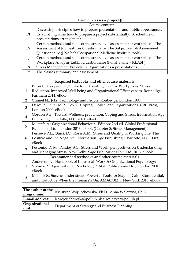|                | Form of classes - project $(P)$                                             |
|----------------|-----------------------------------------------------------------------------|
|                | Course content                                                              |
| <b>P1</b>      | Discussing principles how to prepare presentations and public appearances.  |
|                | Establishing rules how to prepare a project substantially. A schedule of    |
|                | presentations arrangement.                                                  |
| P <sub>2</sub> | Certain methods and tools of the stress level assessment at workplace - The |
|                | Assessment of Job Features Questionnaire, The Subjective Job Assessment     |
|                | Questionnaire (J.Nofer's Occupational Medicine Institute tools).            |
| P <sub>3</sub> | Certain methods and tools of the stress level assessment at workplace - The |
|                | Workplace Analysis Lublin Questionnaire (Polish name - KLASP).              |
| P4             | Stress Management Projects in Organizations - presentations.                |
| <b>P5</b>      | The classes summary and assessment.                                         |

# Required textbooks and other course materials

 $\overline{\phantom{a}}$ 

|                                                  | Biron C., Cooper C.L., Burke R. J.: Creating Healthy Workplaces: Stress          |  |
|--------------------------------------------------|----------------------------------------------------------------------------------|--|
| 1                                                | Reduction, Improved Well-being and Organizational Effectiveness. Routledge,      |  |
|                                                  | Farnham 2014. eBook                                                              |  |
|                                                  |                                                                                  |  |
| $\overline{2}$                                   | Chmiel N.: Jobs, Technology and People. Routledge, London 1998.                  |  |
| 3                                                | Dewe P., Leiter M.P., Cox T.: Coping, Health, and Organizations. CRC Press,      |  |
|                                                  | London 2000. eBook                                                               |  |
|                                                  | Gordon S.G.: Toward Wellness: prevention, Coping and Stress. Information Age     |  |
| 4                                                | Publishing, Charlotte, N.C. 2003. eBook                                          |  |
|                                                  | Mustafa A.: Organizational Behaviour. Edition: 2nd ed. Global Professional       |  |
| 5                                                | Publishing Ltd., London 2013. eBook (Chapter 8: Stress Management).              |  |
|                                                  | Perrewe P.L., Quick J.C., Rossi A.M.: Stress and Quality of Working Life: The    |  |
| 6                                                | Positive and the Negative. Information Age Publishing: Charlotte, N.C. 2009.     |  |
|                                                  | eBook                                                                            |  |
| 7                                                | Pestonjee D. M., Pandey S.C.: Stress and Work: perspectives on Understanding     |  |
|                                                  | and Managing Stress. New Delhi: Sage Publications Pvt. Ltd. 2013. eBook          |  |
| Recommended textbooks and other course materials |                                                                                  |  |
|                                                  | Anderson N.: Handbook of Industrial, Work & Organizational Psychology:           |  |
| 1                                                | Volume 2: Organizational Psychology. SAGE Publications Ltd., London 2001.        |  |
|                                                  | eBook                                                                            |  |
|                                                  | Melnick S.: Success under stress: Powerful Tools for Staying Calm, Confidential, |  |
| 2                                                | and Productive When the Pressure's On. AMACOM.: New York 2013. eBook.            |  |

| programme:              | The author of the $ _{\text{Krystyna}}$ Wojciechowska, Ph.D., Anna Walczyna, Ph.D. |
|-------------------------|------------------------------------------------------------------------------------|
| E-mail address:         | k.wojciechowska@pollub.pl; a.walczyna@pollub.pl                                    |
| Organizational<br>unit: | Department of Strategy and Business Planning                                       |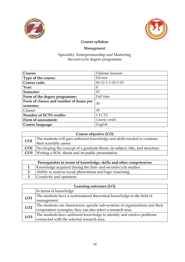



# Management

| Course:                                 | Diploma Seminar                 |
|-----------------------------------------|---------------------------------|
| Type of the course:                     | Elective                        |
| Course code:                            | $06 - 15 - 1 - 2 - 20 - 1 - 01$ |
| Year:                                   | II                              |
| Semester:                               | Ш                               |
| Form of the degree programme:           | Full time                       |
| Form of classes and number of hours per | 30                              |
| semester:                               |                                 |
| Classes                                 | 30                              |
| <b>Number of ECTS credits:</b>          | 2 ECTS                          |
| Form of assessment:                     | Course credit                   |
| Course language:                        | English                         |

| Course objective (CO) |                                                                                            |  |
|-----------------------|--------------------------------------------------------------------------------------------|--|
| CO1                   | The students will gain sufficient knowledge and skills needed to continue                  |  |
|                       | <sup>I</sup> their scientific career.                                                      |  |
|                       | <b>CO2</b> Developing the concept of a graduate thesis, its subject, title, and structure. |  |
|                       | <b>CO3</b> Writing a M.Sc. thesis and its public presentation.                             |  |
|                       |                                                                                            |  |

| Prerequisites in terms of knowledge, skills and other competencies |                                                                |  |
|--------------------------------------------------------------------|----------------------------------------------------------------|--|
|                                                                    | Knowledge acquired during the first- and second-cycle studies. |  |
|                                                                    | Ability to analyse social phenomena and logic reasoning.       |  |
|                                                                    | 3 Creativity and openness.                                     |  |

| Learning outcomes (LO) |                                                                               |  |
|------------------------|-------------------------------------------------------------------------------|--|
|                        | In terms of knowledge:                                                        |  |
| LO1                    | The students have a systematized theoretical knowledge in the field of        |  |
|                        | management.                                                                   |  |
| LO <sub>2</sub>        | The students can characterize specific sub-systems of organizations and their |  |
|                        | cooperation synergies, they can also select a research area.                  |  |
| LO3                    | The students have sufficient knowledge to identify and resolve problems       |  |
|                        | connected with the selected research area.                                    |  |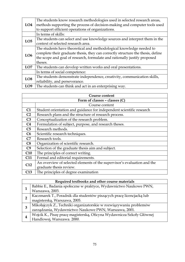| LO <sub>4</sub> | The students know research methodologies used in selected research areas,<br>methods supporting the process of decision-making and computer tools used<br>to support efficient operations of organizations. |  |
|-----------------|-------------------------------------------------------------------------------------------------------------------------------------------------------------------------------------------------------------|--|
|                 | In terms of skills:                                                                                                                                                                                         |  |
|                 | The students can select and use knowledge sources and interpret them in the                                                                                                                                 |  |
| LO <sub>5</sub> | context of selected research area.                                                                                                                                                                          |  |
|                 | The students have theoretical and methodological knowledge needed to                                                                                                                                        |  |
|                 | complete their graduate thesis, they can correctly structure the thesis, define                                                                                                                             |  |
| LO6             | the scope and goal of research, formulate and rationally justify proposed                                                                                                                                   |  |
|                 | theses.                                                                                                                                                                                                     |  |
| LO7             | The students can develop written works and oral presentations.                                                                                                                                              |  |
|                 | In terms of social competence:                                                                                                                                                                              |  |
| LO <sub>8</sub> | The students demonstrate independence, creativity, communication skills,                                                                                                                                    |  |
|                 | reliability, and perseverance.                                                                                                                                                                              |  |
| LO <sub>9</sub> | The students can think and act in an enterprising way.                                                                                                                                                      |  |

| Course content |                                                                         |  |
|----------------|-------------------------------------------------------------------------|--|
|                | Form of classes - classes (C)                                           |  |
|                | Course content                                                          |  |
| C1             | Student orientation and guidance for independent scientific research    |  |
| C <sub>2</sub> | Research plans and the structure of research process.                   |  |
| C <sub>3</sub> | Conceptualization of the research problem.                              |  |
| C4             | Formulation of subject, purpose, and research theses.                   |  |
| C5             | Research methods.                                                       |  |
| C6             | Scientific research techniques.                                         |  |
| C7             | Research tools.                                                         |  |
| C8             | Organization of scientific research.                                    |  |
| C9             | Selection of the graduate thesis aim and subject.                       |  |
| C10            | The principles of correct writing.                                      |  |
| C11            | Formal and editorial requirements.                                      |  |
| C12            | An overview of selected elements of the supervisor's evaluation and the |  |
|                | graduate thesis review.                                                 |  |
| C13            | The principles of degree examination                                    |  |

|   | Required textbooks and other course materials                         |  |
|---|-----------------------------------------------------------------------|--|
|   | Babbie E., Badania społeczne w praktyce, Wydawnictwo Naukowe PWN,     |  |
|   | Warszawa, 2003.                                                       |  |
| 2 | Kaczmarek T., Poradnik dla studentów piszących pracę licencjacką lub  |  |
|   | magisterską, Warszawa, 2005.                                          |  |
| 3 | Mikołajczyk Z., Techniki organizatorskie w rozwiązywaniu problemów    |  |
|   | zarządzania, Wydawnictwo Naukowe PWN, Warszawa, 2001.                 |  |
| 4 | Wojcik K., Piszę pracę magisterską, Oficyna Wydawnicza Szkoły Głównej |  |
|   | Handlowej, Warszawa. 2000.                                            |  |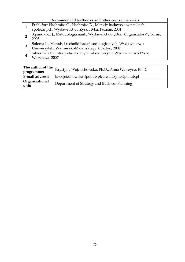|   | Recommended textbooks and other course materials                       |  |
|---|------------------------------------------------------------------------|--|
|   | Frahkfort-Nachmias C., Nachmias D., Metody badawcze w naukach          |  |
|   | społecznych, Wydawnictwo Zysk I S-ka, Poznań, 2001.                    |  |
| າ | Apanowicz J., Metodologia nauk, Wydawnictwo "Dom Organizatora", Toruń, |  |
|   | 2003.                                                                  |  |
| З | Sołoma L., Metody i techniki badań socjologicznych, Wydawnictwo        |  |
|   | Uniwersytetu WarmińskoMazurskiego, Olsztyn, 2002.                      |  |
|   | Silverman D., Interpretacja danych jakościowych, Wydawnictwo PWN,      |  |
|   | Warszawa, 2007.                                                        |  |

|                         | The author of the $\big _{\rm Krystyna}$ Wojciechowska, Ph.D., Anna Walczyna, Ph.D. |
|-------------------------|-------------------------------------------------------------------------------------|
| programme:              |                                                                                     |
| E-mail address:         | k.wojciechowska@pollub.pl; a.walczyna@pollub.pl                                     |
| Organizational<br>unit: | Department of Strategy and Business Planning                                        |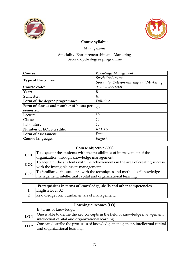



# Management

| Course:                                 | Knowledge Management                       |
|-----------------------------------------|--------------------------------------------|
|                                         | Specialized course                         |
| Type of the course:                     | Speciality: Entrepreneurship and Marketing |
| Course code:                            | $06 - 15 - 1 - 2 - 50 - 0 - 01$            |
| Year:                                   | Н                                          |
| Semester:                               | III                                        |
| Form of the degree programme:           | Full-time                                  |
| Form of classes and number of hours per | 60                                         |
| semester:                               |                                            |
| Lecture                                 | 30                                         |
| Classes                                 | 15                                         |
| Laboratory                              | 15                                         |
| <b>Number of ECTS credits:</b>          | 4 ECTS                                     |
| Form of assessment:                     | Exam                                       |
| Course language:                        | English                                    |

|                 | Course objective (CO)                                                          |
|-----------------|--------------------------------------------------------------------------------|
| CO <sub>1</sub> | To acquaint the students with the possibilities of improvement of the          |
|                 | organization through knowledge management.                                     |
| CO <sub>2</sub> | To acquaint the students with the achievements in the area of creating success |
|                 | with the intangible assets management.                                         |
| CO <sub>3</sub> | To familiarize the students with the techniques and methods of knowledge       |
|                 | management, intellectual capital and organizational learning.                  |

| Prerequisites in terms of knowledge, skills and other competencies |
|--------------------------------------------------------------------|
| English level B2.                                                  |
| Knowledge from fundamentals of management.                         |

|                 | Learning outcomes (LO)                                                       |
|-----------------|------------------------------------------------------------------------------|
|                 | In terms of knowledge:                                                       |
| LO <sub>1</sub> | One is able to define the key concepts in the field of knowledge management, |
|                 | intellectual capital and organizational learning.                            |
| LO <sub>2</sub> | One can describe the processes of knowledge management, intellectual capital |
|                 | and organizational learning.                                                 |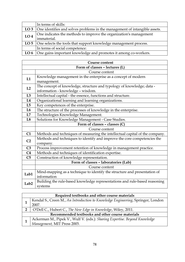|                 | In terms of skills:                                                               |
|-----------------|-----------------------------------------------------------------------------------|
|                 | LO 3   One identifies and solves problems in the management of intangible assets. |
| LO <sub>4</sub> | One indicates the methods to improve the organization's management                |
|                 | immaterial.                                                                       |
|                 | LO 5 $\vert$ One selects the tools that support knowledge management process.     |
|                 | In terms of social competence:                                                    |
|                 | LO 6   One gains important knowledge and promotes it among co-workers.            |

|                  | <b>Course content</b>                                                        |
|------------------|------------------------------------------------------------------------------|
|                  | Form of classes - lectures (L)                                               |
|                  | Course content                                                               |
|                  | Knowledge management in the enterprise as a concept of modern                |
| L1               | management.                                                                  |
|                  | The concept of knowledge, structure and typology of knowledge; data -        |
| L2               | information - knowledge - wisdom.                                            |
| L3               | Intellectual capital - the essence, functions and structure.                 |
| L4               | Organizational learning and learning organizations.                          |
| L5               | Key competences of the enterprise.                                           |
| L <sub>6</sub>   | The structure of the processes of knowledge in the enterprise.               |
| L7               | Technologies Knowledge Management.                                           |
| L <sub>8</sub>   | Solutions for Knowledge Management - Case Studies.                           |
|                  | Form of classes - classes (C)                                                |
|                  | Course content                                                               |
| C1               | Methods and techniques of measuring the intellectual capital of the company. |
| C <sub>2</sub>   | Methods and techniques to identify and improve the core competencies the     |
|                  | company.                                                                     |
| C <sub>3</sub>   | Process improvement retention of knowledge in management practice.           |
| C <sub>4</sub>   | Methods and techniques of identification expertise.                          |
| C <sub>5</sub>   | Construction of knowledge representation.                                    |
|                  | Form of classes - laboratories (Lab)                                         |
|                  | Course content                                                               |
| Lab1             | Mind-mapping as a technique to identify the structure and presentation of    |
|                  | information                                                                  |
| Lab <sub>2</sub> | Building the rule-based knowledge representations and rule-based reasoning   |
|                  | systems                                                                      |

| Required textbooks and other course materials                                   |
|---------------------------------------------------------------------------------|
| Kendal S., Creen M., An Introduction to Knowledge Engineering, Springer, London |
| 2007.                                                                           |
| O'Dell C., Hubert C., The New Edge in Knowledge, Wiley, 2011.                   |
| Recommended textbooks and other course materials                                |
| Ackerman M., Pipek V., Wulf V. (eds.): Sharing Expertise. Beyond Knowledge      |
| Management, MIT Press 2003.                                                     |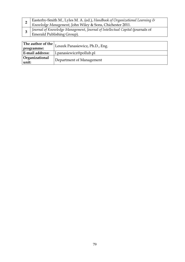| I Journal of Knowledge Management, Journal of Intellectual Capital (journals of | Easterby-Smith M., Lyles M. A. (ed.), Handbook of Organizational Learning & Knowledge Management, John Wiley & Sons, Chichester 2011. |
|---------------------------------------------------------------------------------|---------------------------------------------------------------------------------------------------------------------------------------|
|                                                                                 | Emerald Publishing Group).                                                                                                            |

|                         | The author of the $ $ Leszek Panasiewicz, Ph.D., Eng. |
|-------------------------|-------------------------------------------------------|
| programme:              |                                                       |
| E-mail address:         | l.panasiewicz@pollub.pl                               |
| Organizational<br>unit: | Department of Management                              |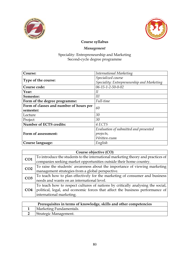

 $\mathbf{I}$ 



## Course syllabus

### Management

### Speciality: Entrepreneurship and Marketing Second-cycle degree programme

| Course:                                 | <b>International Marketing</b>             |
|-----------------------------------------|--------------------------------------------|
|                                         | Specialized course                         |
| Type of the course:                     | Speciality: Entrepreneurship and Marketing |
| Course code:                            | $06 - 15 - 1 - 2 - 50 - 0 - 02$            |
| Year:                                   | Н                                          |
| Semester:                               | Ш                                          |
| Form of the degree programme:           | Full-time                                  |
| Form of classes and number of hours per | 60                                         |
| semester:                               |                                            |
| Lecture                                 | 30                                         |
| Project                                 | 30                                         |
| <b>Number of ECTS credits:</b>          | 4 ECTS                                     |
|                                         | Evaluation of submitted and presented      |
| Form of assessment:                     | projects,                                  |
|                                         | Written exam                               |
| Course language:                        | English                                    |

# Course objective (CO)

| CO <sub>1</sub> | To introduce the students to the international marketing theory and practices of |
|-----------------|----------------------------------------------------------------------------------|
|                 | companies seeking market opportunities outside their home country.               |
| CO <sub>2</sub> | To raise the students' awareness about the importance of viewing marketing       |
|                 | management strategies from a global perspective.                                 |
| CO <sub>3</sub> | To teach how to plan effectively for the marketing of consumer and business      |
|                 | needs and wants on an international level.                                       |
|                 | To teach how to respect cultures of nations by critically analysing the social,  |
| CO <sub>4</sub> | political, legal, and economic forces that affect the business performance of    |
|                 | international marketing.                                                         |

| Prerequisites in terms of knowledge, skills and other competencies |
|--------------------------------------------------------------------|
| Marketing Fundamentals.                                            |
| <b>Strategic Management.</b>                                       |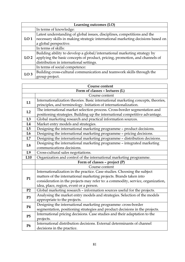| Learning outcomes (LO) |                                                                                 |
|------------------------|---------------------------------------------------------------------------------|
|                        | In terms of knowledge:                                                          |
|                        | Latest understanding of global issues, disciplines, competitions and the        |
| LO <sub>1</sub>        | necessary skills in making strategic international marketing decisions based on |
|                        | a global perspective.                                                           |
|                        | In terms of skills:                                                             |
|                        | Building ability to develop a global/international marketing strategy by        |
| LO <sub>2</sub>        | applying the basic concepts of product, pricing, promotion, and channels of     |
|                        | distribution in international settings.                                         |
|                        | In terms of social competence:                                                  |
| LO <sub>3</sub>        | Building cross-cultural communication and teamwork skills through the           |
|                        | group project.                                                                  |

|                 | Course content                                                                   |
|-----------------|----------------------------------------------------------------------------------|
|                 | Form of classes - lectures (L)                                                   |
|                 | Course content                                                                   |
| L1              | Internationalization theories. Basic international marketing concepts, theories, |
|                 | principles, and terminology. Initiation of internationalization.                 |
| L2              | The international market selection process. Cross-border segmentation and        |
|                 | positioning strategies. Building up the international competitive advantage.     |
| L3              | Global marketing research and practical information sources.                     |
| L4              | Market entry models and strategies.                                              |
| L5              | Designing the international marketing programme - product decisions.             |
| L6              | Designing the international marketing programme - pricing decisions.             |
| L7              | Designing the international marketing programme - distribution decisions.        |
|                 | Designing the international marketing programme - integrated marketing           |
| L8              | communications decisions.                                                        |
| L9              | Cross-cultural sales negotiations.                                               |
| L <sub>10</sub> | Organization and control of the international marketing programme.               |
|                 | Form of classes - project (P)                                                    |
|                 | Course content                                                                   |
|                 | Internationalization in the practice. Case studies. Choosing the subject         |
| <b>P1</b>       | matters of the international marketing projects. Brands taken into               |
|                 | consideration in the projects may refer to: a commodity, service, organization,  |
|                 | idea, place, region, event or a person.                                          |
| P <sub>2</sub>  | Global marketing research - information sources useful for the projects.         |
| P <sub>3</sub>  | Analysing the market entry models and strategies. Selection of the models        |
|                 | appropriate to the projects.                                                     |
|                 | Designing the international marketing programme: cross-border                    |
| <b>P4</b>       | segmentation, positioning strategies and product decisions in the projects.      |
| P5              | International pricing decisions. Case studies and their adaptation to the        |
|                 | projects.                                                                        |
| <b>P6</b>       | International distribution decisions. External determinants of channel           |
|                 | decisions in the practice.                                                       |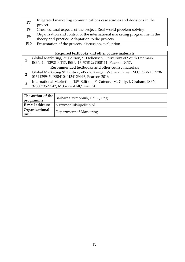| P7              | Integrated marketing communications case studies and decisions in the    |
|-----------------|--------------------------------------------------------------------------|
|                 | project.                                                                 |
| P <sub>8</sub>  | Cross-cultural aspects of the project. Real-world problem-solving.       |
| P <sub>9</sub>  | Organization and control of the international marketing programme in the |
|                 | theory and practice. Adaptation to the projects.                         |
| P <sub>10</sub> | Presentation of the projects, discussion, evaluation.                    |

|                                                  | Required textbooks and other course materials                                 |  |
|--------------------------------------------------|-------------------------------------------------------------------------------|--|
|                                                  | Global Marketing, 7th Edition, S. Hollensen, University of South Denmark      |  |
|                                                  | ISBN-10: 1292100117, ISBN-13: 9781292100111, Pearson 2017.                    |  |
| Recommended textbooks and other course materials |                                                                               |  |
|                                                  | Global Marketing 9th Edition, eBook, Keegan W.J. and Green M.C., SBN13: 978-  |  |
|                                                  | 0134129945, ISBN10: 0134129946, Pearson 2016.                                 |  |
|                                                  | International Marketing, 15th Edition, P. Cateora, M. Gilly, J. Graham, ISBN: |  |
|                                                  | 9780073529943, McGraw-Hill/Irwin 2011.                                        |  |

| The author of the              | Barbara Szymoniuk, Ph.D., Eng. |
|--------------------------------|--------------------------------|
| programme:                     |                                |
| E-mail address:                | $b$ .szymoniuk@pollub.pl       |
| <b>Organizational</b><br>unit: | Department of Marketing        |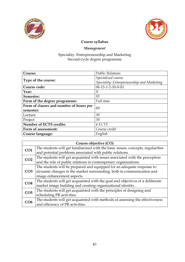



# Management

| Course:                                 | <b>Public Relations</b>                    |
|-----------------------------------------|--------------------------------------------|
|                                         | Specialized course                         |
| Type of the course:                     | Speciality: Entrepreneurship and Marketing |
| Course code:                            | 06-15-1-2-50-0-03                          |
| Year:                                   | Н                                          |
| Semester:                               | Ш                                          |
| Form of the degree programme:           | Full-time                                  |
| Form of classes and number of hours per | 60                                         |
| semester:                               |                                            |
| Lecture                                 | 30                                         |
| Project                                 | 30                                         |
| <b>Number of ECTS credits:</b>          | 4 ECTS                                     |
| Form of assessment:                     | Course credit                              |
| Course language:                        | English                                    |

| Course objective (CO) |                                                                                  |
|-----------------------|----------------------------------------------------------------------------------|
| CO <sub>1</sub>       | The students will get familiarized with the basic issues, concepts, regularities |
|                       | and potential problems associated with public relations.                         |
| CO <sub>2</sub>       | The students will get acquainted with issues associated with the perception      |
|                       | and the role of public relations in contemporary organizations.                  |
|                       | The students will be prepared and equipped for an adequate response to           |
| CO <sub>3</sub>       | dynamic changes in the market surrounding, both in communication and             |
|                       | image enhancement aspects.                                                       |
| CO <sub>4</sub>       | The students will get acquainted with the goal and objectives of a deliberate    |
|                       | market image building and creating organizational identity.                      |
| CO <sub>5</sub>       | The students will get acquainted with the principles of designing and            |
|                       | scheduling PR activities.                                                        |
| CO6                   | The students will get acquainted with methods of assessing the effectiveness     |
|                       | and efficiency of PR activities.                                                 |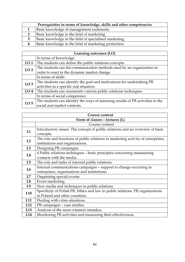| Prerequisites in terms of knowledge, skills and other competencies |  |
|--------------------------------------------------------------------|--|
| Basic knowledge of management rudiments.                           |  |
| Basic knowledge in the field of marketing.                         |  |
| Basic knowledge in the field of specialised marketing.             |  |
| Basic knowledge in the field of marketing promotion.               |  |

|                 | Learning outcomes (LO)                                                          |  |
|-----------------|---------------------------------------------------------------------------------|--|
|                 | In terms of knowledge:                                                          |  |
| LO <sub>1</sub> | The students can define the public relations concepts.                          |  |
| LO <sub>2</sub> | The students can list communication methods used by an organization in          |  |
|                 | order to react to the dynamic market change.                                    |  |
|                 | In terms of skills:                                                             |  |
| LO <sub>3</sub> | The students can identify the goal and motivations for undertaking PR           |  |
|                 | activities in a specific real situation.                                        |  |
| LO <sub>4</sub> | The students can enumerate various public relations techniques                  |  |
|                 | In terms of social competence:                                                  |  |
| LO <sub>5</sub> | The students can identify the ways of assessing results of PR activities in the |  |
|                 | social and market contexts.                                                     |  |

|                 | <b>Course content</b>                                                            |  |
|-----------------|----------------------------------------------------------------------------------|--|
|                 | Form of classes - lectures (L)                                                   |  |
|                 | Course content                                                                   |  |
| L1              | Introductory issues. The concept of public relations and an overview of basic    |  |
|                 | concepts.                                                                        |  |
| L2              | The role and functions of public relations in marketing activity of enterprises, |  |
|                 | institutions and organizations.                                                  |  |
| L3              | Designing PR campaigns.                                                          |  |
| L4              | 4 Public relations techniques - basic principles concerning maintaining          |  |
|                 | contacts with the media.                                                         |  |
| L5              | The role and tasks of internal public relations.                                 |  |
| L6              | Internal communications campaigns - support to change occurring in               |  |
|                 | enterprises, organizations and institutions.                                     |  |
| L7              | Organising special events.                                                       |  |
| L8              | Event marketing.                                                                 |  |
| L9              | New media and techniques in public relations.                                    |  |
| L10             | Specificity of Polish PR. Ethics and law in public relations. PR organizations   |  |
|                 | in Poland and other countries.                                                   |  |
| L <sub>11</sub> | Dealing with crisis situations.                                                  |  |
| L12             | PR campaigns - case studies.                                                     |  |
| L13             | Analysis of the most common mistakes.                                            |  |
| L14             | Monitoring PR activities and measuring their effectiveness.                      |  |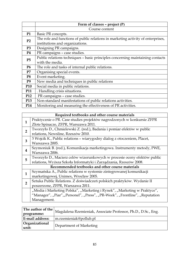|                | Form of classes - project (P)                                                    |
|----------------|----------------------------------------------------------------------------------|
|                | Course content                                                                   |
| <b>P1</b>      | Basic PR concepts.                                                               |
| P <sub>2</sub> | The role and functions of public relations in marketing activity of enterprises, |
|                | institutions and organizations.                                                  |
| P <sub>3</sub> | Designing PR campaigns.                                                          |
| <b>P4</b>      | PR campaigns - case studies.                                                     |
| P5             | Public relations techniques - basic principles concerning maintaining contacts   |
|                | with the media.                                                                  |
| <b>P6</b>      | The role and tasks of internal public relations.                                 |
| P7             | Organising special events.                                                       |
| P <sub>8</sub> | Event marketing.                                                                 |
| P <sub>9</sub> | New media and techniques in public relations                                     |
| <b>P10</b>     | Social media in public relations.                                                |
| <b>P11</b>     | . Handling crisis situations.                                                    |
| <b>P12</b>     | PR campaigns - case studies.                                                     |
| <b>P13</b>     | Non-standard manifestations of public relations activities.                      |
| <b>P14</b>     | Monitoring and measuring the effectiveness of PR activities.                     |

| Required textbooks and other course materials                               |  |
|-----------------------------------------------------------------------------|--|
| Praktycznie o PR. Case studies projektów nagrodzonych w konkursie ZFPR      |  |
| Złote Spinacze, ZFPR, Warszawa 2011.                                        |  |
| Tworzyło D., Chmielewski Z. (red.), Badania i pomiar efektów w public       |  |
| relations, Newsline, Rzeszów 2010.                                          |  |
| 3 Wojcik K., Public relations - wiarygodny dialog z otoczeniem, Placet,     |  |
| Warszawa 2005.                                                              |  |
| Szymoniuk B. (red.), Komunikacja marketingowa. Instrumenty metody, PWE,     |  |
| Warszawa 2006.                                                              |  |
| Tworzyło D., Macierz celów wizerunkowych w procesie oceny efektów public    |  |
| relations, Wyższa Szkoła Informatyki i Zarządzania, Rzeszów 2008.           |  |
| Recommended textbooks and other course materials                            |  |
| Szymańska A., Public relations w systemie zintegrowanej komunikacji         |  |
| marketingowej, Unimex, Wrocław 2005.                                        |  |
| Sztuka Public Relations. Z doświadczeń polskich praktyków. Wydanie II       |  |
| poszerzone, ZFPR, Warszawa 2011.                                            |  |
| "Media i Marketing Polska", "Marketing i Rynek", "Marketing w Praktyce",    |  |
| "Manager", "Piar", "Personel", "Press", "PR-Week", "Frontline", "Reputation |  |
| Management.                                                                 |  |
|                                                                             |  |

| The author of the $\vert_{\Lambda}$<br>programme:  | Magdalena Rzemieniak, Associate Professor, Ph.D., D.Sc., Eng. |
|----------------------------------------------------|---------------------------------------------------------------|
| <b>E-mail address:</b>                             | m.rzemieniak@pollub.pl                                        |
| Organizational<br>Department of Marketing<br>unit: |                                                               |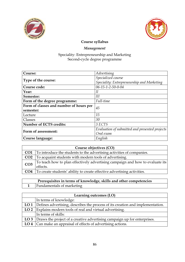



# Management

| Course:                                 | Advertising                                    |
|-----------------------------------------|------------------------------------------------|
|                                         | Specialized course                             |
| Type of the course:                     | Speciality: Entrepreneurship and Marketing     |
| Course code:                            | 06-15-1-2-50-0-04                              |
| Year:                                   | II                                             |
| Semester:                               | Ш                                              |
| Form of the degree programme:           | Full-time                                      |
| Form of classes and number of hours per | 45                                             |
| semester:                               |                                                |
| Lecture                                 | 15                                             |
| Classes                                 | 30                                             |
| Number of ECTS credits:                 | 3 ECTS                                         |
| Form of assessment:                     | Evaluation of submitted and presented projects |
|                                         | Oral exam                                      |
| Course language:                        | English                                        |

| Course objectives (CO) |                                                                               |
|------------------------|-------------------------------------------------------------------------------|
| CO <sub>1</sub>        | To introduce the students to the advertising activities of companies.         |
| CO <sub>2</sub>        | To acquaint students with modern tools of advertising.                        |
| CO <sub>3</sub>        | To teach how to plan effectively advertising campaign and how to evaluate its |
|                        | effects.                                                                      |
| CO <sub>4</sub>        | To create students' ability to create effective advertising activities.       |

| Prerequisites in terms of knowledge, skills and other competencies |
|--------------------------------------------------------------------|
| <b>Fundamentals of marketing</b>                                   |

| Learning outcomes (LO) |                                                                                       |
|------------------------|---------------------------------------------------------------------------------------|
|                        | In terms of knowledge:                                                                |
|                        | LO 1   Defines advertising, describes the process of its creation and implementation. |
|                        | LO 2   Explains modern tools of real and virtual advertising.                         |
|                        | In terms of skills:                                                                   |
|                        | LO 3 Draws the project of a creative advertising campaign up for enterprises.         |
|                        | LO 4 $ $ Can make an appraisal of effects of advertising actions.                     |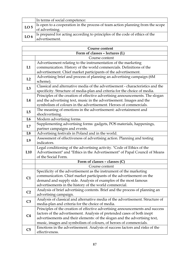|                 | In terms of social competence:                                                 |
|-----------------|--------------------------------------------------------------------------------|
| LO <sub>5</sub> | Is open to a cooperation in the process of team action planning from the scope |
|                 | of advertising.                                                                |
| LO <sub>6</sub> | Is prepared for acting according to principles of the code of ethics of the    |
|                 | advertisement.                                                                 |

|                | Course content                                                                 |
|----------------|--------------------------------------------------------------------------------|
|                | Form of classes - lectures (L)                                                 |
|                | Course content                                                                 |
| L1             | Advertisement relating to the instrumentation of the marketing                 |
|                | communication. History of the world commercials. Definitions of the            |
|                | advertisement. Chief market participants of the advertisement.                 |
| L2             | Advertising brief and process of planning an advertising campaign (6M          |
|                | scheme).                                                                       |
| L3             | Classical and alternative media of the advertisement - characteristics and the |
|                | specificity. Structure of media-plan and criteria for the choice of media.     |
|                | Principles of the creation of effective advertising announcements. The slogan  |
| L4             | and the advertising text, music in the advertisement. Images and the           |
|                | symbolism of colours in the advertisement. Heroes of commercials.              |
| L5             | The meaning of emotions in the advertisement: advertainment and                |
|                | shockvertising.                                                                |
| L6             | Modern advertising forms.                                                      |
| L7             | Supplementing advertising forms: gadgets, POS materials, happenings,           |
|                | partner campaigns and events.                                                  |
| L8             | Advertising festivals in Poland and in the world.                              |
| L <sub>9</sub> | Assessment of effectiveness of advertising action. Planning and testing        |
|                | indicators.                                                                    |
|                | Legal conditioning of the advertising activity. "Code of Ethics of the         |
| L10            | Advertisement" and "Ethics in the Advertisement" of Papal Council of Means     |
|                | of the Social Form.                                                            |
|                | Form of classes - classes (C)                                                  |
|                | Course content                                                                 |
|                | Specificity of the advertisement as the instrument of the marketing            |
| C1             | communication. Chief market participants of the advertisement on the           |
|                | demand and supply side. Analysis of examples of the most famous                |
|                | advertisements in the history of the world commercial.                         |
| C <sub>2</sub> | Analysis of brief advertising contents. Brief and the process of planning an   |
|                | advertising campaign.                                                          |
|                | Analysis of classical and alternative media of the advertisement. Structure of |
| C <sub>3</sub> | media-plan and criteria for the choice of media.                               |
|                | Principles of the creation of effective advertising announcements and success  |
| C <sub>4</sub> | factors of the advertisement. Analysis of pretended cases of both inept        |
|                | advertisements and their elements: of the slogan and the advertising text,     |
|                | music, images and symbolism of colours, of heroes of commercials.              |
| C <sub>5</sub> | Emotions in the advertisement. Analysis of success factors and risks of the    |
|                | effectiveness.                                                                 |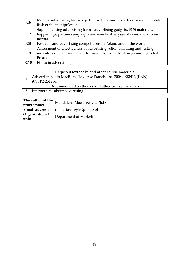| C6             | Modern advertising forms: e.g. Internet, community advertisement, mobile.    |
|----------------|------------------------------------------------------------------------------|
|                | Risk of the manipulation.                                                    |
|                | Supplementing advertising forms: advertising gadgets, POS materials,         |
| C7             | happenings, partner campaigns and events. Analyses of cases and success      |
|                | factors.                                                                     |
| C8             | Festivals and advertising competitions in Poland and in the world.           |
|                | Assessment of effectiveness of advertising action. Planning and testing      |
| C <sub>9</sub> | indicators on the example of the most effective advertising campaigns led in |
|                | Poland.                                                                      |
| C10            | Ethics in advertising.                                                       |

|                                                  | Required textbooks and other course materials                                          |  |
|--------------------------------------------------|----------------------------------------------------------------------------------------|--|
|                                                  | Advertising, Iain MacRury, Taylor & Francis Ltd, 2008, ISBN13 (EAN):<br>9780415251266. |  |
| Recommended textbooks and other course materials |                                                                                        |  |
| n                                                | Internet sites about advertising.                                                      |  |

| The author of the<br>programme: | Magdalena Maciaszczyk, Ph.D. |
|---------------------------------|------------------------------|
| E-mail address:                 | m.maciaszczyk@pollub.pl      |
| Organizational<br>unit:         | Department of Marketing      |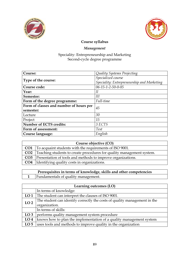



# Management

| Course:                                 | Quality Systems Projecting                 |
|-----------------------------------------|--------------------------------------------|
|                                         | Specialized course                         |
| Type of the course:                     | Speciality: Entrepreneurship and Marketing |
| Course code:                            | $06 - 15 - 1 - 2 - 50 - 0 - 05$            |
| Year:                                   | Н                                          |
| Semester:                               | Ш                                          |
| Form of the degree programme:           | Full-time                                  |
| Form of classes and number of hours per | 45                                         |
| semester:                               |                                            |
| Lecture                                 | 30                                         |
| Project                                 | 15                                         |
| <b>Number of ECTS credits:</b>          | 3 ECTS                                     |
| Form of assessment:                     | <b>Test</b>                                |
| Course language:                        | English                                    |

| Course objective (CO) |                                                                                  |
|-----------------------|----------------------------------------------------------------------------------|
|                       | <b>CO1</b> To acquaint students with the requirements of ISO 9001.               |
|                       | <b>CO2</b> Teaching students to create procedures for quality management system. |
|                       | <b>CO3</b> Presentation of tools and methods to improve organizations.           |
|                       | <b>CO4</b> Identifying quality costs in organizations.                           |

| Prerequisites in terms of knowledge, skills and other competencies |                                     |
|--------------------------------------------------------------------|-------------------------------------|
|                                                                    | Fundamentals of quality management. |

| Learning outcomes (LO) |                                                                           |
|------------------------|---------------------------------------------------------------------------|
|                        | In terms of knowledge:                                                    |
| LO <sub>1</sub>        | The student can interpret the clauses of ISO 9001.                        |
| LO <sub>2</sub>        | The student can identify correctly the costs of quality management in the |
|                        | organization.                                                             |
|                        | In terms of skills:                                                       |
| LO <sub>3</sub>        | performs quality management system procedure                              |
| LO <sub>4</sub>        | knows how to plan the implementation of a quality management system       |
| LO <sub>5</sub>        | uses tools and methods to improve quality in the organization             |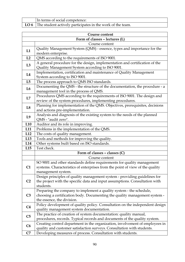| In terms of social competence:                                    |
|-------------------------------------------------------------------|
| LO $6$ The student actively participates in the work of the team. |

| <b>Course content</b> |                                                                                                                                                                                 |
|-----------------------|---------------------------------------------------------------------------------------------------------------------------------------------------------------------------------|
|                       | Form of classes - lectures (L)                                                                                                                                                  |
|                       | Course content                                                                                                                                                                  |
| L1                    | Quality Management System (QMS) - essence, types and importance for the<br>modern enterprise.                                                                                   |
| L2                    | QMS according to the requirements of ISO 9001.                                                                                                                                  |
| L3                    | A general procedure for the design, implementation and certification of the<br>Quality Management System according to ISO 9001.                                                 |
| L4                    | Implementation, certification and maintenance of Quality Management<br>System according to ISO 9001.                                                                            |
| L5                    | The process approach to QMS ISO standards.                                                                                                                                      |
| L6                    | Documenting the QMS - the structure of the documentation, the procedure - a<br>management tool in the process of QMS.                                                           |
| L7                    | Procedures QMS according to the requirements of ISO 9001. The design and<br>review of the system procedures, implementing procedures.                                           |
| L8                    | Planning for implementation of the QMS. Objectives, prerequisites, decisions<br>and actions pre-implementation.                                                                 |
| L <sub>9</sub>        | Analysis and diagnosis of the existing system to the needs of the planned<br>QMS - "audit zero".                                                                                |
| L10                   | Auditor and its role in improving.                                                                                                                                              |
| L11                   | Problems in the implementation of the QMS.                                                                                                                                      |
| L12                   | The costs of quality management.                                                                                                                                                |
| L <sub>13</sub>       | Tools and methods for improving the quality.                                                                                                                                    |
| L14                   | Other systems built based on ISO standards.                                                                                                                                     |
| L15                   | Test check.                                                                                                                                                                     |
|                       | Form of classes - classes (C)                                                                                                                                                   |
|                       | Course content                                                                                                                                                                  |
| C1                    | SO 9001 and other standards define requirements for quality management<br>systems. Characteristics of enterprises from the point of view of the quality<br>management system.   |
| C <sub>2</sub>        | Design principles of quality management system - providing guidelines for<br>the project with the specific data and input assumptions. Consultation with<br>students.           |
| C <sub>3</sub>        | Preparing the company to implement a quality system - the schedule,<br>choosing a certification body. Documenting the quality management system -<br>the essence, the division. |
| C <sub>4</sub>        | Policy development of quality policy. Consultation on the independent design<br>quality management system documentation.                                                        |
| C5                    | The practice of creation of system documentation: quality manual,<br>procedures, records. Typical records and documents of the quality system.                                  |
| C6                    | Creating control department in the organization, involvement of employees in<br>quality and customer satisfaction surveys. Consultation with students.                          |
| C7                    | Developing measures of process. Consultation with students.                                                                                                                     |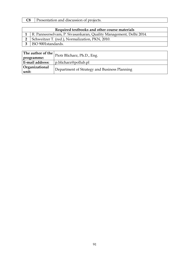# C8 Presentation and discussion of projects.

| Required textbooks and other course materials                          |  |  |
|------------------------------------------------------------------------|--|--|
| 1   R. Panneerselvam, P. Sivasankaran, Quality Management, Delhi 2014. |  |  |
| Schweitzer T. (red.), Normalization, PKN, 2010.                        |  |  |
| ISO 9001standards.                                                     |  |  |

| programme:              | $\sqrt{\frac{1}{n}}$ The author of the $\vert$ Piotr Blicharz, Ph.D., Eng. |  |
|-------------------------|----------------------------------------------------------------------------|--|
| E-mail address:         | p.blicharz@pollub.pl                                                       |  |
| Organizational<br>unit: | Department of Strategy and Business Planning                               |  |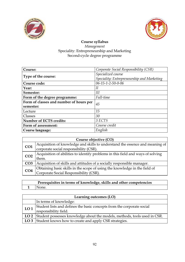



### Course syllabus Management Speciality: Entrepreneurship and Marketing Second-cycle degree programme

| Course:                                 | Corporate Social Responsibility (CSR)      |
|-----------------------------------------|--------------------------------------------|
|                                         | Specialized course                         |
| Type of the course:                     | Speciality: Entrepreneurship and Marketing |
| Course code:                            | 06-15-1-2-50-0-06                          |
| Year:                                   | Н                                          |
| Semester:                               | Ш                                          |
| Form of the degree programme:           | Full-time                                  |
| Form of classes and number of hours per | 45                                         |
| semester:                               |                                            |
| Lecture                                 | 15                                         |
| Classes                                 | 30                                         |
| Number of ECTS credits:                 | 3 ECTS                                     |
| Form of assessment:                     | Course credit                              |
| <b>Course language:</b>                 | English                                    |

| Course objective (CO) |                                                                                 |
|-----------------------|---------------------------------------------------------------------------------|
| CO <sub>1</sub>       | Acquisition of knowledge and skills to understand the essence and meaning of    |
|                       | corporate social responsibility (CSR).                                          |
| CO <sub>2</sub>       | Acquisition of abilities to identify problems in this field and ways of solving |
|                       | them.                                                                           |
| CO <sub>3</sub>       | Acquisition of skills and attitudes of a socially responsible manager.          |
| CO <sub>4</sub>       | Obtaining basic skills in the scope of using the knowledge in the field of      |
|                       | Corporate Social Responsibility (CSR).                                          |

| Prerequisites in terms of knowledge, skills and other competencies |             |  |
|--------------------------------------------------------------------|-------------|--|
|                                                                    | $1$   None. |  |

| Learning outcomes (LO) |                                                                                                 |  |
|------------------------|-------------------------------------------------------------------------------------------------|--|
|                        | In terms of knowledge:                                                                          |  |
| LO <sub>1</sub>        | Student lists and defines the basic concepts from the corporate social<br>responsibility field. |  |
|                        | LO 2 Student possesses knowledge about the models, methods, tools used in CSR.                  |  |
|                        | LO 3 Student knows how to create and apply CSR strategies.                                      |  |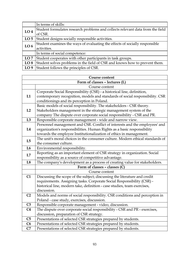|                 | In terms of skills:                                                            |  |
|-----------------|--------------------------------------------------------------------------------|--|
| LO <sub>4</sub> | Student formulates research problems and collects relevant data from the field |  |
|                 | of CSR.                                                                        |  |
| LO <sub>5</sub> | Student designs socially responsible activities.                               |  |
| LO <sub>6</sub> | Student examines the ways of evaluating the effects of socially responsible    |  |
|                 | activities.                                                                    |  |
|                 | In terms of social competence:                                                 |  |
| LO7             | Student cooperates with other participants in task groups.                     |  |
| LO <sub>8</sub> | Student solves problems in the field of CSR and knows how to prevent them.     |  |
| LO <sub>9</sub> | Student follows the principles of CSR.                                         |  |

| Course content                 |                                                                               |
|--------------------------------|-------------------------------------------------------------------------------|
| Form of classes - lectures (L) |                                                                               |
|                                | Course content                                                                |
|                                | Corporate Social Responsibility (CSR) - a historical line, definition,        |
| L1                             | contemporary recognition, models and standards of social responsibility. CSR  |
|                                | conditionings and its perception in Poland.                                   |
|                                | Basic models of social responsibility. The stakeholders - CSR theory.         |
| L2                             | Stakeholders management in the strategic management system of the             |
|                                | company The dispute over corporate social responsibility - CSR and PR.        |
| L3                             | Responsible corporate management - wide and narrow view.                      |
|                                | Personnel management and CSR. Conflict of interests and the employees' and    |
| L4                             | organization's responsibilities. Human Rights as a basic responsibility       |
|                                | towards the employee Institutionalization of ethics in management.            |
| L5                             | The unit's moral choices in the consumer culture. Modern ethical standards of |
|                                | the consumer culture.                                                         |
| L6                             | Environmental responsibility.                                                 |
| L7                             | Reporting as an important element of CSR strategy in organization. Social     |
|                                | responsibility as a source of competitive advantage.                          |
| L8                             | The company's development as a process of creating value for stakeholders.    |
|                                | Form of classes - classes (C)                                                 |
|                                | Course content                                                                |
| C1                             | Discussing the scope of the subject; discussing the literature and credit     |
|                                | requirements. Assigning tasks. Corporate Social Responsibility (CSR) -        |
|                                | historical line, modern take, definition - case studies, team exercises,      |
|                                | discussion.                                                                   |
| C <sub>2</sub>                 | Models and norms of social responsibility. CSR conditions and perception in   |
|                                | Poland - case study, exercises, discussion.                                   |
| C <sub>3</sub>                 | Responsible corporate management - video, discussion.                         |
| C <sub>4</sub>                 | The dispute over corporate social responsibility - CSR and PR - exercises,    |
|                                | discussion, preparation of CSR strategy.                                      |
| C <sub>5</sub>                 | Presentations of selected CSR strategies prepared by students.                |
| C6                             | Presentations of selected CSR strategies prepared by students.                |
| C7                             | Presentations of selected CSR strategies prepared by students.                |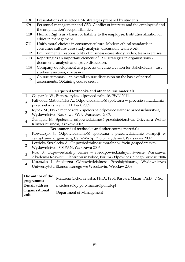| C8             | Presentations of selected CSR strategies prepared by students.                 |  |
|----------------|--------------------------------------------------------------------------------|--|
| C <sub>9</sub> | Personnel management and CSR. Conflict of interests and the employees' and     |  |
|                | the organization's responsibilities.                                           |  |
| C10            | Human Rights as a basis for liability to the employee. Institutionalization of |  |
|                | ethics in management.                                                          |  |
| C11            | Unit's moral choices in consumer culture. Modern ethical standards in          |  |
|                | consumer culture-case study analysis, discussion, team work.                   |  |
| C12            | Environmental responsibility of business - case study, video, team exercises.  |  |
| C13            | Reporting as an important element of CSR strategies in organisations -         |  |
|                | documents analysis and group discussion.                                       |  |
| C14            | Company development as a process of value creation for stakeholders - case     |  |
|                | studies, exercises, discussion.                                                |  |
| C15            | Course summary - an overall course discussion on the basis of partial          |  |
|                | assessments. Obtaining course credit.                                          |  |

|                                                  | Required textbooks and other course materials                              |  |
|--------------------------------------------------|----------------------------------------------------------------------------|--|
| 1                                                | Gasparski W., Biznes, etyka, odpowiedzialność, PWN 2011.                   |  |
| $\mathbf{2}$                                     | Paliwoda-Matiolańska A., Odpowiedzialność społeczna w procesie zarządzania |  |
|                                                  | przedsiębiorstwem, C.H. Beck 2009.                                         |  |
| 3                                                | Rybak M., Etyka menadżera - społeczna odpowiedzialność przedsiębiorstwa,   |  |
|                                                  | Wydawnictwo Naukowe PWN Warszawa 2007.                                     |  |
| 4                                                | Zemigała M., Społeczna odpowiedzialność przedsiębiorstwa, Oficyna a Wolter |  |
|                                                  | Kluwer business, Kraków 2007.                                              |  |
| Recommended textbooks and other course materials |                                                                            |  |
| $\mathbf{1}$                                     | Kowalczyk J., Odpowiedzialność społeczna i przeciwdziałanie korupcji w     |  |
|                                                  | zarządzaniu organizacją, CeDeWu Sp. Z o.o., wydanie I, Warszawa 2009.      |  |
| $\overline{2}$                                   | Lewicka-Strzałecka A., Odpowiedzialność moralna w życiu gospodarczym,      |  |
|                                                  | Wydawnictwo IFiS PAN, Warszawa 2006.                                       |  |
|                                                  | Rok, B., Odpowiedzialny Biznes w nieodpowiedzialnym świecie, Warszawa:     |  |
| 3                                                | Akademia Rozwoju Filantropii w Polsce, Forum Odpowiedzialnego Biznesu 2004 |  |
|                                                  | Kuraszko I. Społeczna Odpowiedzialność Przedsiębiorstw, Wydawnictwo        |  |
| 4                                                | Uniwersytetu Ekonomicznego we Wrocławiu, Wrocław 2008.                     |  |
|                                                  |                                                                            |  |

| The author of the<br>programme: | Marzena Cichorzewska, Ph.D., Prof. Barbara Mazur, Ph.D., D.Sc. |
|---------------------------------|----------------------------------------------------------------|
| E-mail address:                 | mcichorz@op.pl, b.mazur@pollub.pl                              |
| Organizational<br>unit:         | Department of Management                                       |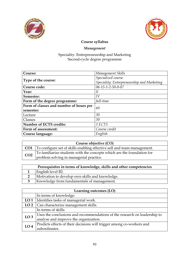



# Management

| Course:                                 | Management Skills                          |
|-----------------------------------------|--------------------------------------------|
|                                         | Specialized course                         |
| Type of the course:                     | Speciality: Entrepreneurship and Marketing |
| Course code:                            | 06-15-1-2-50-0-07                          |
| Year:                                   | Н                                          |
| Semester:                               | IV                                         |
| Form of the degree programme:           | full-time                                  |
| Form of classes and number of hours per | 60                                         |
| semester:                               |                                            |
| Lecture                                 | 30                                         |
| Classes                                 | 30                                         |
| <b>Number of ECTS credits:</b>          | 3 ECTS                                     |
| Form of assessment:                     | Course credit                              |
| Course language:                        | English                                    |

| <b>CO1</b> To configure set of skills enabling effective self and team management.<br>To familiarize students with the concepts which are the foundation for<br>CO <sub>2</sub><br>problem solving in managerial practice. | Course objective (CO) |  |  |  |
|----------------------------------------------------------------------------------------------------------------------------------------------------------------------------------------------------------------------------|-----------------------|--|--|--|
|                                                                                                                                                                                                                            |                       |  |  |  |
|                                                                                                                                                                                                                            |                       |  |  |  |
|                                                                                                                                                                                                                            |                       |  |  |  |

| Prerequisites in terms of knowledge, skills and other competencies |                                                 |  |
|--------------------------------------------------------------------|-------------------------------------------------|--|
|                                                                    | English level B2.                               |  |
|                                                                    | Motivation to develop own skills and knowledge. |  |
|                                                                    | Knowledge from fundamentals of management.      |  |

| Learning outcomes (LO) |                                                                           |  |
|------------------------|---------------------------------------------------------------------------|--|
|                        | In terms of knowledge:                                                    |  |
| LO <sub>1</sub>        | Identifies tasks of managerial work.                                      |  |
| LO <sub>2</sub>        | Can characterize management skills.                                       |  |
|                        | In terms of skills:                                                       |  |
| LO <sub>3</sub>        | Uses the conclusions and recommendations of the research on leadership to |  |
|                        | analyse and improve the organization.                                     |  |
| LO <sub>4</sub>        | Predicts effects of their decisions will trigger among co-workers and     |  |
|                        | subordinates.                                                             |  |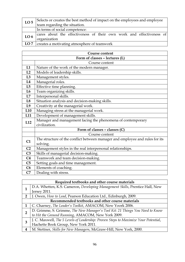| LO <sub>5</sub> | Selects or creates the best method of impact on the employees and employee |  |  |
|-----------------|----------------------------------------------------------------------------|--|--|
|                 | team regarding the situation.                                              |  |  |
|                 | In terms of social competence:                                             |  |  |
| LO <sub>6</sub> | cares about the effectiveness of their own work and effectiveness of       |  |  |
|                 | organization                                                               |  |  |
| LO7             | creates a motivating atmosphere of teamwork                                |  |  |

| <b>Course content</b>          |                                                                              |  |
|--------------------------------|------------------------------------------------------------------------------|--|
| Form of classes - lectures (L) |                                                                              |  |
|                                | Course content                                                               |  |
| L1                             | Nature of the work of the modern manager.                                    |  |
| L2                             | Models of leadership skills.                                                 |  |
| L3                             | Management styles.                                                           |  |
| L <sub>4</sub>                 | Managerial roles.                                                            |  |
| L5                             | Effective time planning.                                                     |  |
| L <sub>6</sub>                 | Team organizing skills.                                                      |  |
| L7                             | Interpersonal skills.                                                        |  |
| L8                             | Situation analysis and decision-making skills.                               |  |
| L9                             | Creativity at the managerial work.                                           |  |
| L10                            | Managing stress at the managerial work.                                      |  |
| L11                            | Development of management skills.                                            |  |
| L12                            | Manager and management facing the phenomena of contemporary                  |  |
|                                | civilization.                                                                |  |
|                                | Form of classes - classes (C)                                                |  |
|                                | Course content                                                               |  |
| C1                             | The structure of the conflict between manager and employee and rules for its |  |
|                                | solving.                                                                     |  |
| C <sub>2</sub>                 | Management styles in the real interpersonal relationships.                   |  |
| C <sub>3</sub>                 | Skills of managerial decision-making.                                        |  |
| C <sub>4</sub>                 | Teamwork and team decision-making.                                           |  |
| C <sub>5</sub>                 | Setting goals and time management.                                           |  |
| C6                             | Elements of coaching.                                                        |  |
| C7                             | Dealing with stress.                                                         |  |

|                                                  | Required textbooks and other course materials                                       |  |  |
|--------------------------------------------------|-------------------------------------------------------------------------------------|--|--|
|                                                  | D.A. Whetten, K.S. Cameron, Developing Management Skills, Prentice Hall, New        |  |  |
|                                                  | Jersey 2011.                                                                        |  |  |
| 2                                                | J. Owen, How to Lead, Pearson Education Ltd., Edinburgh, 2009.                      |  |  |
| Recommended textbooks and other course materials |                                                                                     |  |  |
|                                                  | C. Charney, The Leader's Toolkit, AMACOM, New Yoork 2006.                           |  |  |
|                                                  | D. Grimme, S. Grimme, The New Manager's Tool Kit: 21 Things You Need to Know        |  |  |
| $\overline{2}$                                   | to Hit the Ground Running, AMACOM, New York 2009.                                   |  |  |
| З                                                | J. C. Maxwell, The 5 Levels of Leadership: Proven Steps to Maximize Your Potential, |  |  |
|                                                  | Hachette Book Group, New York 2011.                                                 |  |  |
| 4                                                | M. Stettner, Skills for New Managers, McGraw-Hill, New York, 2000.                  |  |  |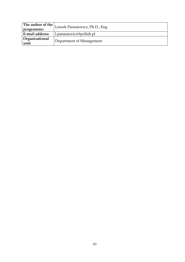| The author of the $\vert$ ,<br>programme: | Leszek Panasiewicz, Ph.D., Eng. |
|-------------------------------------------|---------------------------------|
| <b>E-mail address:</b>                    | l.panasiewicz@pollub.pl         |
| Organizational<br>unit:                   | Department of Management        |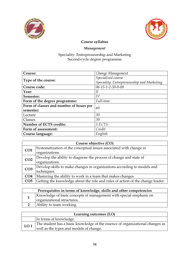



# Management

| Course:                                 | Change Management                          |
|-----------------------------------------|--------------------------------------------|
|                                         | Specialized course                         |
| Type of the course:                     | Speciality: Entrepreneurship and Marketing |
| Course code:                            | 06-15-1-2-50-0-08                          |
| Year:                                   | Н                                          |
| Semester:                               | IV                                         |
| Form of the degree programme:           | Full-time                                  |
| Form of classes and number of hours per | 60                                         |
| semester:                               |                                            |
| Lecture                                 | 30                                         |
| Classes                                 | 30                                         |
| Number of ECTS credits:                 | 3 ECTS                                     |
| Form of assessment:                     | Credit                                     |
| Course language:                        | English                                    |

| Course objective (CO) |                                                                                |  |
|-----------------------|--------------------------------------------------------------------------------|--|
| CO <sub>1</sub>       | Systematization of the conceptual issues associated with change in             |  |
|                       | organizations.                                                                 |  |
| CO <sub>2</sub>       | Develop the ability to diagnose the process of change and state of             |  |
|                       | organizations.                                                                 |  |
| CO <sub>3</sub>       | Develop skills to make changes in organizations according to models and        |  |
|                       | techniques.                                                                    |  |
| CO <sub>4</sub>       | Mastering the ability to work in a team that makes changes.                    |  |
| CO <sub>5</sub>       | Getting the knowledge about the role and rules of action of the change leader. |  |

| Prerequisites in terms of knowledge, skills and other competencies |                                                                                                  |  |
|--------------------------------------------------------------------|--------------------------------------------------------------------------------------------------|--|
|                                                                    | Knowledge of basic concepts of management with special emphasis on<br>organizational structures. |  |
|                                                                    | Ability to team working.                                                                         |  |

| Learning outcomes (LO)                                                                                                                      |                        |  |
|---------------------------------------------------------------------------------------------------------------------------------------------|------------------------|--|
|                                                                                                                                             | In terms of knowledge: |  |
| The student has a basic knowledge of the essence of organizational changes as<br>LO <sub>1</sub><br>well as the types and models of change. |                        |  |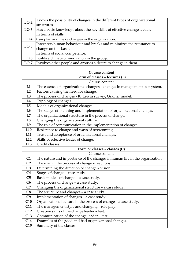| LO <sub>2</sub> | Knows the possibility of changes in the different types of organizational |  |  |
|-----------------|---------------------------------------------------------------------------|--|--|
|                 | structures.                                                               |  |  |
| LO <sub>3</sub> | Has a basic knowledge about the key skills of effective change leader.    |  |  |
|                 | In terms of skills:                                                       |  |  |
| LO <sub>4</sub> | Can plan and make changes in the organization.                            |  |  |
| LO <sub>5</sub> | Interprets human behaviour and breaks and minimizes the resistance to     |  |  |
|                 | change on this basis.                                                     |  |  |
|                 | In terms of social competence:                                            |  |  |
| LO <sub>6</sub> | Builds a climate of innovation in the group.                              |  |  |
| LO7             | Involves other people and arouses a desire to change in them.             |  |  |

| <b>Course content</b>          |                                                                             |  |  |  |
|--------------------------------|-----------------------------------------------------------------------------|--|--|--|
| Form of classes - lectures (L) |                                                                             |  |  |  |
|                                | Course content                                                              |  |  |  |
| L1                             | The essence of organizational changes - changes in management subsystem.    |  |  |  |
| L2                             | Factors causing the need for change.                                        |  |  |  |
| L3                             | The process of changes - K. Lewin survey, Grainer model.                    |  |  |  |
| L4                             | Typology of changes.                                                        |  |  |  |
| L5                             | Models of organizational changes.                                           |  |  |  |
| L <sub>6</sub>                 | The stages of planning and implementation of organizational changes.        |  |  |  |
| L7                             | The organizational structure in the process of change.                      |  |  |  |
| L8                             | Changing the organizational culture.                                        |  |  |  |
| L9                             | The role of communication in the implementation of changes.                 |  |  |  |
| L <sub>10</sub>                | Resistance to change and ways of overcoming.                                |  |  |  |
| L11                            | Trust and acceptance of organizational changes.                             |  |  |  |
| L12                            | Skills of effective leader of change.                                       |  |  |  |
| L13                            | Credit classes.                                                             |  |  |  |
|                                | Form of classes - classes (C)                                               |  |  |  |
|                                | Course content                                                              |  |  |  |
| C1                             | The nature and importance of the changes in human life in the organization. |  |  |  |
| C <sub>2</sub>                 | The man in the process of change - reactions.                               |  |  |  |
| C <sub>3</sub>                 | Determining the direction of change - vision.                               |  |  |  |
| C <sub>4</sub>                 | Stages of change - case study.                                              |  |  |  |
| C <sub>5</sub>                 | Basic models of change - a case study.                                      |  |  |  |
| C6                             | The process of change - a case study.                                       |  |  |  |
| C7                             | Changing the organizational structure - a case study.                       |  |  |  |
| C8                             | The structure and changes - a case study.                                   |  |  |  |
| C <sub>9</sub>                 | Implementation of changes - a case study.                                   |  |  |  |
| C10                            | Organizational culture in the process of change - a case study.             |  |  |  |
| C11                            | The management style and changing - role play.                              |  |  |  |
| C12                            | Creative skills of the change leader - test.                                |  |  |  |
| C13                            | Communication of the change leader - test.                                  |  |  |  |
| C14                            | Examples of the good and bad organizational changes.                        |  |  |  |
| C15                            | Summary of the classes.                                                     |  |  |  |